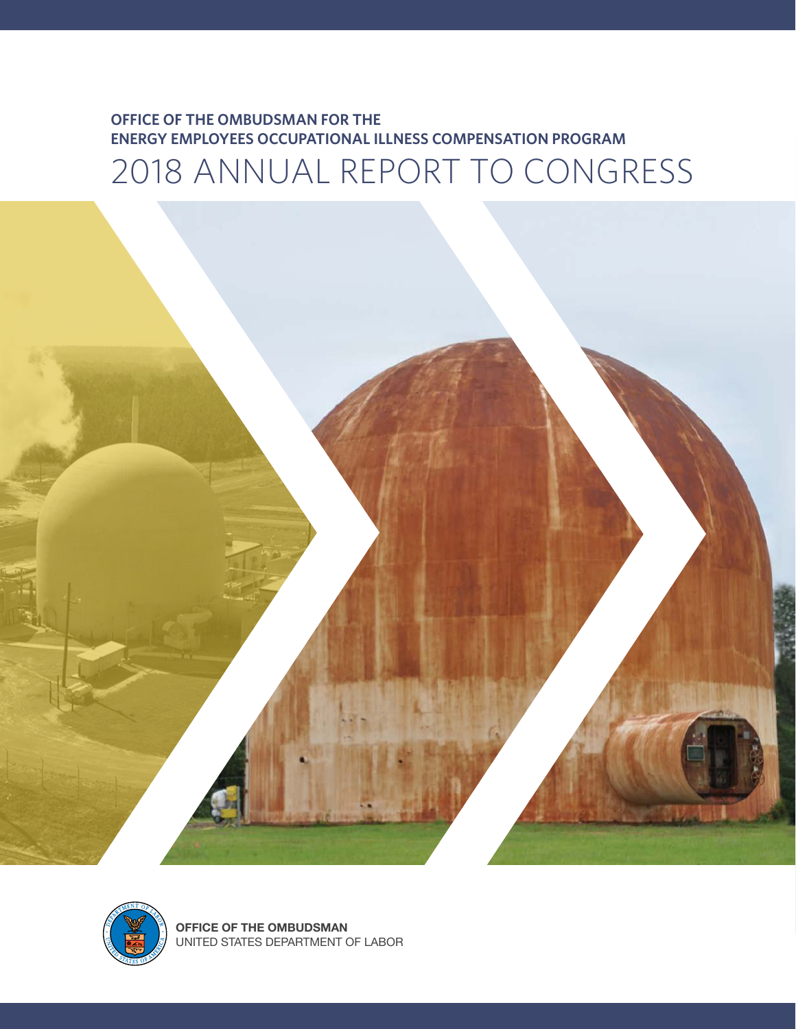## **OFFICE OF THE OMBUDSMAN FOR THE ENERGY EMPLOYEES OCCUPATIONAL ILLNESS COMPENSATION PROGRAM** 2018 ANNUAL REPORT TO CONGRESS



**OFFICE OF THE OMBUDSMAN** UNITED STATES DEPARTMENT OF LABOR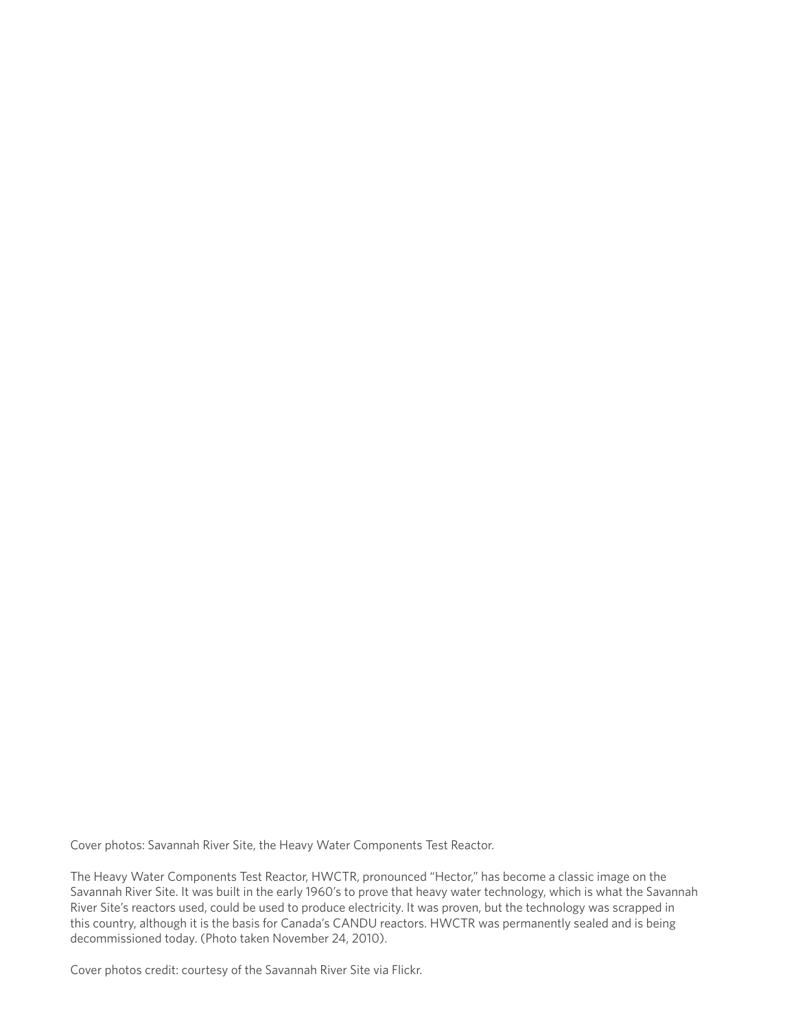Cover photos: Savannah River Site, the Heavy Water Components Test Reactor.

The Heavy Water Components Test Reactor, HWCTR, pronounced "Hector," has become a classic image on the Savannah River Site. It was built in the early 1960's to prove that heavy water technology, which is what the Savannah River Site's reactors used, could be used to produce electricity. It was proven, but the technology was scrapped in this country, although it is the basis for Canada's CANDU reactors. HWCTR was permanently sealed and is being decommissioned today. (Photo taken November 24, 2010).

Cover photos credit: courtesy of the Savannah River Site via Flickr.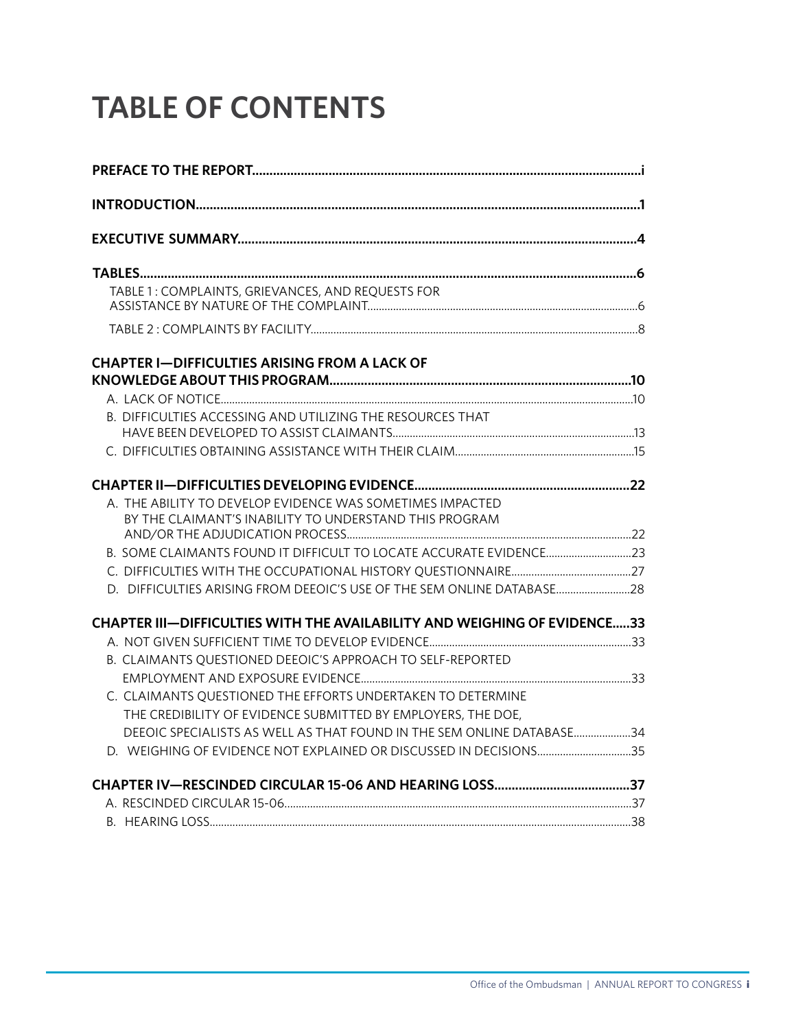# **TABLE OF CONTENTS**

| TABLE 1: COMPLAINTS, GRIEVANCES, AND REQUESTS FOR                         |  |
|---------------------------------------------------------------------------|--|
|                                                                           |  |
| <b>CHAPTER I-DIFFICULTIES ARISING FROM A LACK OF</b>                      |  |
|                                                                           |  |
| B. DIFFICULTIES ACCESSING AND UTILIZING THE RESOURCES THAT                |  |
|                                                                           |  |
|                                                                           |  |
|                                                                           |  |
| A. THE ABILITY TO DEVELOP EVIDENCE WAS SOMETIMES IMPACTED                 |  |
| BY THE CLAIMANT'S INABILITY TO UNDERSTAND THIS PROGRAM                    |  |
|                                                                           |  |
|                                                                           |  |
|                                                                           |  |
| D. DIFFICULTIES ARISING FROM DEEOIC'S USE OF THE SEM ONLINE DATABASE28    |  |
| CHAPTER III-DIFFICULTIES WITH THE AVAILABILITY AND WEIGHING OF EVIDENCE33 |  |
|                                                                           |  |
| B. CLAIMANTS QUESTIONED DEEOIC'S APPROACH TO SELF-REPORTED                |  |
|                                                                           |  |
| C. CLAIMANTS QUESTIONED THE EFFORTS UNDERTAKEN TO DETERMINE               |  |
| THE CREDIBILITY OF EVIDENCE SUBMITTED BY EMPLOYERS, THE DOE,              |  |
| DEEOIC SPECIALISTS AS WELL AS THAT FOUND IN THE SEM ONLINE DATABASE34     |  |
| D. WEIGHING OF EVIDENCE NOT EXPLAINED OR DISCUSSED IN DECISIONS35         |  |
|                                                                           |  |
|                                                                           |  |
|                                                                           |  |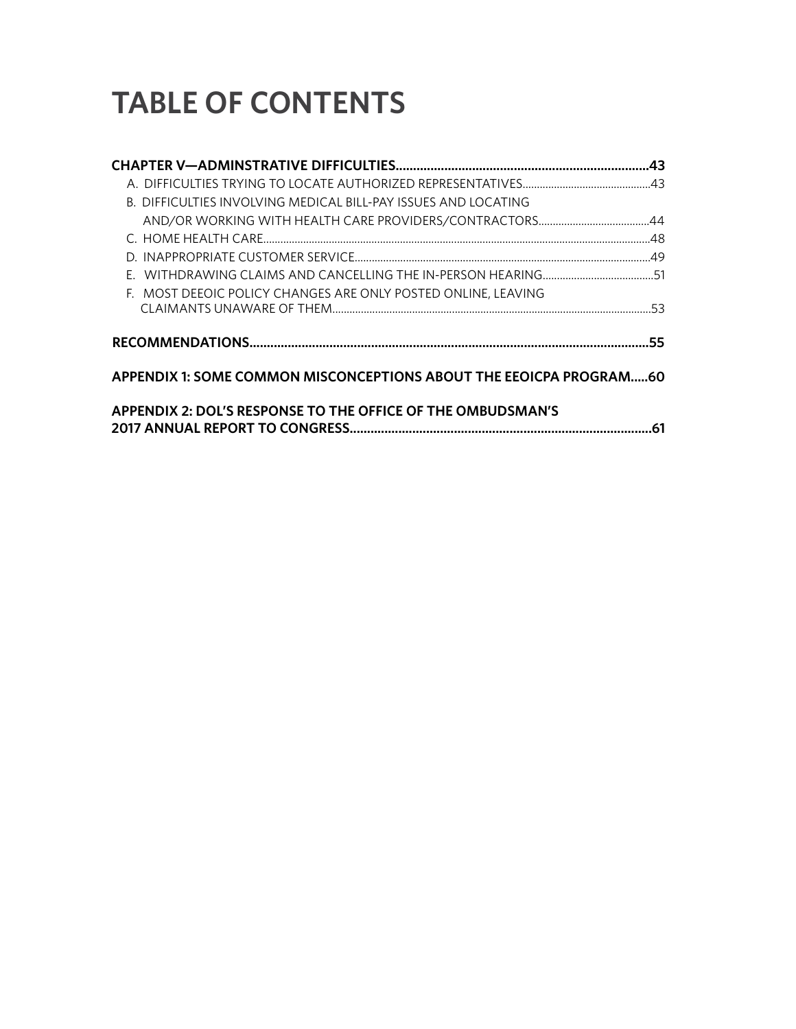# **TABLE OF CONTENTS**

| 43 |                                                                    |
|----|--------------------------------------------------------------------|
|    |                                                                    |
|    | B. DIFFICULTIES INVOLVING MEDICAL BILL-PAY ISSUES AND LOCATING     |
|    |                                                                    |
| 48 |                                                                    |
|    |                                                                    |
|    | F.                                                                 |
|    | F. MOST DEEOIC POLICY CHANGES ARE ONLY POSTED ONLINE, LEAVING      |
|    |                                                                    |
| 55 |                                                                    |
|    | APPENDIX 1: SOME COMMON MISCONCEPTIONS ABOUT THE EEOICPA PROGRAM60 |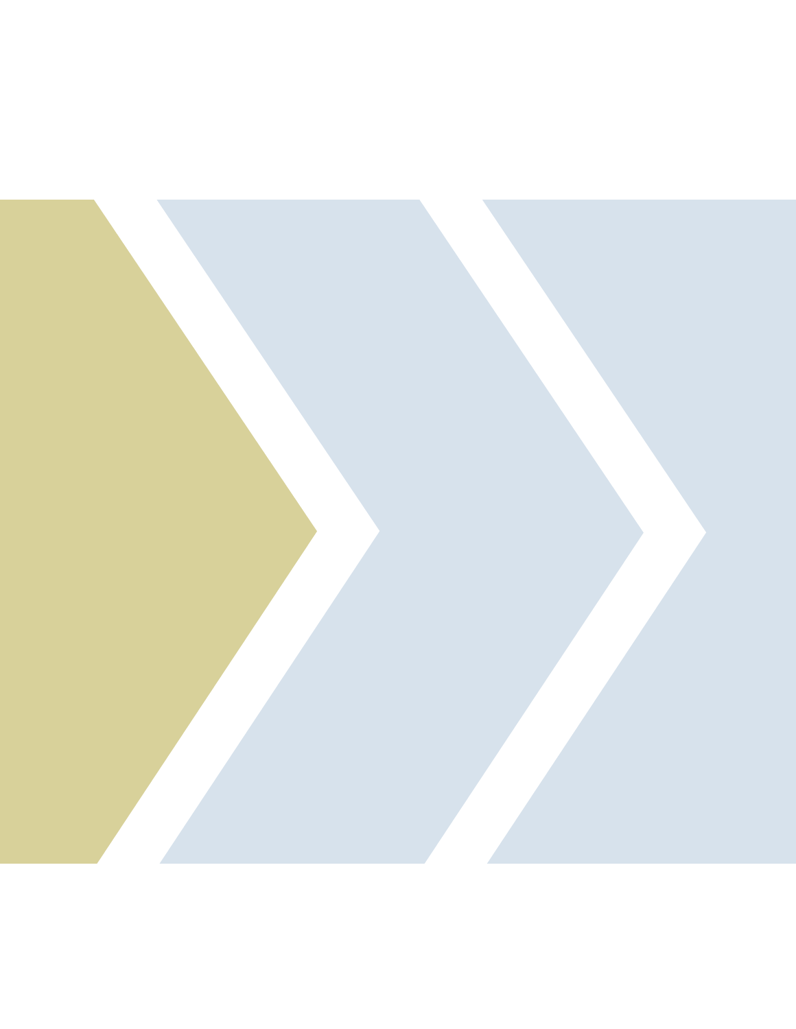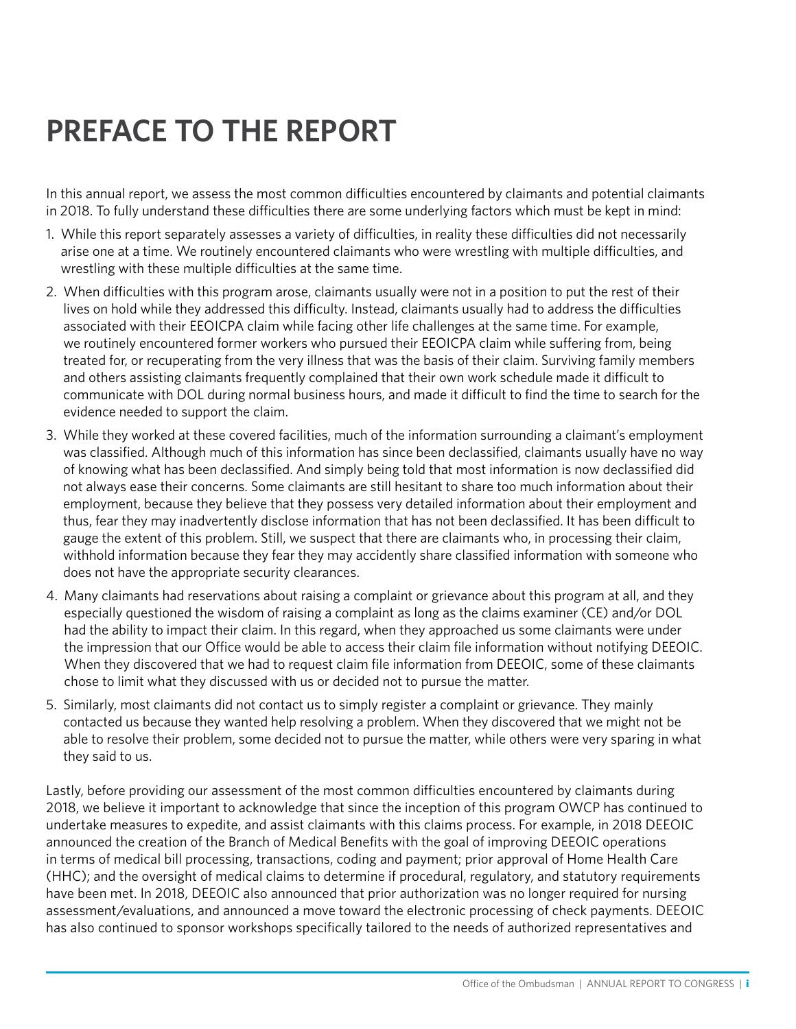## **PREFACE TO THE REPORT**

In this annual report, we assess the most common difficulties encountered by claimants and potential claimants in 2018. To fully understand these difficulties there are some underlying factors which must be kept in mind:

- 1. While this report separately assesses a variety of difficulties, in reality these difficulties did not necessarily arise one at a time. We routinely encountered claimants who were wrestling with multiple difficulties, and wrestling with these multiple difficulties at the same time.
- 2. When difficulties with this program arose, claimants usually were not in a position to put the rest of their lives on hold while they addressed this difficulty. Instead, claimants usually had to address the difficulties associated with their EEOICPA claim while facing other life challenges at the same time. For example, we routinely encountered former workers who pursued their EEOICPA claim while suffering from, being treated for, or recuperating from the very illness that was the basis of their claim. Surviving family members and others assisting claimants frequently complained that their own work schedule made it difficult to communicate with DOL during normal business hours, and made it difficult to find the time to search for the evidence needed to support the claim.
- 3. While they worked at these covered facilities, much of the information surrounding a claimant's employment was classified. Although much of this information has since been declassified, claimants usually have no way of knowing what has been declassified. And simply being told that most information is now declassified did not always ease their concerns. Some claimants are still hesitant to share too much information about their employment, because they believe that they possess very detailed information about their employment and thus, fear they may inadvertently disclose information that has not been declassified. It has been difficult to gauge the extent of this problem. Still, we suspect that there are claimants who, in processing their claim, withhold information because they fear they may accidently share classified information with someone who does not have the appropriate security clearances.
- 4. Many claimants had reservations about raising a complaint or grievance about this program at all, and they especially questioned the wisdom of raising a complaint as long as the claims examiner (CE) and/or DOL had the ability to impact their claim. In this regard, when they approached us some claimants were under the impression that our Office would be able to access their claim file information without notifying DEEOIC. When they discovered that we had to request claim file information from DEEOIC, some of these claimants chose to limit what they discussed with us or decided not to pursue the matter.
- 5. Similarly, most claimants did not contact us to simply register a complaint or grievance. They mainly contacted us because they wanted help resolving a problem. When they discovered that we might not be able to resolve their problem, some decided not to pursue the matter, while others were very sparing in what they said to us.

Lastly, before providing our assessment of the most common difficulties encountered by claimants during 2018, we believe it important to acknowledge that since the inception of this program OWCP has continued to undertake measures to expedite, and assist claimants with this claims process. For example, in 2018 DEEOIC announced the creation of the Branch of Medical Benefits with the goal of improving DEEOIC operations in terms of medical bill processing, transactions, coding and payment; prior approval of Home Health Care (HHC); and the oversight of medical claims to determine if procedural, regulatory, and statutory requirements have been met. In 2018, DEEOIC also announced that prior authorization was no longer required for nursing assessment/evaluations, and announced a move toward the electronic processing of check payments. DEEOIC has also continued to sponsor workshops specifically tailored to the needs of authorized representatives and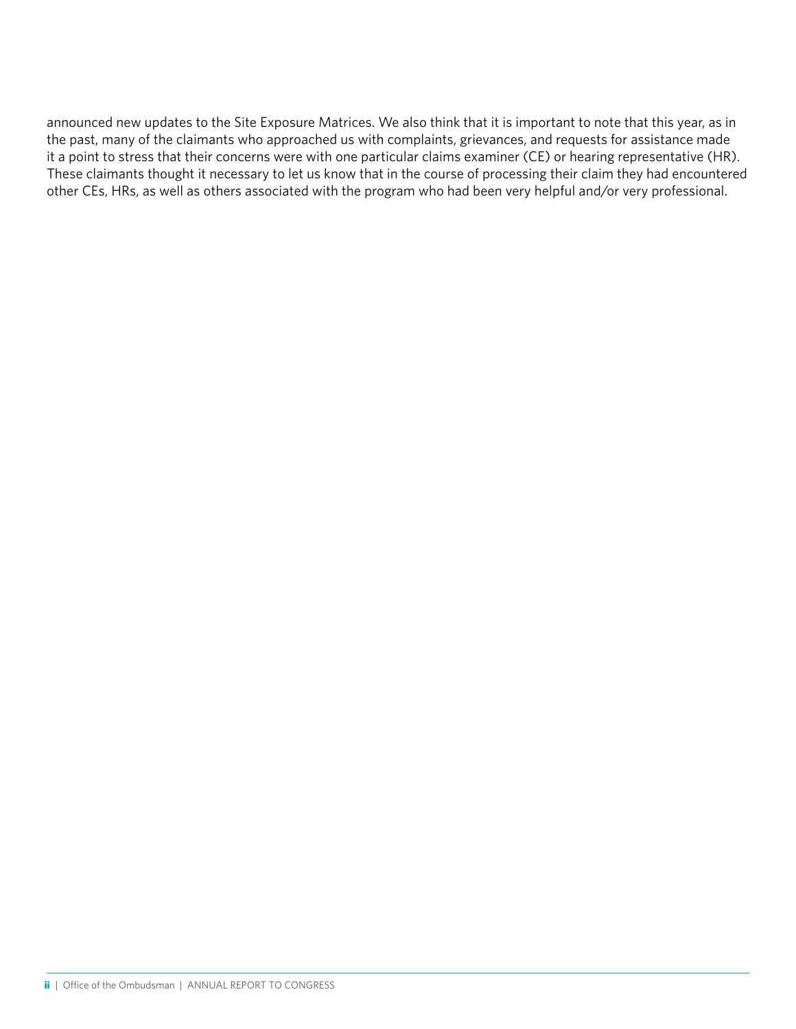announced new updates to the Site Exposure Matrices. We also think that it is important to note that this year, as in the past, many of the claimants who approached us with complaints, grievances, and requests for assistance made it a point to stress that their concerns were with one particular claims examiner (CE) or hearing representative (HR). These claimants thought it necessary to let us know that in the course of processing their claim they had encountered other CEs, HRs, as well as others associated with the program who had been very helpful and/or very professional.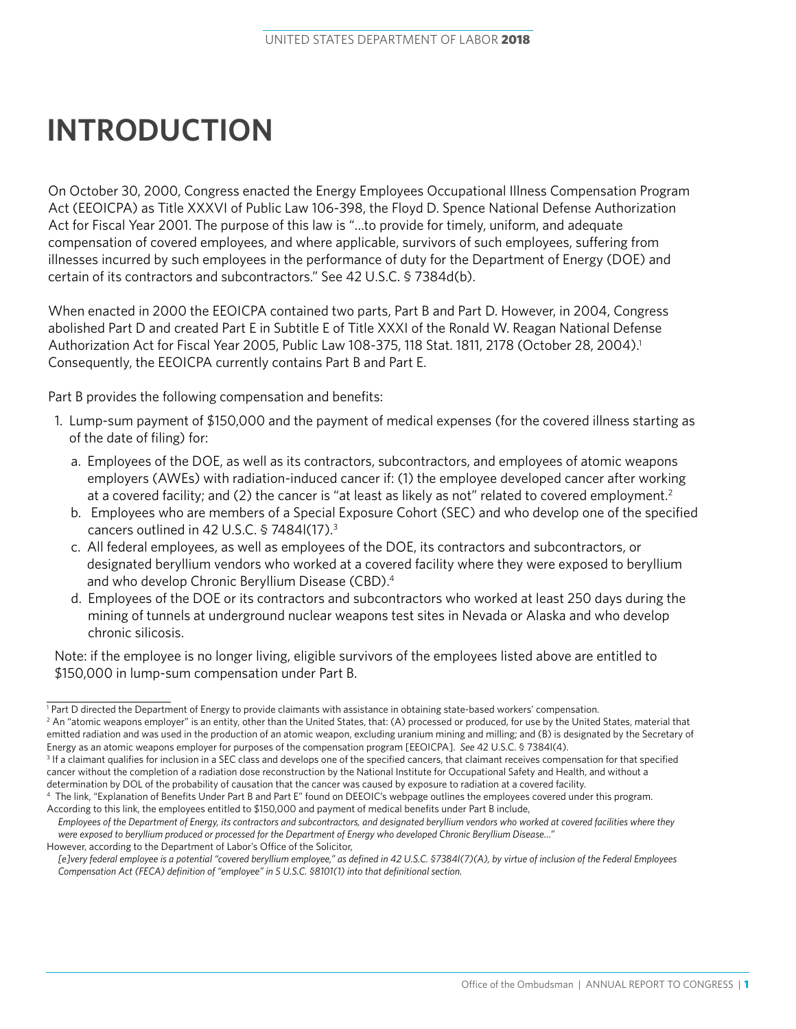## <span id="page-8-0"></span>**INTRODUCTION**

On October 30, 2000, Congress enacted the Energy Employees Occupational Illness Compensation Program Act (EEOICPA) as Title XXXVI of Public Law 106-398, the Floyd D. Spence National Defense Authorization Act for Fiscal Year 2001. The purpose of this law is "…to provide for timely, uniform, and adequate compensation of covered employees, and where applicable, survivors of such employees, suffering from illnesses incurred by such employees in the performance of duty for the Department of Energy (DOE) and certain of its contractors and subcontractors." See 42 U.S.C. § 7384d(b).

When enacted in 2000 the EEOICPA contained two parts, Part B and Part D. However, in 2004, Congress abolished Part D and created Part E in Subtitle E of Title XXXI of the Ronald W. Reagan National Defense Authorization Act for Fiscal Year 2005, Public Law 108-375, 118 Stat. 1811, 2178 (October 28, 2004).<sup>1</sup> Consequently, the EEOICPA currently contains Part B and Part E.

Part B provides the following compensation and benefits:

- 1. Lump-sum payment of \$150,000 and the payment of medical expenses (for the covered illness starting as of the date of filing) for:
	- a. Employees of the DOE, as well as its contractors, subcontractors, and employees of atomic weapons employers (AWEs) with radiation-induced cancer if: (1) the employee developed cancer after working at a covered facility; and (2) the cancer is "at least as likely as not" related to covered employment.<sup>2</sup>
	- b. Employees who are members of a Special Exposure Cohort (SEC) and who develop one of the specified cancers outlined in 42 U.S.C. § 7484I(17).<sup>3</sup>
	- c. All federal employees, as well as employees of the DOE, its contractors and subcontractors, or designated beryllium vendors who worked at a covered facility where they were exposed to beryllium and who develop Chronic Beryllium Disease (CBD).4
	- d. Employees of the DOE or its contractors and subcontractors who worked at least 250 days during the mining of tunnels at underground nuclear weapons test sites in Nevada or Alaska and who develop chronic silicosis.

Note: if the employee is no longer living, eligible survivors of the employees listed above are entitled to \$150,000 in lump-sum compensation under Part B.

<sup>&</sup>lt;sup>1</sup> Part D directed the Department of Energy to provide claimants with assistance in obtaining state-based workers' compensation. 2 An "atomic weapons employer" is an entity, other than the United States, that: (A) processed or produced, for use by the United States, material that emitted radiation and was used in the production of an atomic weapon, excluding uranium mining and milling; and (B) is designated by the Secretary of

Energy as an atomic weapons employer for purposes of the compensation program [EEOICPA]. *See* 42 U.S.C. § 7384l(4). 3 If a claimant qualifies for inclusion in a SEC class and develops one of the specified cancers, that claimant receives compensation for that specified

cancer without the completion of a radiation dose reconstruction by the National Institute for Occupational Safety and Health, and without a determination by DOL of the probability of causation that the cancer was caused by exposure to radiation at a covered facility.

<sup>4</sup> The link, "Explanation of Benefits Under Part B and Part E" found on DEEOIC's webpage outlines the employees covered under this program. According to this link, the employees entitled to \$150,000 and payment of medical benefits under Part B include,

*Employees of the Department of Energy, its contractors and subcontractors, and designated beryllium vendors who worked at covered facilities where they were exposed to beryllium produced or processed for the Department of Energy who developed Chronic Beryllium Disease…"*  However, according to the Department of Labor's Office of the Solicitor,

*<sup>[</sup>e]very federal employee is a potential "covered beryllium employee," as defined in 42 U.S.C. §7384l(7)(A), by virtue of inclusion of the Federal Employees Compensation Act (FECA) definition of "employee" in 5 U.S.C. §8101(1) into that definitional section.*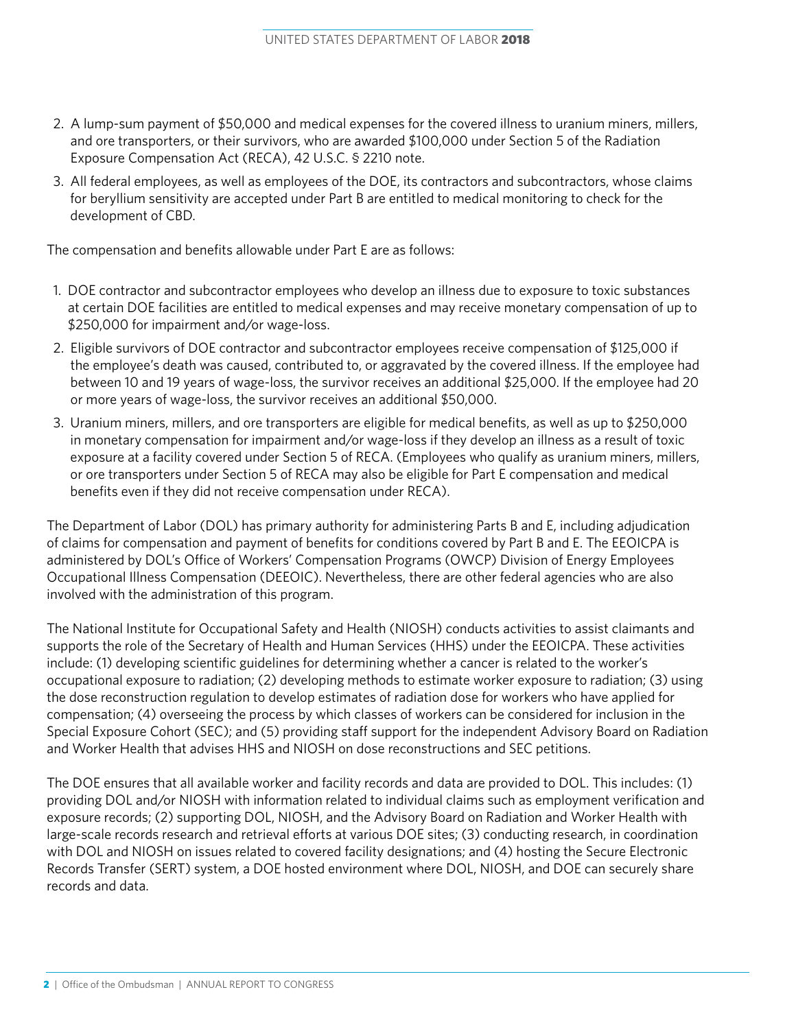- 2. A lump-sum payment of \$50,000 and medical expenses for the covered illness to uranium miners, millers, and ore transporters, or their survivors, who are awarded \$100,000 under Section 5 of the Radiation Exposure Compensation Act (RECA), 42 U.S.C. § 2210 note.
- 3. All federal employees, as well as employees of the DOE, its contractors and subcontractors, whose claims for beryllium sensitivity are accepted under Part B are entitled to medical monitoring to check for the development of CBD.

The compensation and benefits allowable under Part E are as follows:

- 1. DOE contractor and subcontractor employees who develop an illness due to exposure to toxic substances at certain DOE facilities are entitled to medical expenses and may receive monetary compensation of up to \$250,000 for impairment and/or wage-loss.
- 2. Eligible survivors of DOE contractor and subcontractor employees receive compensation of \$125,000 if the employee's death was caused, contributed to, or aggravated by the covered illness. If the employee had between 10 and 19 years of wage-loss, the survivor receives an additional \$25,000. If the employee had 20 or more years of wage-loss, the survivor receives an additional \$50,000.
- 3. Uranium miners, millers, and ore transporters are eligible for medical benefits, as well as up to \$250,000 in monetary compensation for impairment and/or wage-loss if they develop an illness as a result of toxic exposure at a facility covered under Section 5 of RECA. (Employees who qualify as uranium miners, millers, or ore transporters under Section 5 of RECA may also be eligible for Part E compensation and medical benefits even if they did not receive compensation under RECA).

The Department of Labor (DOL) has primary authority for administering Parts B and E, including adjudication of claims for compensation and payment of benefits for conditions covered by Part B and E. The EEOICPA is administered by DOL's Office of Workers' Compensation Programs (OWCP) Division of Energy Employees Occupational Illness Compensation (DEEOIC). Nevertheless, there are other federal agencies who are also involved with the administration of this program.

The National Institute for Occupational Safety and Health (NIOSH) conducts activities to assist claimants and supports the role of the Secretary of Health and Human Services (HHS) under the EEOICPA. These activities include: (1) developing scientific guidelines for determining whether a cancer is related to the worker's occupational exposure to radiation; (2) developing methods to estimate worker exposure to radiation; (3) using the dose reconstruction regulation to develop estimates of radiation dose for workers who have applied for compensation; (4) overseeing the process by which classes of workers can be considered for inclusion in the Special Exposure Cohort (SEC); and (5) providing staff support for the independent Advisory Board on Radiation and Worker Health that advises HHS and NIOSH on dose reconstructions and SEC petitions.

The DOE ensures that all available worker and facility records and data are provided to DOL. This includes: (1) providing DOL and/or NIOSH with information related to individual claims such as employment verification and exposure records; (2) supporting DOL, NIOSH, and the Advisory Board on Radiation and Worker Health with large-scale records research and retrieval efforts at various DOE sites; (3) conducting research, in coordination with DOL and NIOSH on issues related to covered facility designations; and (4) hosting the Secure Electronic Records Transfer (SERT) system, a DOE hosted environment where DOL, NIOSH, and DOE can securely share records and data.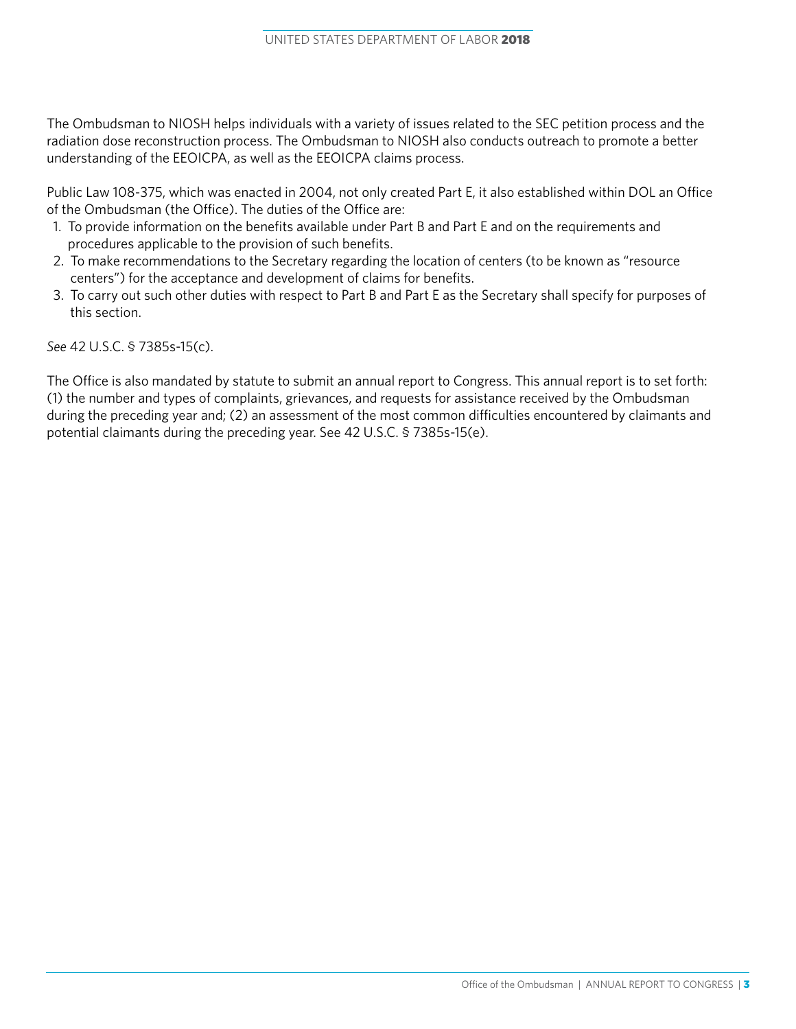The Ombudsman to NIOSH helps individuals with a variety of issues related to the SEC petition process and the radiation dose reconstruction process. The Ombudsman to NIOSH also conducts outreach to promote a better understanding of the EEOICPA, as well as the EEOICPA claims process.

Public Law 108-375, which was enacted in 2004, not only created Part E, it also established within DOL an Office of the Ombudsman (the Office). The duties of the Office are:

- 1. To provide information on the benefits available under Part B and Part E and on the requirements and procedures applicable to the provision of such benefits.
- 2. To make recommendations to the Secretary regarding the location of centers (to be known as "resource centers") for the acceptance and development of claims for benefits.
- 3. To carry out such other duties with respect to Part B and Part E as the Secretary shall specify for purposes of this section.

*See* 42 U.S.C. § 7385s-15(c).

The Office is also mandated by statute to submit an annual report to Congress. This annual report is to set forth: (1) the number and types of complaints, grievances, and requests for assistance received by the Ombudsman during the preceding year and; (2) an assessment of the most common difficulties encountered by claimants and potential claimants during the preceding year. See 42 U.S.C. § 7385s-15(e).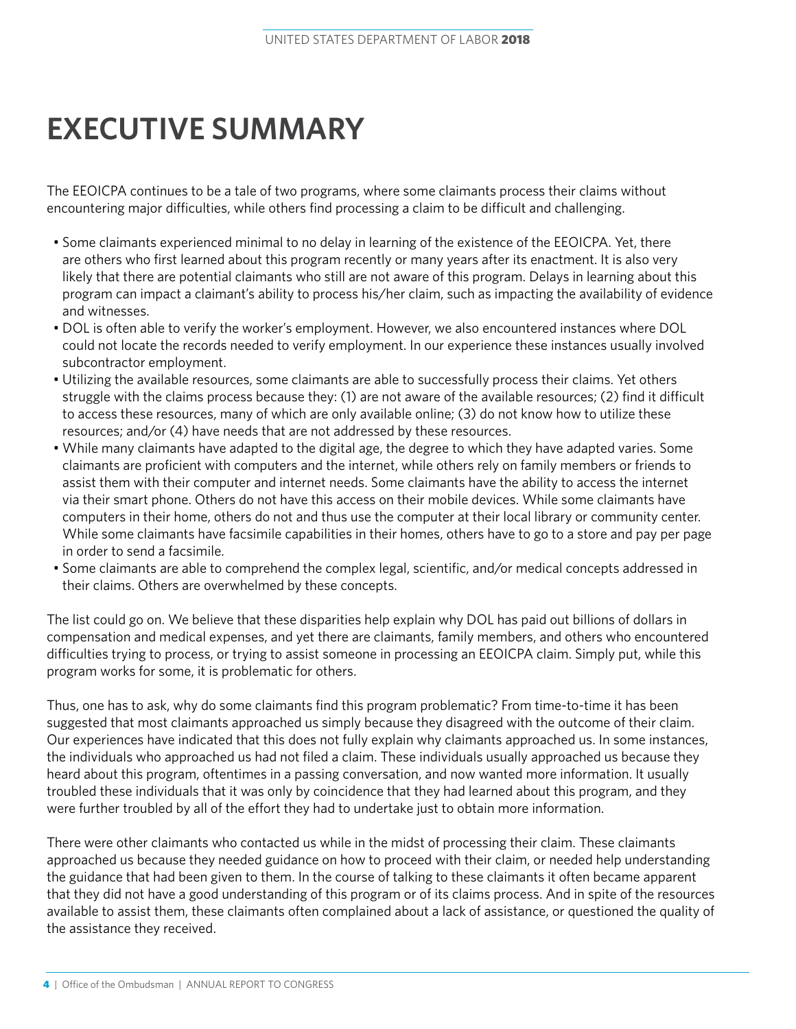## <span id="page-11-0"></span>**EXECUTIVE SUMMARY**

The EEOICPA continues to be a tale of two programs, where some claimants process their claims without encountering major difficulties, while others find processing a claim to be difficult and challenging.

- Some claimants experienced minimal to no delay in learning of the existence of the EEOICPA. Yet, there are others who first learned about this program recently or many years after its enactment. It is also very likely that there are potential claimants who still are not aware of this program. Delays in learning about this program can impact a claimant's ability to process his/her claim, such as impacting the availability of evidence and witnesses.
- DOL is often able to verify the worker's employment. However, we also encountered instances where DOL could not locate the records needed to verify employment. In our experience these instances usually involved subcontractor employment.
- Utilizing the available resources, some claimants are able to successfully process their claims. Yet others struggle with the claims process because they: (1) are not aware of the available resources; (2) find it difficult to access these resources, many of which are only available online; (3) do not know how to utilize these resources; and/or (4) have needs that are not addressed by these resources.
- While many claimants have adapted to the digital age, the degree to which they have adapted varies. Some claimants are proficient with computers and the internet, while others rely on family members or friends to assist them with their computer and internet needs. Some claimants have the ability to access the internet via their smart phone. Others do not have this access on their mobile devices. While some claimants have computers in their home, others do not and thus use the computer at their local library or community center. While some claimants have facsimile capabilities in their homes, others have to go to a store and pay per page in order to send a facsimile.
- Some claimants are able to comprehend the complex legal, scientific, and/or medical concepts addressed in their claims. Others are overwhelmed by these concepts.

The list could go on. We believe that these disparities help explain why DOL has paid out billions of dollars in compensation and medical expenses, and yet there are claimants, family members, and others who encountered difficulties trying to process, or trying to assist someone in processing an EEOICPA claim. Simply put, while this program works for some, it is problematic for others.

Thus, one has to ask, why do some claimants find this program problematic? From time-to-time it has been suggested that most claimants approached us simply because they disagreed with the outcome of their claim. Our experiences have indicated that this does not fully explain why claimants approached us. In some instances, the individuals who approached us had not filed a claim. These individuals usually approached us because they heard about this program, oftentimes in a passing conversation, and now wanted more information. It usually troubled these individuals that it was only by coincidence that they had learned about this program, and they were further troubled by all of the effort they had to undertake just to obtain more information.

There were other claimants who contacted us while in the midst of processing their claim. These claimants approached us because they needed guidance on how to proceed with their claim, or needed help understanding the guidance that had been given to them. In the course of talking to these claimants it often became apparent that they did not have a good understanding of this program or of its claims process. And in spite of the resources available to assist them, these claimants often complained about a lack of assistance, or questioned the quality of the assistance they received.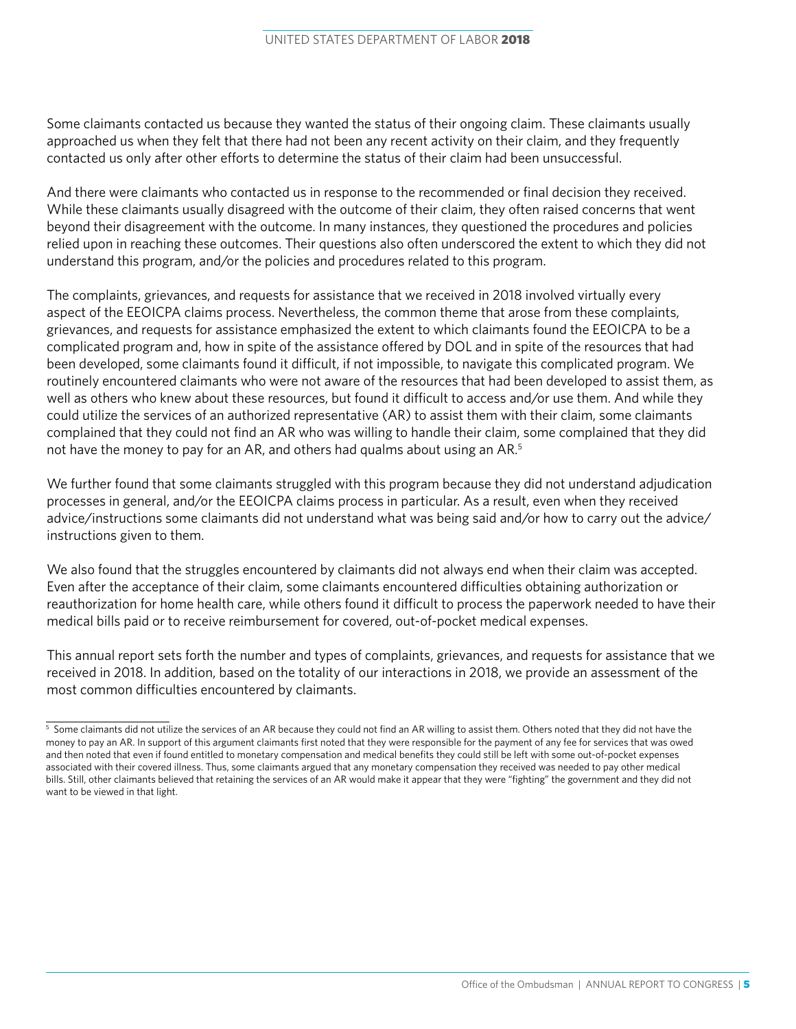Some claimants contacted us because they wanted the status of their ongoing claim. These claimants usually approached us when they felt that there had not been any recent activity on their claim, and they frequently contacted us only after other efforts to determine the status of their claim had been unsuccessful.

And there were claimants who contacted us in response to the recommended or final decision they received. While these claimants usually disagreed with the outcome of their claim, they often raised concerns that went beyond their disagreement with the outcome. In many instances, they questioned the procedures and policies relied upon in reaching these outcomes. Their questions also often underscored the extent to which they did not understand this program, and/or the policies and procedures related to this program.

The complaints, grievances, and requests for assistance that we received in 2018 involved virtually every aspect of the EEOICPA claims process. Nevertheless, the common theme that arose from these complaints, grievances, and requests for assistance emphasized the extent to which claimants found the EEOICPA to be a complicated program and, how in spite of the assistance offered by DOL and in spite of the resources that had been developed, some claimants found it difficult, if not impossible, to navigate this complicated program. We routinely encountered claimants who were not aware of the resources that had been developed to assist them, as well as others who knew about these resources, but found it difficult to access and/or use them. And while they could utilize the services of an authorized representative (AR) to assist them with their claim, some claimants complained that they could not find an AR who was willing to handle their claim, some complained that they did not have the money to pay for an AR, and others had qualms about using an AR.<sup>5</sup>

We further found that some claimants struggled with this program because they did not understand adjudication processes in general, and/or the EEOICPA claims process in particular. As a result, even when they received advice/instructions some claimants did not understand what was being said and/or how to carry out the advice/ instructions given to them.

We also found that the struggles encountered by claimants did not always end when their claim was accepted. Even after the acceptance of their claim, some claimants encountered difficulties obtaining authorization or reauthorization for home health care, while others found it difficult to process the paperwork needed to have their medical bills paid or to receive reimbursement for covered, out-of-pocket medical expenses.

This annual report sets forth the number and types of complaints, grievances, and requests for assistance that we received in 2018. In addition, based on the totality of our interactions in 2018, we provide an assessment of the most common difficulties encountered by claimants.

 $\frac{1}{5}$  Some claimants did not utilize the services of an AR because they could not find an AR willing to assist them. Others noted that they did not have the money to pay an AR. In support of this argument claimants first noted that they were responsible for the payment of any fee for services that was owed and then noted that even if found entitled to monetary compensation and medical benefits they could still be left with some out-of-pocket expenses associated with their covered illness. Thus, some claimants argued that any monetary compensation they received was needed to pay other medical bills. Still, other claimants believed that retaining the services of an AR would make it appear that they were "fighting" the government and they did not want to be viewed in that light.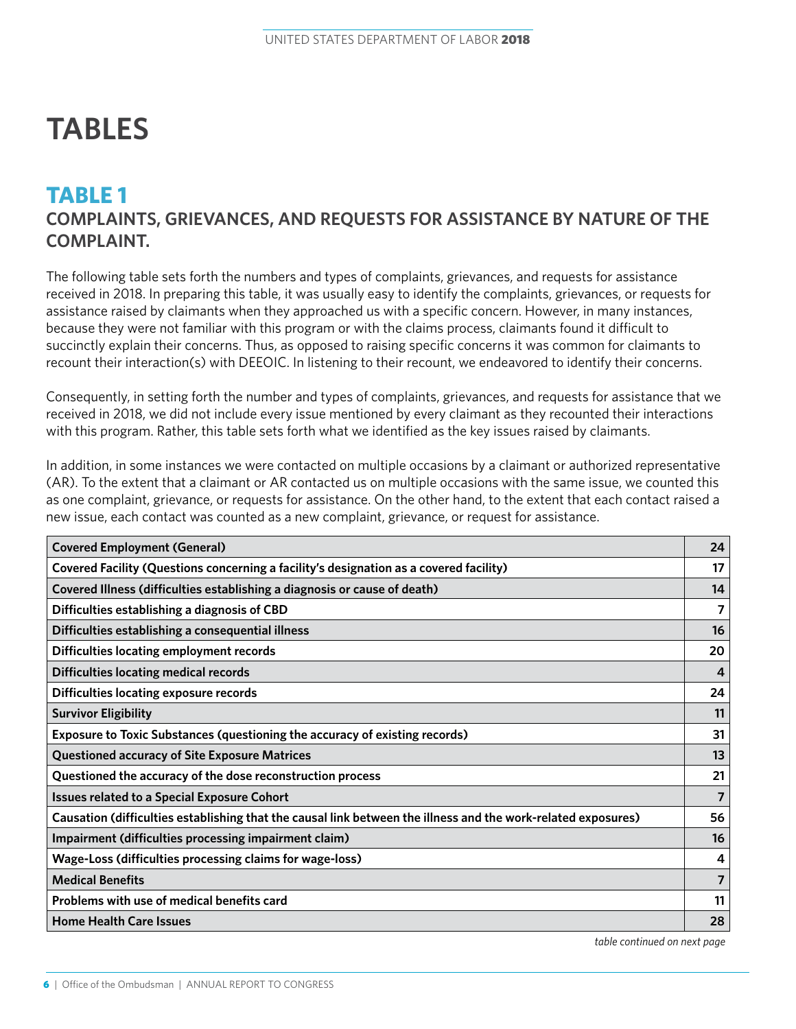## <span id="page-13-0"></span>**TABLES**

## **TABLE 1 COMPLAINTS, GRIEVANCES, AND REQUESTS FOR ASSISTANCE BY NATURE OF THE COMPLAINT.**

The following table sets forth the numbers and types of complaints, grievances, and requests for assistance received in 2018. In preparing this table, it was usually easy to identify the complaints, grievances, or requests for assistance raised by claimants when they approached us with a specific concern. However, in many instances, because they were not familiar with this program or with the claims process, claimants found it difficult to succinctly explain their concerns. Thus, as opposed to raising specific concerns it was common for claimants to recount their interaction(s) with DEEOIC. In listening to their recount, we endeavored to identify their concerns.

Consequently, in setting forth the number and types of complaints, grievances, and requests for assistance that we received in 2018, we did not include every issue mentioned by every claimant as they recounted their interactions with this program. Rather, this table sets forth what we identified as the key issues raised by claimants.

In addition, in some instances we were contacted on multiple occasions by a claimant or authorized representative (AR). To the extent that a claimant or AR contacted us on multiple occasions with the same issue, we counted this as one complaint, grievance, or requests for assistance. On the other hand, to the extent that each contact raised a new issue, each contact was counted as a new complaint, grievance, or request for assistance.

| <b>Covered Employment (General)</b>                                                                           | 24 |
|---------------------------------------------------------------------------------------------------------------|----|
| Covered Facility (Questions concerning a facility's designation as a covered facility)                        | 17 |
| Covered Illness (difficulties establishing a diagnosis or cause of death)                                     | 14 |
| Difficulties establishing a diagnosis of CBD                                                                  |    |
| Difficulties establishing a consequential illness                                                             | 16 |
| Difficulties locating employment records                                                                      | 20 |
| Difficulties locating medical records                                                                         | 4  |
| Difficulties locating exposure records                                                                        | 24 |
| <b>Survivor Eligibility</b>                                                                                   | 11 |
| Exposure to Toxic Substances (questioning the accuracy of existing records)                                   | 31 |
| <b>Questioned accuracy of Site Exposure Matrices</b>                                                          | 13 |
| Questioned the accuracy of the dose reconstruction process                                                    | 21 |
| <b>Issues related to a Special Exposure Cohort</b>                                                            | 7  |
| Causation (difficulties establishing that the causal link between the illness and the work-related exposures) | 56 |
| Impairment (difficulties processing impairment claim)                                                         | 16 |
| Wage-Loss (difficulties processing claims for wage-loss)                                                      | 4  |
| <b>Medical Benefits</b>                                                                                       | 7  |
| Problems with use of medical benefits card                                                                    | 11 |
| <b>Home Health Care Issues</b>                                                                                | 28 |

*table continued on next page*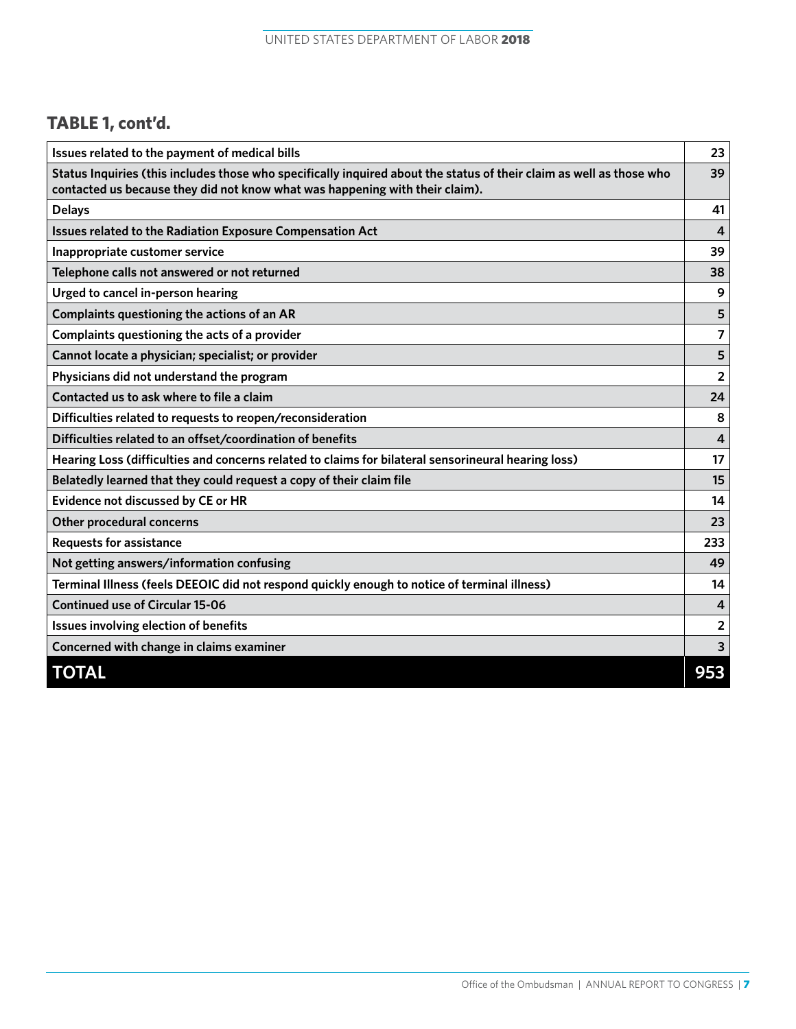## **TABLE 1, cont'd.**

| Issues related to the payment of medical bills                                                                                                                                                       | 23                      |
|------------------------------------------------------------------------------------------------------------------------------------------------------------------------------------------------------|-------------------------|
| Status Inquiries (this includes those who specifically inquired about the status of their claim as well as those who<br>contacted us because they did not know what was happening with their claim). | 39                      |
| <b>Delays</b>                                                                                                                                                                                        | 41                      |
| <b>Issues related to the Radiation Exposure Compensation Act</b>                                                                                                                                     | $\overline{4}$          |
| Inappropriate customer service                                                                                                                                                                       | 39                      |
| Telephone calls not answered or not returned                                                                                                                                                         | 38                      |
| Urged to cancel in-person hearing                                                                                                                                                                    | 9                       |
| Complaints questioning the actions of an AR                                                                                                                                                          | 5                       |
| Complaints questioning the acts of a provider                                                                                                                                                        | 7                       |
| Cannot locate a physician; specialist; or provider                                                                                                                                                   | 5                       |
| Physicians did not understand the program                                                                                                                                                            | $\overline{2}$          |
| Contacted us to ask where to file a claim                                                                                                                                                            | 24                      |
| Difficulties related to requests to reopen/reconsideration                                                                                                                                           | 8                       |
| Difficulties related to an offset/coordination of benefits                                                                                                                                           | $\overline{4}$          |
| Hearing Loss (difficulties and concerns related to claims for bilateral sensorineural hearing loss)                                                                                                  | 17                      |
| Belatedly learned that they could request a copy of their claim file                                                                                                                                 | 15                      |
| Evidence not discussed by CE or HR                                                                                                                                                                   | 14                      |
| Other procedural concerns                                                                                                                                                                            | 23                      |
| <b>Requests for assistance</b>                                                                                                                                                                       | 233                     |
| Not getting answers/information confusing                                                                                                                                                            | 49                      |
| Terminal Illness (feels DEEOIC did not respond quickly enough to notice of terminal illness)                                                                                                         | 14                      |
| <b>Continued use of Circular 15-06</b>                                                                                                                                                               | 4                       |
| Issues involving election of benefits                                                                                                                                                                | $\overline{\mathbf{c}}$ |
| Concerned with change in claims examiner                                                                                                                                                             | 3                       |
| <b>TOTAL</b>                                                                                                                                                                                         | 953                     |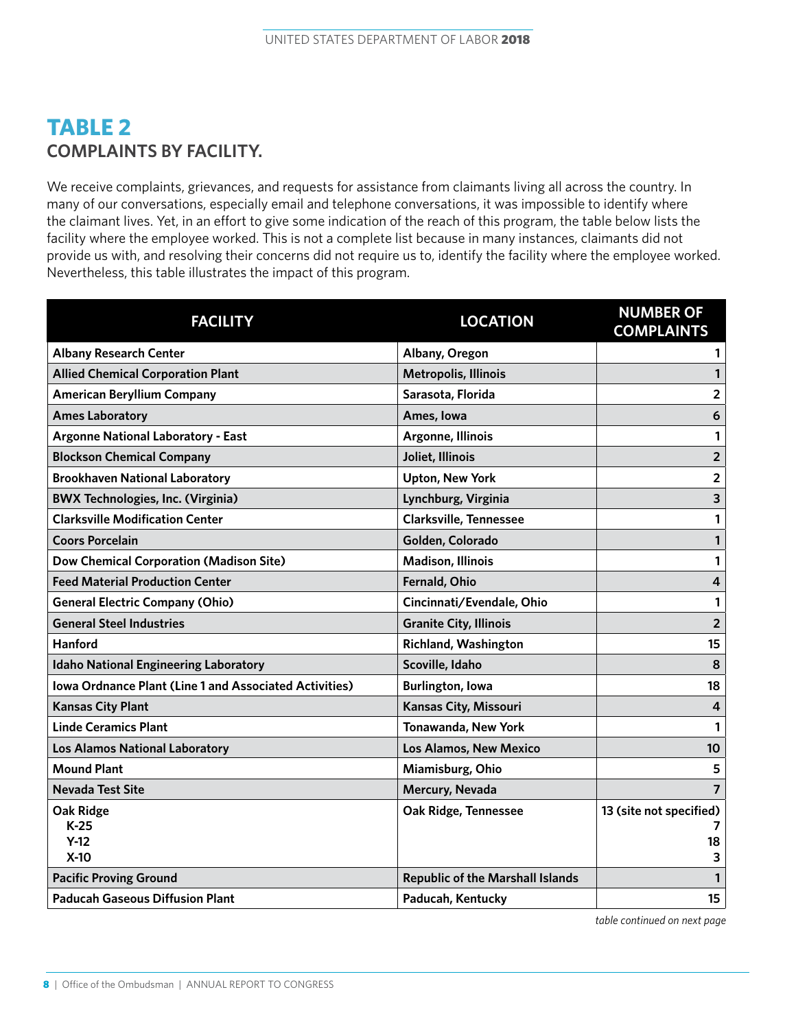## <span id="page-15-0"></span>**TABLE 2 COMPLAINTS BY FACILITY.**

We receive complaints, grievances, and requests for assistance from claimants living all across the country. In many of our conversations, especially email and telephone conversations, it was impossible to identify where the claimant lives. Yet, in an effort to give some indication of the reach of this program, the table below lists the facility where the employee worked. This is not a complete list because in many instances, claimants did not provide us with, and resolving their concerns did not require us to, identify the facility where the employee worked. Nevertheless, this table illustrates the impact of this program.

| <b>FACILITY</b>                                               | <b>LOCATION</b>                         | <b>NUMBER OF</b><br><b>COMPLAINTS</b>   |
|---------------------------------------------------------------|-----------------------------------------|-----------------------------------------|
| <b>Albany Research Center</b>                                 | Albany, Oregon                          | 1                                       |
| <b>Allied Chemical Corporation Plant</b>                      | <b>Metropolis, Illinois</b>             | 1                                       |
| <b>American Beryllium Company</b>                             | Sarasota, Florida                       | $\mathbf{2}$                            |
| <b>Ames Laboratory</b>                                        | Ames, Iowa                              | 6                                       |
| Argonne National Laboratory - East                            | Argonne, Illinois                       | 1                                       |
| <b>Blockson Chemical Company</b>                              | Joliet, Illinois                        | $\overline{2}$                          |
| <b>Brookhaven National Laboratory</b>                         | <b>Upton, New York</b>                  | $\overline{2}$                          |
| <b>BWX Technologies, Inc. (Virginia)</b>                      | Lynchburg, Virginia                     | 3                                       |
| <b>Clarksville Modification Center</b>                        | <b>Clarksville, Tennessee</b>           | 1                                       |
| <b>Coors Porcelain</b>                                        | Golden, Colorado                        | 1                                       |
| <b>Dow Chemical Corporation (Madison Site)</b>                | <b>Madison, Illinois</b>                | 1                                       |
| <b>Feed Material Production Center</b>                        | Fernald, Ohio                           | 4                                       |
| <b>General Electric Company (Ohio)</b>                        | Cincinnati/Evendale, Ohio               | 1                                       |
| <b>General Steel Industries</b>                               | <b>Granite City, Illinois</b>           | $\overline{2}$                          |
| Hanford                                                       | Richland, Washington                    | 15                                      |
| <b>Idaho National Engineering Laboratory</b>                  | Scoville, Idaho                         | 8                                       |
| <b>Iowa Ordnance Plant (Line 1 and Associated Activities)</b> | <b>Burlington, Iowa</b>                 | 18                                      |
| <b>Kansas City Plant</b>                                      | <b>Kansas City, Missouri</b>            | 4                                       |
| <b>Linde Ceramics Plant</b>                                   | <b>Tonawanda, New York</b>              | 1                                       |
| Los Alamos National Laboratory                                | <b>Los Alamos, New Mexico</b>           | 10                                      |
| <b>Mound Plant</b>                                            | Miamisburg, Ohio                        | 5                                       |
| <b>Nevada Test Site</b>                                       | Mercury, Nevada                         | $\overline{7}$                          |
| <b>Oak Ridge</b><br>$K-25$<br>$Y-12$<br>$X-10$                | <b>Oak Ridge, Tennessee</b>             | 13 (site not specified)<br>7<br>18<br>3 |
| <b>Pacific Proving Ground</b>                                 | <b>Republic of the Marshall Islands</b> | 1                                       |
| <b>Paducah Gaseous Diffusion Plant</b>                        | Paducah, Kentucky                       | 15                                      |

*table continued on next page*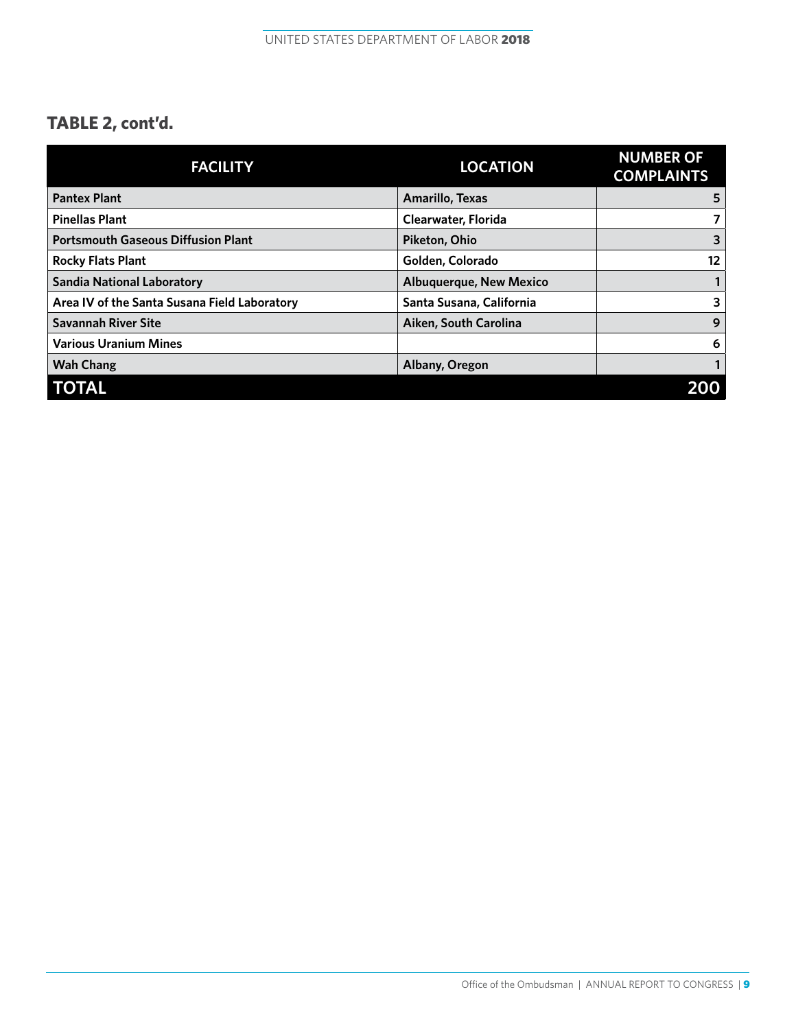## **TABLE 2, cont'd.**

| <b>FACILITY</b>                              | <b>LOCATION</b>                | <b>NUMBER OF</b><br><b>COMPLAINTS</b> |
|----------------------------------------------|--------------------------------|---------------------------------------|
| <b>Pantex Plant</b>                          | Amarillo, Texas                | 5                                     |
| <b>Pinellas Plant</b>                        | Clearwater, Florida            | 7                                     |
| <b>Portsmouth Gaseous Diffusion Plant</b>    | Piketon, Ohio                  | 3                                     |
| <b>Rocky Flats Plant</b>                     | Golden, Colorado               | $12 \,$                               |
| <b>Sandia National Laboratory</b>            | <b>Albuquerque, New Mexico</b> |                                       |
| Area IV of the Santa Susana Field Laboratory | Santa Susana, California       | 3                                     |
| <b>Savannah River Site</b>                   | Aiken, South Carolina          | 9                                     |
| <b>Various Uranium Mines</b>                 |                                | 6                                     |
| <b>Wah Chang</b>                             | Albany, Oregon                 |                                       |
| <b>TOTAL</b>                                 |                                |                                       |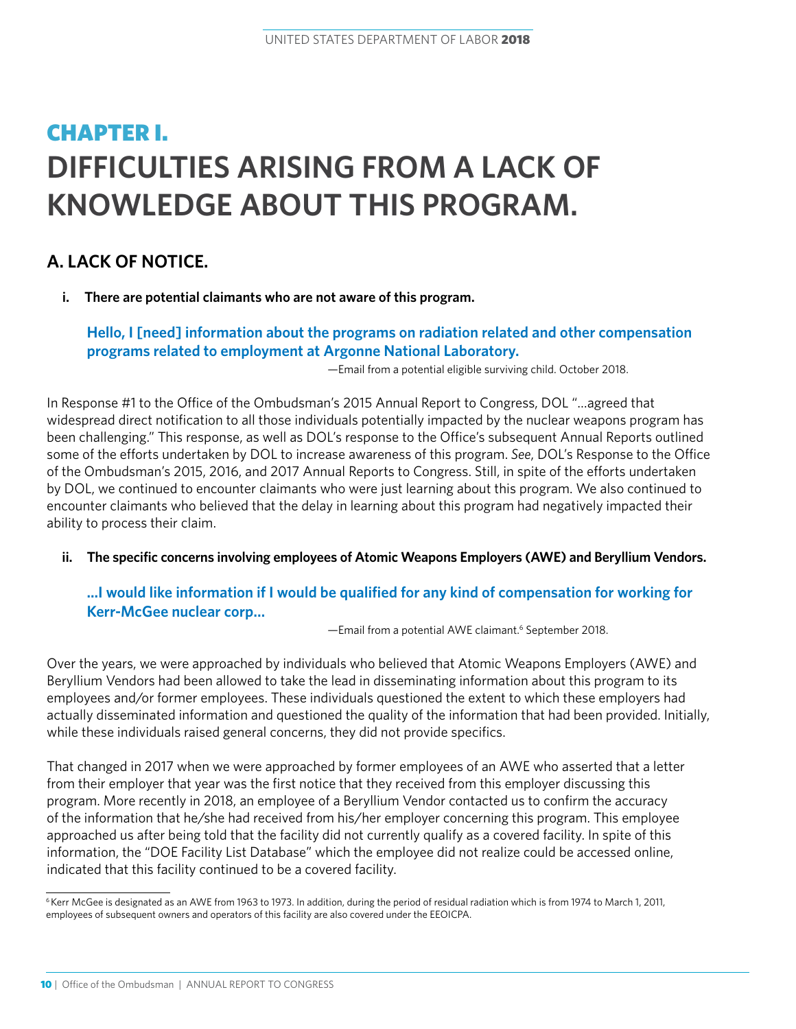## <span id="page-17-0"></span>CHAPTER I. **DIFFICULTIES ARISING FROM A LACK OF KNOWLEDGE ABOUT THIS PROGRAM.**

### **A. LACK OF NOTICE.**

 **i. There are potential claimants who are not aware of this program.** 

**Hello, I [need] information about the programs on radiation related and other compensation programs related to employment at Argonne National Laboratory.** 

—Email from a potential eligible surviving child. October 2018.

In Response #1 to the Office of the Ombudsman's 2015 Annual Report to Congress, DOL "…agreed that widespread direct notification to all those individuals potentially impacted by the nuclear weapons program has been challenging." This response, as well as DOL's response to the Office's subsequent Annual Reports outlined some of the efforts undertaken by DOL to increase awareness of this program. *See*, DOL's Response to the Office of the Ombudsman's 2015, 2016, and 2017 Annual Reports to Congress. Still, in spite of the efforts undertaken by DOL, we continued to encounter claimants who were just learning about this program. We also continued to encounter claimants who believed that the delay in learning about this program had negatively impacted their ability to process their claim.

#### **ii. The specific concerns involving employees of Atomic Weapons Employers (AWE) and Beryllium Vendors.**

**...I would like information if I would be qualified for any kind of compensation for working for Kerr-McGee nuclear corp…** 

 $-$ Email from a potential AWE claimant.<sup>6</sup> September 2018.

Over the years, we were approached by individuals who believed that Atomic Weapons Employers (AWE) and Beryllium Vendors had been allowed to take the lead in disseminating information about this program to its employees and/or former employees. These individuals questioned the extent to which these employers had actually disseminated information and questioned the quality of the information that had been provided. Initially, while these individuals raised general concerns, they did not provide specifics.

That changed in 2017 when we were approached by former employees of an AWE who asserted that a letter from their employer that year was the first notice that they received from this employer discussing this program. More recently in 2018, an employee of a Beryllium Vendor contacted us to confirm the accuracy of the information that he/she had received from his/her employer concerning this program. This employee approached us after being told that the facility did not currently qualify as a covered facility. In spite of this information, the "DOE Facility List Database" which the employee did not realize could be accessed online, indicated that this facility continued to be a covered facility.

<sup>6</sup> Kerr McGee is designated as an AWE from 1963 to 1973. In addition, during the period of residual radiation which is from 1974 to March 1, 2011, employees of subsequent owners and operators of this facility are also covered under the EEOICPA.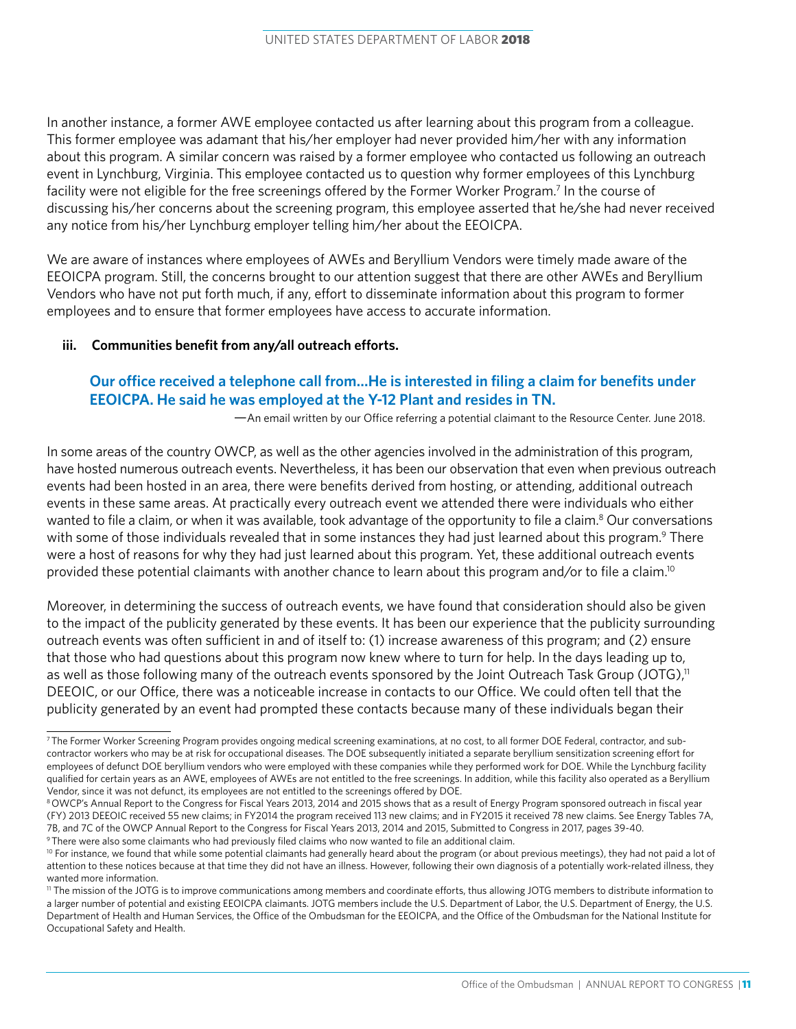In another instance, a former AWE employee contacted us after learning about this program from a colleague. This former employee was adamant that his/her employer had never provided him/her with any information about this program. A similar concern was raised by a former employee who contacted us following an outreach event in Lynchburg, Virginia. This employee contacted us to question why former employees of this Lynchburg facility were not eligible for the free screenings offered by the Former Worker Program.7 In the course of discussing his/her concerns about the screening program, this employee asserted that he/she had never received any notice from his/her Lynchburg employer telling him/her about the EEOICPA.

We are aware of instances where employees of AWEs and Beryllium Vendors were timely made aware of the EEOICPA program. Still, the concerns brought to our attention suggest that there are other AWEs and Beryllium Vendors who have not put forth much, if any, effort to disseminate information about this program to former employees and to ensure that former employees have access to accurate information.

#### **iii. Communities benefit from any/all outreach efforts.**

#### **Our office received a telephone call from…He is interested in filing a claim for benefits under EEOICPA. He said he was employed at the Y-12 Plant and resides in TN.**

—An email written by our Office referring a potential claimant to the Resource Center. June 2018.

In some areas of the country OWCP, as well as the other agencies involved in the administration of this program, have hosted numerous outreach events. Nevertheless, it has been our observation that even when previous outreach events had been hosted in an area, there were benefits derived from hosting, or attending, additional outreach events in these same areas. At practically every outreach event we attended there were individuals who either wanted to file a claim, or when it was available, took advantage of the opportunity to file a claim.<sup>8</sup> Our conversations with some of those individuals revealed that in some instances they had just learned about this program.<sup>9</sup> There were a host of reasons for why they had just learned about this program. Yet, these additional outreach events provided these potential claimants with another chance to learn about this program and/or to file a claim.10

Moreover, in determining the success of outreach events, we have found that consideration should also be given to the impact of the publicity generated by these events. It has been our experience that the publicity surrounding outreach events was often sufficient in and of itself to: (1) increase awareness of this program; and (2) ensure that those who had questions about this program now knew where to turn for help. In the days leading up to, as well as those following many of the outreach events sponsored by the Joint Outreach Task Group (JOTG),<sup>11</sup> DEEOIC, or our Office, there was a noticeable increase in contacts to our Office. We could often tell that the publicity generated by an event had prompted these contacts because many of these individuals began their

<sup>7</sup> The Former Worker Screening Program provides ongoing medical screening examinations, at no cost, to all former DOE Federal, contractor, and subcontractor workers who may be at risk for occupational diseases. The DOE subsequently initiated a separate beryllium sensitization screening effort for employees of defunct DOE beryllium vendors who were employed with these companies while they performed work for DOE. While the Lynchburg facility qualified for certain years as an AWE, employees of AWEs are not entitled to the free screenings. In addition, while this facility also operated as a Beryllium Vendor, since it was not defunct, its employees are not entitled to the screenings offered by DOE.

<sup>&</sup>lt;sup>8</sup> OWCP's Annual Report to the Congress for Fiscal Years 2013, 2014 and 2015 shows that as a result of Energy Program sponsored outreach in fiscal year (FY) 2013 DEEOIC received 55 new claims; in FY2014 the program received 113 new claims; and in FY2015 it received 78 new claims. See Energy Tables 7A, 7B, and 7C of the OWCP Annual Report to the Congress for Fiscal Years 2013, 2014 and 2015, Submitted to Congress in 2017, pages 39-40. 9 There were also some claimants who had previously filed claims who now wanted to file an additional claim.

<sup>&</sup>lt;sup>10</sup> For instance, we found that while some potential claimants had generally heard about the program (or about previous meetings), they had not paid a lot of attention to these notices because at that time they did not have an illness. However, following their own diagnosis of a potentially work-related illness, they wanted more information.

<sup>11</sup> The mission of the JOTG is to improve communications among members and coordinate efforts, thus allowing JOTG members to distribute information to a larger number of potential and existing EEOICPA claimants. JOTG members include the U.S. Department of Labor, the U.S. Department of Energy, the U.S. Department of Health and Human Services, the Office of the Ombudsman for the EEOICPA, and the Office of the Ombudsman for the National Institute for Occupational Safety and Health.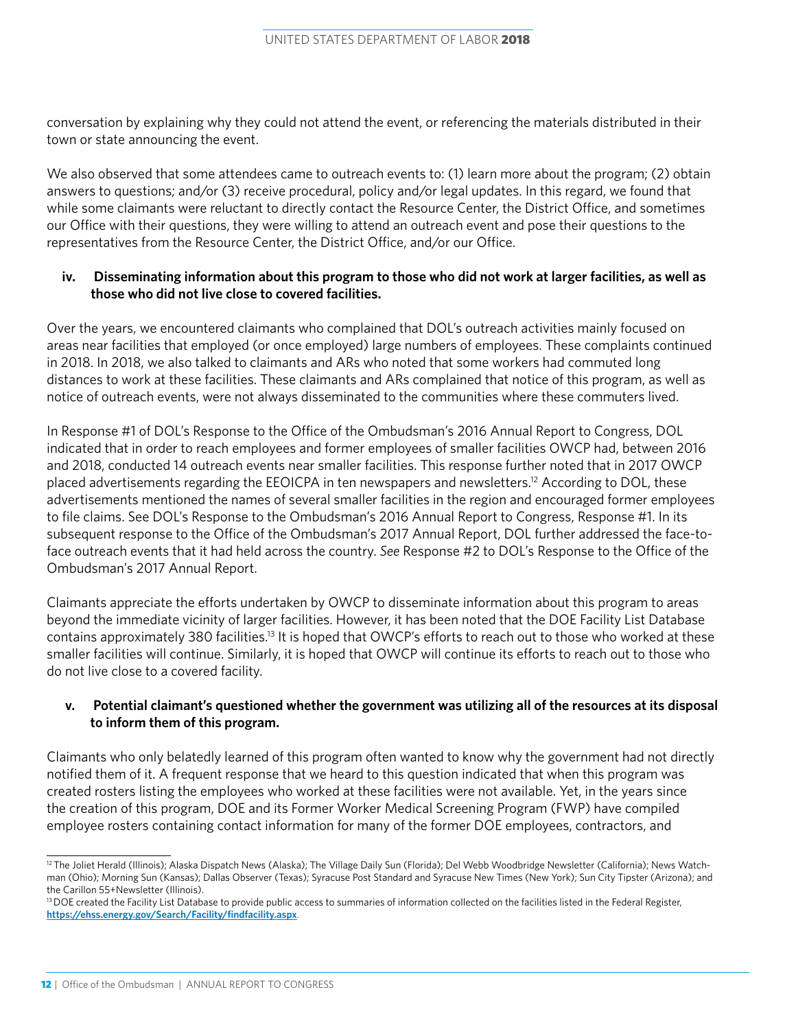conversation by explaining why they could not attend the event, or referencing the materials distributed in their town or state announcing the event.

We also observed that some attendees came to outreach events to: (1) learn more about the program; (2) obtain answers to questions; and/or (3) receive procedural, policy and/or legal updates. In this regard, we found that while some claimants were reluctant to directly contact the Resource Center, the District Office, and sometimes our Office with their questions, they were willing to attend an outreach event and pose their questions to the representatives from the Resource Center, the District Office, and/or our Office.

#### **iv. Disseminating information about this program to those who did not work at larger facilities, as well as those who did not live close to covered facilities.**

Over the years, we encountered claimants who complained that DOL's outreach activities mainly focused on areas near facilities that employed (or once employed) large numbers of employees. These complaints continued in 2018. In 2018, we also talked to claimants and ARs who noted that some workers had commuted long distances to work at these facilities. These claimants and ARs complained that notice of this program, as well as notice of outreach events, were not always disseminated to the communities where these commuters lived.

In Response #1 of DOL's Response to the Office of the Ombudsman's 2016 Annual Report to Congress, DOL indicated that in order to reach employees and former employees of smaller facilities OWCP had, between 2016 and 2018, conducted 14 outreach events near smaller facilities. This response further noted that in 2017 OWCP placed advertisements regarding the EEOICPA in ten newspapers and newsletters.<sup>12</sup> According to DOL, these advertisements mentioned the names of several smaller facilities in the region and encouraged former employees to file claims. See DOL's Response to the Ombudsman's 2016 Annual Report to Congress, Response #1. In its subsequent response to the Office of the Ombudsman's 2017 Annual Report, DOL further addressed the face-toface outreach events that it had held across the country. *See* Response #2 to DOL's Response to the Office of the Ombudsman's 2017 Annual Report.

Claimants appreciate the efforts undertaken by OWCP to disseminate information about this program to areas beyond the immediate vicinity of larger facilities. However, it has been noted that the DOE Facility List Database contains approximately 380 facilities.<sup>13</sup> It is hoped that OWCP's efforts to reach out to those who worked at these smaller facilities will continue. Similarly, it is hoped that OWCP will continue its efforts to reach out to those who do not live close to a covered facility.

#### **v. Potential claimant's questioned whether the government was utilizing all of the resources at its disposal to inform them of this program.**

Claimants who only belatedly learned of this program often wanted to know why the government had not directly notified them of it. A frequent response that we heard to this question indicated that when this program was created rosters listing the employees who worked at these facilities were not available. Yet, in the years since the creation of this program, DOE and its Former Worker Medical Screening Program (FWP) have compiled employee rosters containing contact information for many of the former DOE employees, contractors, and

<sup>&</sup>lt;sup>12</sup> The Joliet Herald (Illinois); Alaska Dispatch News (Alaska); The Village Daily Sun (Florida); Del Webb Woodbridge Newsletter (California); News Watchman (Ohio); Morning Sun (Kansas); Dallas Observer (Texas); Syracuse Post Standard and Syracuse New Times (New York); Sun City Tipster (Arizona); and the Carillon 55+Newsletter (Illinois).

<sup>&</sup>lt;sup>13</sup> DOE created the Facility List Database to provide public access to summaries of information collected on the facilities listed in the Federal Register, **<https://ehss.energy.gov/Search/Facility/findfacility.aspx>**.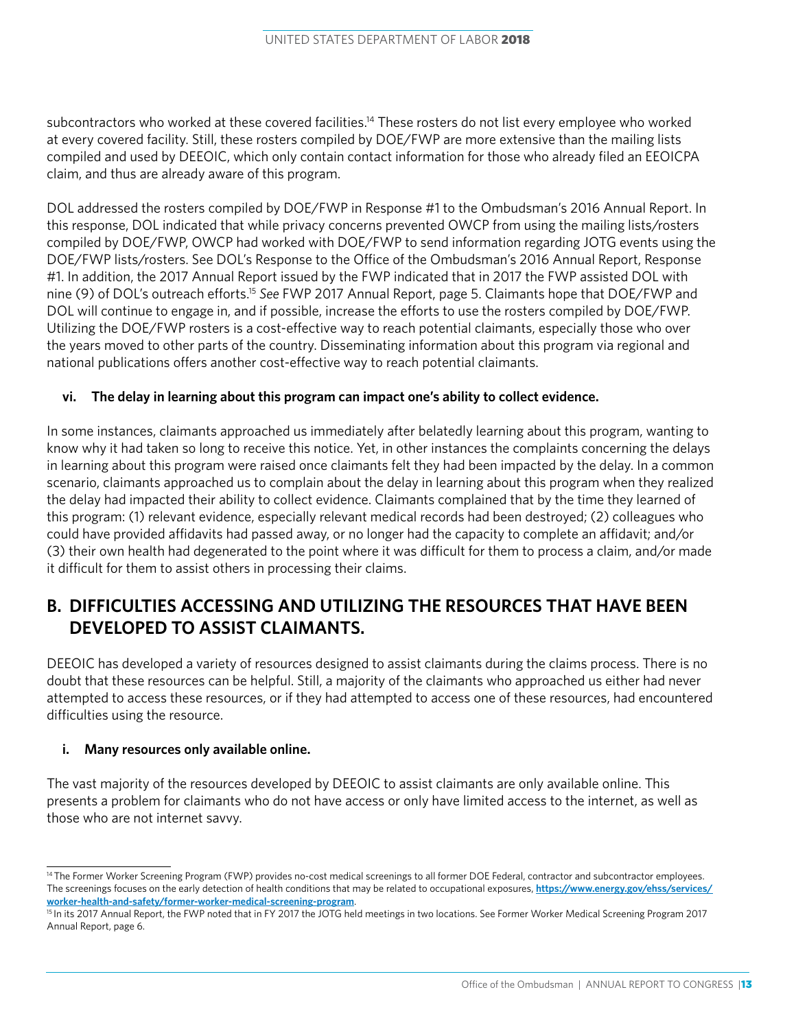<span id="page-20-0"></span>subcontractors who worked at these covered facilities.<sup>14</sup> These rosters do not list every employee who worked at every covered facility. Still, these rosters compiled by DOE/FWP are more extensive than the mailing lists compiled and used by DEEOIC, which only contain contact information for those who already filed an EEOICPA claim, and thus are already aware of this program.

DOL addressed the rosters compiled by DOE/FWP in Response #1 to the Ombudsman's 2016 Annual Report. In this response, DOL indicated that while privacy concerns prevented OWCP from using the mailing lists/rosters compiled by DOE/FWP, OWCP had worked with DOE/FWP to send information regarding JOTG events using the DOE/FWP lists/rosters. See DOL's Response to the Office of the Ombudsman's 2016 Annual Report, Response #1. In addition, the 2017 Annual Report issued by the FWP indicated that in 2017 the FWP assisted DOL with nine (9) of DOL's outreach efforts.15 *See* FWP 2017 Annual Report, page 5. Claimants hope that DOE/FWP and DOL will continue to engage in, and if possible, increase the efforts to use the rosters compiled by DOE/FWP. Utilizing the DOE/FWP rosters is a cost-effective way to reach potential claimants, especially those who over the years moved to other parts of the country. Disseminating information about this program via regional and national publications offers another cost-effective way to reach potential claimants.

#### **vi. The delay in learning about this program can impact one's ability to collect evidence.**

In some instances, claimants approached us immediately after belatedly learning about this program, wanting to know why it had taken so long to receive this notice. Yet, in other instances the complaints concerning the delays in learning about this program were raised once claimants felt they had been impacted by the delay. In a common scenario, claimants approached us to complain about the delay in learning about this program when they realized the delay had impacted their ability to collect evidence. Claimants complained that by the time they learned of this program: (1) relevant evidence, especially relevant medical records had been destroyed; (2) colleagues who could have provided affidavits had passed away, or no longer had the capacity to complete an affidavit; and/or (3) their own health had degenerated to the point where it was difficult for them to process a claim, and/or made it difficult for them to assist others in processing their claims.

### **B. DIFFICULTIES ACCESSING AND UTILIZING THE RESOURCES THAT HAVE BEEN DEVELOPED TO ASSIST CLAIMANTS.**

DEEOIC has developed a variety of resources designed to assist claimants during the claims process. There is no doubt that these resources can be helpful. Still, a majority of the claimants who approached us either had never attempted to access these resources, or if they had attempted to access one of these resources, had encountered difficulties using the resource.

#### **i. Many resources only available online.**

The vast majority of the resources developed by DEEOIC to assist claimants are only available online. This presents a problem for claimants who do not have access or only have limited access to the internet, as well as those who are not internet savvy.

<sup>14</sup> The Former Worker Screening Program (FWP) provides no-cost medical screenings to all former DOE Federal, contractor and subcontractor employees. The screenings focuses on the early detection of health conditions that may be related to occupational exposures, **[https://www.energy.gov/ehss/services/](https://www.energy.gov/ehss/services/worker-health-and-safety/former-worker-medical-screening-program) worker-health-and-safety/former-worker-medical-screening-program**.

<sup>&</sup>lt;sup>15</sup> In its 2017 Annual Report, the FWP noted that in FY 2017 the JOTG held meetings in two locations. See Former Worker Medical Screening Program 2017 Annual Report, page 6.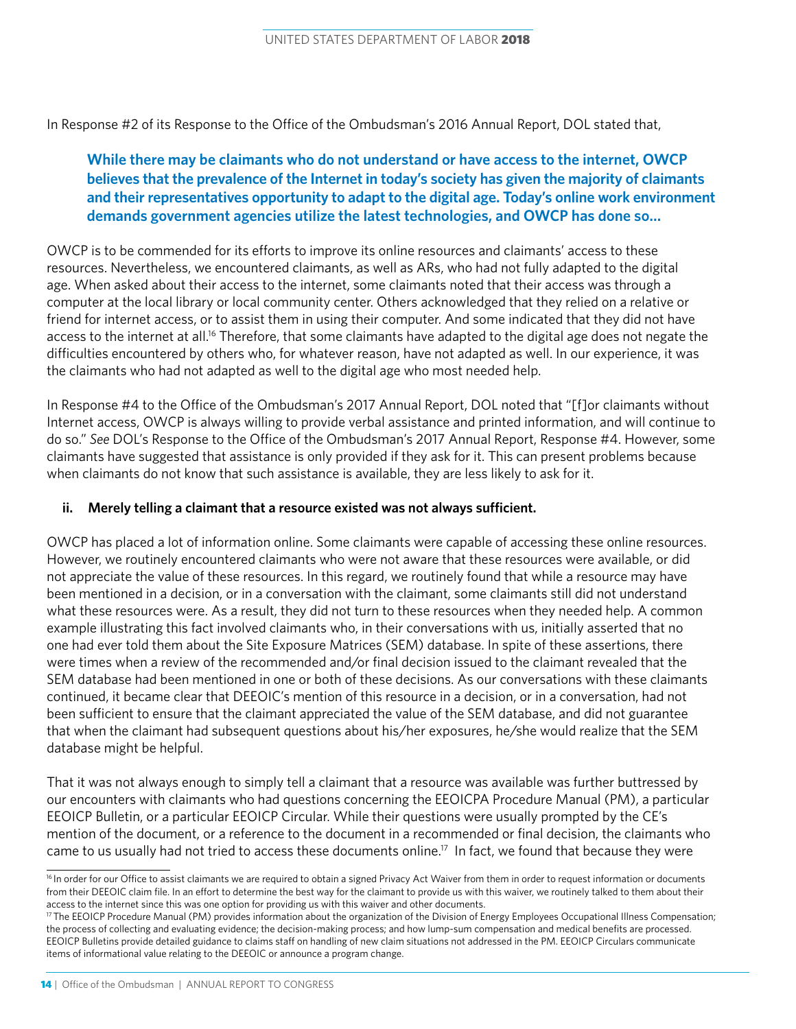In Response #2 of its Response to the Office of the Ombudsman's 2016 Annual Report, DOL stated that,

### **While there may be claimants who do not understand or have access to the internet, OWCP believes that the prevalence of the Internet in today's society has given the majority of claimants and their representatives opportunity to adapt to the digital age. Today's online work environment demands government agencies utilize the latest technologies, and OWCP has done so…**

OWCP is to be commended for its efforts to improve its online resources and claimants' access to these resources. Nevertheless, we encountered claimants, as well as ARs, who had not fully adapted to the digital age. When asked about their access to the internet, some claimants noted that their access was through a computer at the local library or local community center. Others acknowledged that they relied on a relative or friend for internet access, or to assist them in using their computer. And some indicated that they did not have access to the internet at all.<sup>16</sup> Therefore, that some claimants have adapted to the digital age does not negate the difficulties encountered by others who, for whatever reason, have not adapted as well. In our experience, it was the claimants who had not adapted as well to the digital age who most needed help.

In Response #4 to the Office of the Ombudsman's 2017 Annual Report, DOL noted that "[f]or claimants without Internet access, OWCP is always willing to provide verbal assistance and printed information, and will continue to do so." *See* DOL's Response to the Office of the Ombudsman's 2017 Annual Report, Response #4. However, some claimants have suggested that assistance is only provided if they ask for it. This can present problems because when claimants do not know that such assistance is available, they are less likely to ask for it.

#### **ii. Merely telling a claimant that a resource existed was not always sufficient.**

OWCP has placed a lot of information online. Some claimants were capable of accessing these online resources. However, we routinely encountered claimants who were not aware that these resources were available, or did not appreciate the value of these resources. In this regard, we routinely found that while a resource may have been mentioned in a decision, or in a conversation with the claimant, some claimants still did not understand what these resources were. As a result, they did not turn to these resources when they needed help. A common example illustrating this fact involved claimants who, in their conversations with us, initially asserted that no one had ever told them about the Site Exposure Matrices (SEM) database. In spite of these assertions, there were times when a review of the recommended and/or final decision issued to the claimant revealed that the SEM database had been mentioned in one or both of these decisions. As our conversations with these claimants continued, it became clear that DEEOIC's mention of this resource in a decision, or in a conversation, had not been sufficient to ensure that the claimant appreciated the value of the SEM database, and did not guarantee that when the claimant had subsequent questions about his/her exposures, he/she would realize that the SEM database might be helpful.

That it was not always enough to simply tell a claimant that a resource was available was further buttressed by our encounters with claimants who had questions concerning the EEOICPA Procedure Manual (PM), a particular EEOICP Bulletin, or a particular EEOICP Circular. While their questions were usually prompted by the CE's mention of the document, or a reference to the document in a recommended or final decision, the claimants who came to us usually had not tried to access these documents online.<sup>17</sup> In fact, we found that because they were

<sup>&</sup>lt;sup>16</sup> In order for our Office to assist claimants we are required to obtain a signed Privacy Act Waiver from them in order to request information or documents from their DEEOIC claim file. In an effort to determine the best way for the claimant to provide us with this waiver, we routinely talked to them about their access to the internet since this was one option for providing us with this waiver and other documents.

<sup>&</sup>lt;sup>17</sup> The EEOICP Procedure Manual (PM) provides information about the organization of the Division of Energy Employees Occupational Illness Compensation; the process of collecting and evaluating evidence; the decision-making process; and how lump-sum compensation and medical benefits are processed. EEOICP Bulletins provide detailed guidance to claims staff on handling of new claim situations not addressed in the PM. EEOICP Circulars communicate items of informational value relating to the DEEOIC or announce a program change.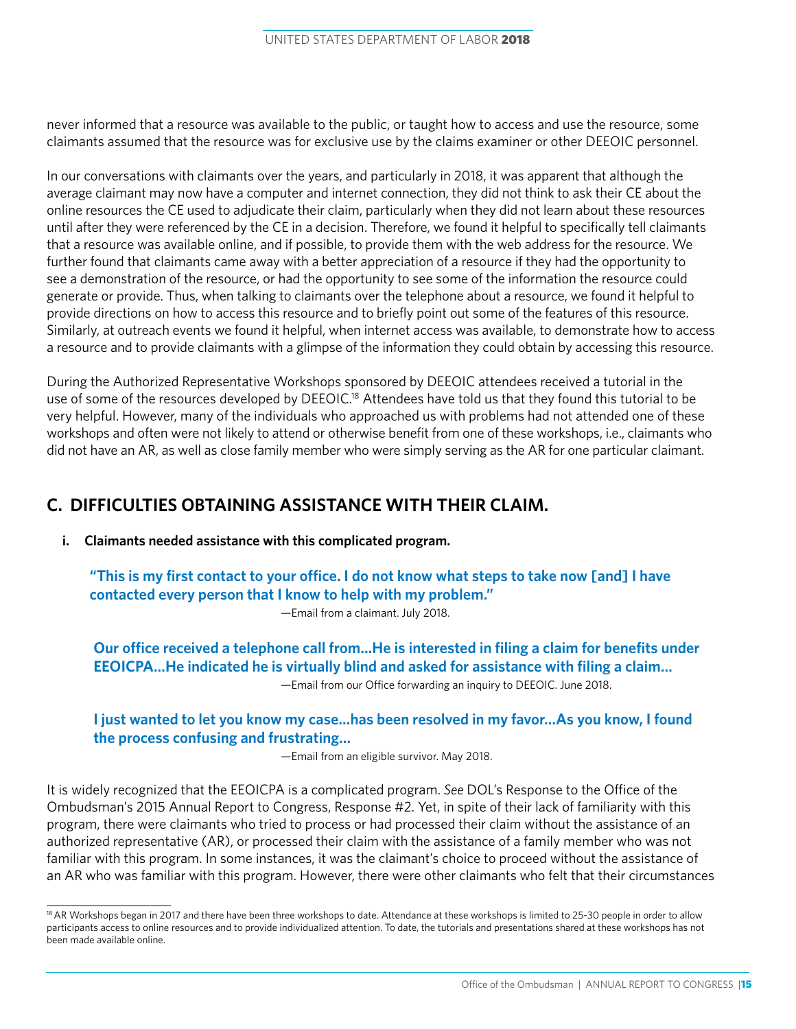<span id="page-22-0"></span>never informed that a resource was available to the public, or taught how to access and use the resource, some claimants assumed that the resource was for exclusive use by the claims examiner or other DEEOIC personnel.

In our conversations with claimants over the years, and particularly in 2018, it was apparent that although the average claimant may now have a computer and internet connection, they did not think to ask their CE about the online resources the CE used to adjudicate their claim, particularly when they did not learn about these resources until after they were referenced by the CE in a decision. Therefore, we found it helpful to specifically tell claimants that a resource was available online, and if possible, to provide them with the web address for the resource. We further found that claimants came away with a better appreciation of a resource if they had the opportunity to see a demonstration of the resource, or had the opportunity to see some of the information the resource could generate or provide. Thus, when talking to claimants over the telephone about a resource, we found it helpful to provide directions on how to access this resource and to briefly point out some of the features of this resource. Similarly, at outreach events we found it helpful, when internet access was available, to demonstrate how to access a resource and to provide claimants with a glimpse of the information they could obtain by accessing this resource.

During the Authorized Representative Workshops sponsored by DEEOIC attendees received a tutorial in the use of some of the resources developed by DEEOIC.<sup>18</sup> Attendees have told us that they found this tutorial to be very helpful. However, many of the individuals who approached us with problems had not attended one of these workshops and often were not likely to attend or otherwise benefit from one of these workshops, i.e., claimants who did not have an AR, as well as close family member who were simply serving as the AR for one particular claimant.

### **C. DIFFICULTIES OBTAINING ASSISTANCE WITH THEIR CLAIM.**

 **i. Claimants needed assistance with this complicated program.** 

**"This is my first contact to your office. I do not know what steps to take now [and] I have contacted every person that I know to help with my problem."**  —Email from a claimant. July 2018.

**Our office received a telephone call from…He is interested in filing a claim for benefits under EEOICPA…He indicated he is virtually blind and asked for assistance with filing a claim…**  —Email from our Office forwarding an inquiry to DEEOIC. June 2018.

**I just wanted to let you know my case…has been resolved in my favor…As you know, I found the process confusing and frustrating…** 

—Email from an eligible survivor. May 2018.

It is widely recognized that the EEOICPA is a complicated program. *See* DOL's Response to the Office of the Ombudsman's 2015 Annual Report to Congress, Response #2. Yet, in spite of their lack of familiarity with this program, there were claimants who tried to process or had processed their claim without the assistance of an authorized representative (AR), or processed their claim with the assistance of a family member who was not familiar with this program. In some instances, it was the claimant's choice to proceed without the assistance of an AR who was familiar with this program. However, there were other claimants who felt that their circumstances

<sup>18</sup> AR Workshops began in 2017 and there have been three workshops to date. Attendance at these workshops is limited to 25-30 people in order to allow participants access to online resources and to provide individualized attention. To date, the tutorials and presentations shared at these workshops has not been made available online.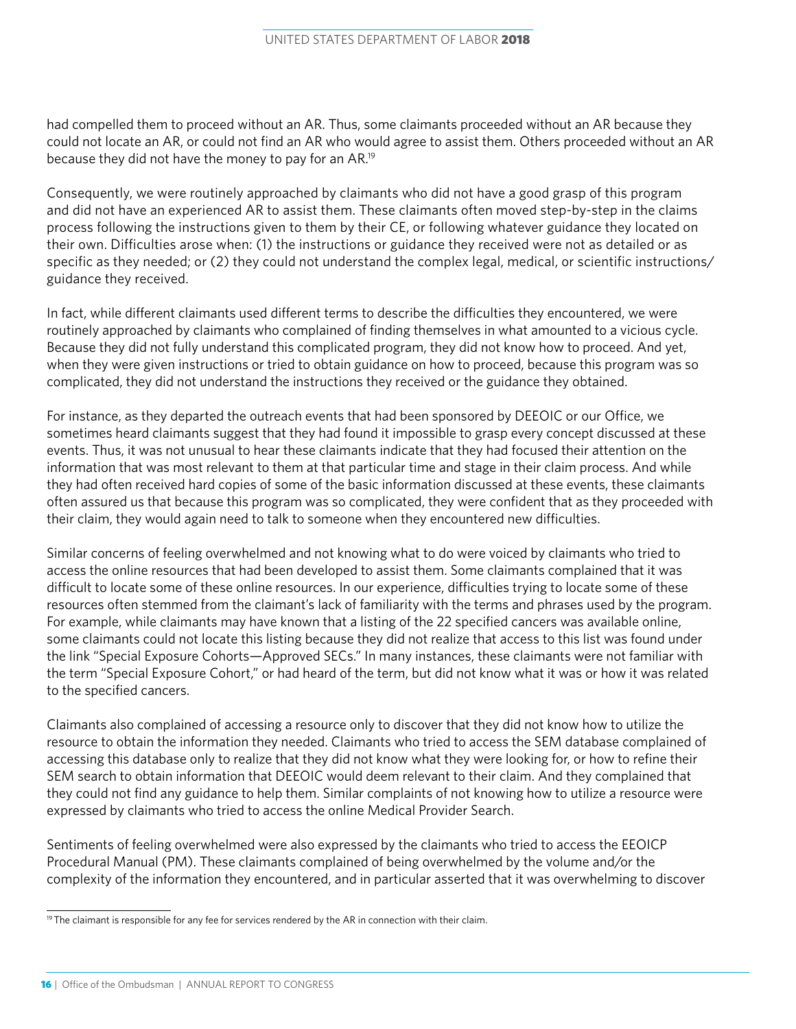#### UNITED STATES DEPARTMENT OF LABOR 2018

had compelled them to proceed without an AR. Thus, some claimants proceeded without an AR because they could not locate an AR, or could not find an AR who would agree to assist them. Others proceeded without an AR because they did not have the money to pay for an AR.19

Consequently, we were routinely approached by claimants who did not have a good grasp of this program and did not have an experienced AR to assist them. These claimants often moved step-by-step in the claims process following the instructions given to them by their CE, or following whatever guidance they located on their own. Difficulties arose when: (1) the instructions or guidance they received were not as detailed or as specific as they needed; or (2) they could not understand the complex legal, medical, or scientific instructions/ guidance they received.

In fact, while different claimants used different terms to describe the difficulties they encountered, we were routinely approached by claimants who complained of finding themselves in what amounted to a vicious cycle. Because they did not fully understand this complicated program, they did not know how to proceed. And yet, when they were given instructions or tried to obtain guidance on how to proceed, because this program was so complicated, they did not understand the instructions they received or the guidance they obtained.

For instance, as they departed the outreach events that had been sponsored by DEEOIC or our Office, we sometimes heard claimants suggest that they had found it impossible to grasp every concept discussed at these events. Thus, it was not unusual to hear these claimants indicate that they had focused their attention on the information that was most relevant to them at that particular time and stage in their claim process. And while they had often received hard copies of some of the basic information discussed at these events, these claimants often assured us that because this program was so complicated, they were confident that as they proceeded with their claim, they would again need to talk to someone when they encountered new difficulties.

Similar concerns of feeling overwhelmed and not knowing what to do were voiced by claimants who tried to access the online resources that had been developed to assist them. Some claimants complained that it was difficult to locate some of these online resources. In our experience, difficulties trying to locate some of these resources often stemmed from the claimant's lack of familiarity with the terms and phrases used by the program. For example, while claimants may have known that a listing of the 22 specified cancers was available online, some claimants could not locate this listing because they did not realize that access to this list was found under the link "Special Exposure Cohorts—Approved SECs." In many instances, these claimants were not familiar with the term "Special Exposure Cohort," or had heard of the term, but did not know what it was or how it was related to the specified cancers.

Claimants also complained of accessing a resource only to discover that they did not know how to utilize the resource to obtain the information they needed. Claimants who tried to access the SEM database complained of accessing this database only to realize that they did not know what they were looking for, or how to refine their SEM search to obtain information that DEEOIC would deem relevant to their claim. And they complained that they could not find any guidance to help them. Similar complaints of not knowing how to utilize a resource were expressed by claimants who tried to access the online Medical Provider Search.

Sentiments of feeling overwhelmed were also expressed by the claimants who tried to access the EEOICP Procedural Manual (PM). These claimants complained of being overwhelmed by the volume and/or the complexity of the information they encountered, and in particular asserted that it was overwhelming to discover

<sup>&</sup>lt;sup>19</sup> The claimant is responsible for any fee for services rendered by the AR in connection with their claim.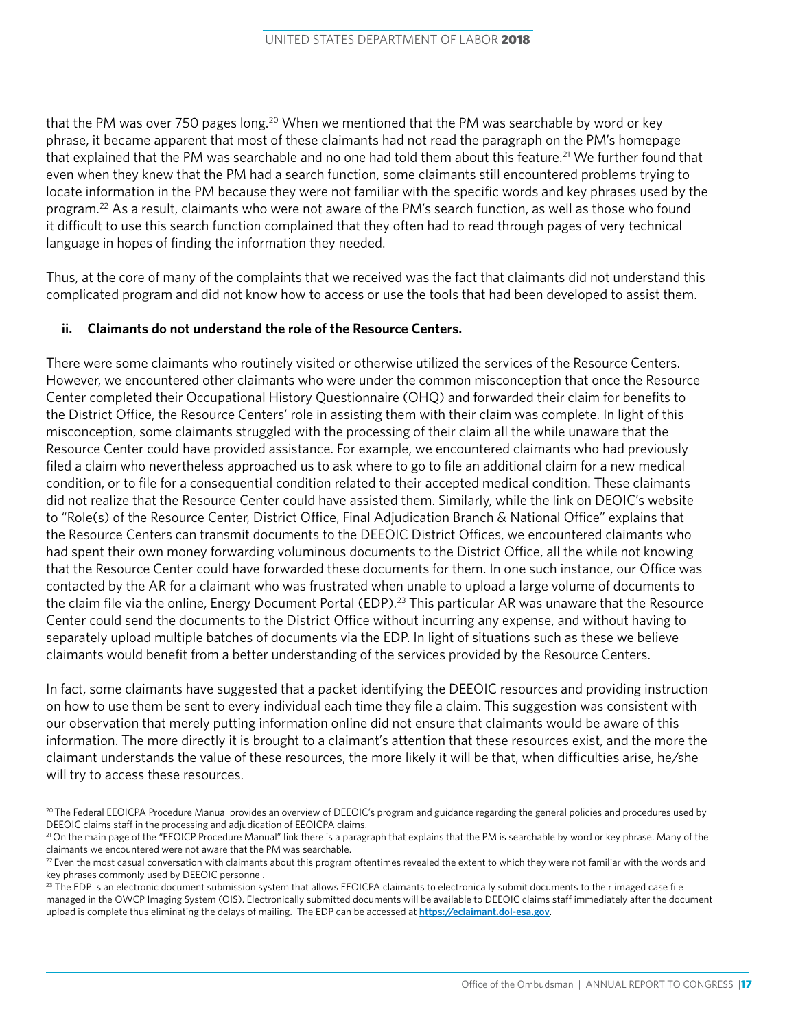that the PM was over 750 pages long.<sup>20</sup> When we mentioned that the PM was searchable by word or key phrase, it became apparent that most of these claimants had not read the paragraph on the PM's homepage that explained that the PM was searchable and no one had told them about this feature.<sup>21</sup> We further found that even when they knew that the PM had a search function, some claimants still encountered problems trying to locate information in the PM because they were not familiar with the specific words and key phrases used by the program.<sup>22</sup> As a result, claimants who were not aware of the PM's search function, as well as those who found it difficult to use this search function complained that they often had to read through pages of very technical language in hopes of finding the information they needed.

Thus, at the core of many of the complaints that we received was the fact that claimants did not understand this complicated program and did not know how to access or use the tools that had been developed to assist them.

#### **ii. Claimants do not understand the role of the Resource Centers.**

There were some claimants who routinely visited or otherwise utilized the services of the Resource Centers. However, we encountered other claimants who were under the common misconception that once the Resource Center completed their Occupational History Questionnaire (OHQ) and forwarded their claim for benefits to the District Office, the Resource Centers' role in assisting them with their claim was complete. In light of this misconception, some claimants struggled with the processing of their claim all the while unaware that the Resource Center could have provided assistance. For example, we encountered claimants who had previously filed a claim who nevertheless approached us to ask where to go to file an additional claim for a new medical condition, or to file for a consequential condition related to their accepted medical condition. These claimants did not realize that the Resource Center could have assisted them. Similarly, while the link on DEOIC's website to "Role(s) of the Resource Center, District Office, Final Adjudication Branch & National Office" explains that the Resource Centers can transmit documents to the DEEOIC District Offices, we encountered claimants who had spent their own money forwarding voluminous documents to the District Office, all the while not knowing that the Resource Center could have forwarded these documents for them. In one such instance, our Office was contacted by the AR for a claimant who was frustrated when unable to upload a large volume of documents to the claim file via the online, Energy Document Portal (EDP).<sup>23</sup> This particular AR was unaware that the Resource Center could send the documents to the District Office without incurring any expense, and without having to separately upload multiple batches of documents via the EDP. In light of situations such as these we believe claimants would benefit from a better understanding of the services provided by the Resource Centers.

In fact, some claimants have suggested that a packet identifying the DEEOIC resources and providing instruction on how to use them be sent to every individual each time they file a claim. This suggestion was consistent with our observation that merely putting information online did not ensure that claimants would be aware of this information. The more directly it is brought to a claimant's attention that these resources exist, and the more the claimant understands the value of these resources, the more likely it will be that, when difficulties arise, he/she will try to access these resources.

<sup>&</sup>lt;sup>20</sup> The Federal EEOICPA Procedure Manual provides an overview of DEEOIC's program and guidance regarding the general policies and procedures used by DEEOIC claims staff in the processing and adjudication of EEOICPA claims.

<sup>&</sup>lt;sup>21</sup> On the main page of the "EEOICP Procedure Manual" link there is a paragraph that explains that the PM is searchable by word or key phrase. Many of the claimants we encountered were not aware that the PM was searchable.

 $^{22}$  Even the most casual conversation with claimants about this program oftentimes revealed the extent to which they were not familiar with the words and key phrases commonly used by DEEOIC personnel.

<sup>&</sup>lt;sup>23</sup> The EDP is an electronic document submission system that allows EEOICPA claimants to electronically submit documents to their imaged case file managed in the OWCP Imaging System (OIS). Electronically submitted documents will be available to DEEOIC claims staff immediately after the document upload is complete thus eliminating the delays of mailing. The EDP can be accessed at **<https://eclaimant.dol-esa.gov>**.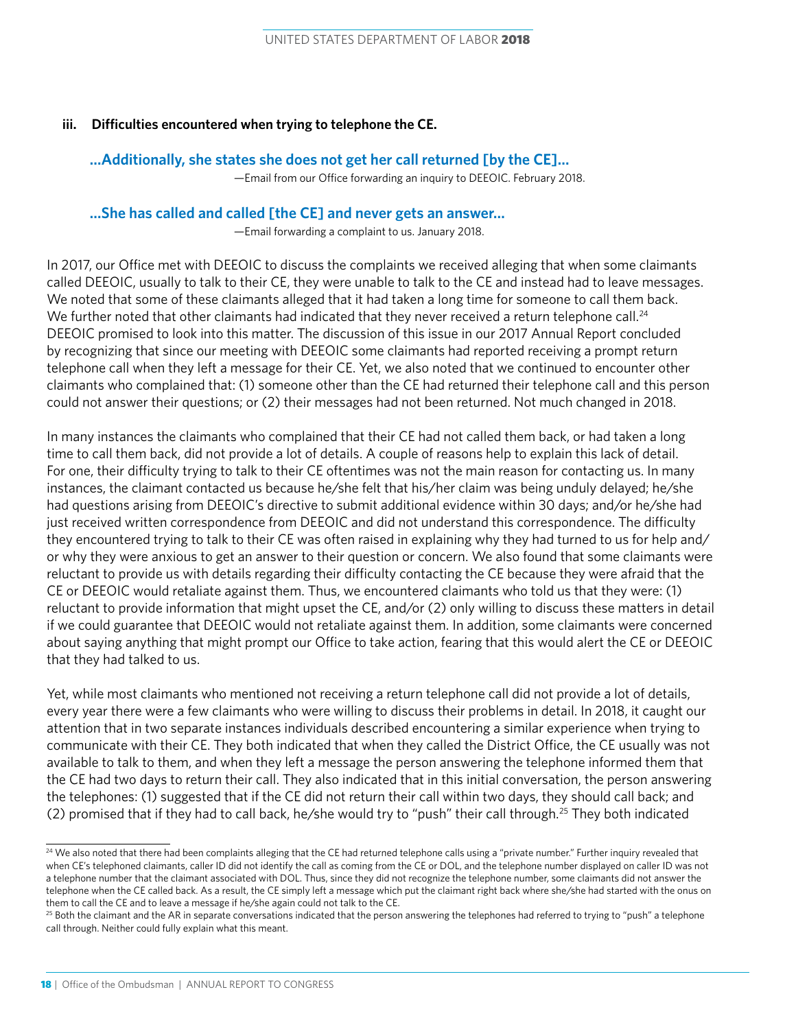#### **iii. Difficulties encountered when trying to telephone the CE.**

#### **…Additionally, she states she does not get her call returned [by the CE]…**

—Email from our Office forwarding an inquiry to DEEOIC. February 2018.

#### **…She has called and called [the CE] and never gets an answer…**

—Email forwarding a complaint to us. January 2018.

In 2017, our Office met with DEEOIC to discuss the complaints we received alleging that when some claimants called DEEOIC, usually to talk to their CE, they were unable to talk to the CE and instead had to leave messages. We noted that some of these claimants alleged that it had taken a long time for someone to call them back. We further noted that other claimants had indicated that they never received a return telephone call.<sup>24</sup> DEEOIC promised to look into this matter. The discussion of this issue in our 2017 Annual Report concluded by recognizing that since our meeting with DEEOIC some claimants had reported receiving a prompt return telephone call when they left a message for their CE. Yet, we also noted that we continued to encounter other claimants who complained that: (1) someone other than the CE had returned their telephone call and this person could not answer their questions; or (2) their messages had not been returned. Not much changed in 2018.

In many instances the claimants who complained that their CE had not called them back, or had taken a long time to call them back, did not provide a lot of details. A couple of reasons help to explain this lack of detail. For one, their difficulty trying to talk to their CE oftentimes was not the main reason for contacting us. In many instances, the claimant contacted us because he/she felt that his/her claim was being unduly delayed; he/she had questions arising from DEEOIC's directive to submit additional evidence within 30 days; and/or he/she had just received written correspondence from DEEOIC and did not understand this correspondence. The difficulty they encountered trying to talk to their CE was often raised in explaining why they had turned to us for help and/ or why they were anxious to get an answer to their question or concern. We also found that some claimants were reluctant to provide us with details regarding their difficulty contacting the CE because they were afraid that the CE or DEEOIC would retaliate against them. Thus, we encountered claimants who told us that they were: (1) reluctant to provide information that might upset the CE, and/or (2) only willing to discuss these matters in detail if we could guarantee that DEEOIC would not retaliate against them. In addition, some claimants were concerned about saying anything that might prompt our Office to take action, fearing that this would alert the CE or DEEOIC that they had talked to us.

Yet, while most claimants who mentioned not receiving a return telephone call did not provide a lot of details, every year there were a few claimants who were willing to discuss their problems in detail. In 2018, it caught our attention that in two separate instances individuals described encountering a similar experience when trying to communicate with their CE. They both indicated that when they called the District Office, the CE usually was not available to talk to them, and when they left a message the person answering the telephone informed them that the CE had two days to return their call. They also indicated that in this initial conversation, the person answering the telephones: (1) suggested that if the CE did not return their call within two days, they should call back; and (2) promised that if they had to call back, he/she would try to "push" their call through.25 They both indicated

<sup>&</sup>lt;sup>24</sup> We also noted that there had been complaints alleging that the CE had returned telephone calls using a "private number." Further inquiry revealed that when CE's telephoned claimants, caller ID did not identify the call as coming from the CE or DOL, and the telephone number displayed on caller ID was not a telephone number that the claimant associated with DOL. Thus, since they did not recognize the telephone number, some claimants did not answer the telephone when the CE called back. As a result, the CE simply left a message which put the claimant right back where she/she had started with the onus on them to call the CE and to leave a message if he/she again could not talk to the CE.

 $^{25}$  Both the claimant and the AR in separate conversations indicated that the person answering the telephones had referred to trying to "push" a telephone call through. Neither could fully explain what this meant.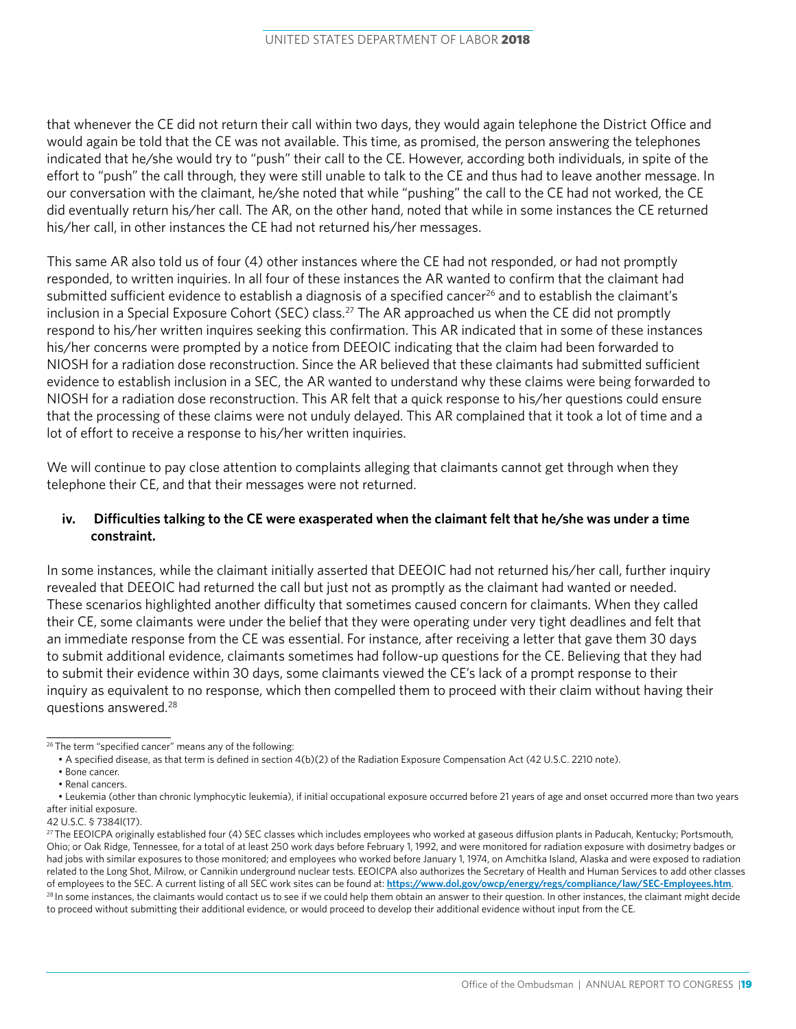that whenever the CE did not return their call within two days, they would again telephone the District Office and would again be told that the CE was not available. This time, as promised, the person answering the telephones indicated that he/she would try to "push" their call to the CE. However, according both individuals, in spite of the effort to "push" the call through, they were still unable to talk to the CE and thus had to leave another message. In our conversation with the claimant, he/she noted that while "pushing" the call to the CE had not worked, the CE did eventually return his/her call. The AR, on the other hand, noted that while in some instances the CE returned his/her call, in other instances the CE had not returned his/her messages.

This same AR also told us of four (4) other instances where the CE had not responded, or had not promptly responded, to written inquiries. In all four of these instances the AR wanted to confirm that the claimant had submitted sufficient evidence to establish a diagnosis of a specified cancer<sup>26</sup> and to establish the claimant's inclusion in a Special Exposure Cohort (SEC) class.<sup>27</sup> The AR approached us when the CE did not promptly respond to his/her written inquires seeking this confirmation. This AR indicated that in some of these instances his/her concerns were prompted by a notice from DEEOIC indicating that the claim had been forwarded to NIOSH for a radiation dose reconstruction. Since the AR believed that these claimants had submitted sufficient evidence to establish inclusion in a SEC, the AR wanted to understand why these claims were being forwarded to NIOSH for a radiation dose reconstruction. This AR felt that a quick response to his/her questions could ensure that the processing of these claims were not unduly delayed. This AR complained that it took a lot of time and a lot of effort to receive a response to his/her written inquiries.

We will continue to pay close attention to complaints alleging that claimants cannot get through when they telephone their CE, and that their messages were not returned.

#### iv. Difficulties talking to the CE were exasperated when the claimant felt that he/she was under a time **constraint.**

In some instances, while the claimant initially asserted that DEEOIC had not returned his/her call, further inquiry revealed that DEEOIC had returned the call but just not as promptly as the claimant had wanted or needed. These scenarios highlighted another difficulty that sometimes caused concern for claimants. When they called their CE, some claimants were under the belief that they were operating under very tight deadlines and felt that an immediate response from the CE was essential. For instance, after receiving a letter that gave them 30 days to submit additional evidence, claimants sometimes had follow-up questions for the CE. Believing that they had to submit their evidence within 30 days, some claimants viewed the CE's lack of a prompt response to their inquiry as equivalent to no response, which then compelled them to proceed with their claim without having their questions answered.28

<sup>&</sup>lt;sup>26</sup> The term "specified cancer" means any of the following:

 <sup>•</sup> A specified disease, as that term is defined in section 4(b)(2) of the Radiation Exposure Compensation Act (42 U.S.C. 2210 note).

 <sup>•</sup> Bone cancer.

 <sup>•</sup> Renal cancers.

 <sup>•</sup> Leukemia (other than chronic lymphocytic leukemia), if initial occupational exposure occurred before 21 years of age and onset occurred more than two years after initial exposure.

<sup>42</sup> U.S.C. § 7384l(17).

<sup>&</sup>lt;sup>27</sup> The EEOICPA originally established four (4) SEC classes which includes employees who worked at gaseous diffusion plants in Paducah, Kentucky; Portsmouth, Ohio; or Oak Ridge, Tennessee, for a total of at least 250 work days before February 1, 1992, and were monitored for radiation exposure with dosimetry badges or had jobs with similar exposures to those monitored; and employees who worked before January 1, 1974, on Amchitka Island, Alaska and were exposed to radiation related to the Long Shot, Milrow, or Cannikin underground nuclear tests. EEOICPA also authorizes the Secretary of Health and Human Services to add other classes of employees to the SEC[.](https://www.dol.gov/owcp/energy/regs/compliance/law/SEC-Employees.htm) A current listing of all SEC work sites can be found at: https://www.dol.gov/owcp/energy/regs/compliance/law/SEC-Employees.htm.<br><sup>28</sup> In some instances, the claimants would contact us to see if we c to proceed without submitting their additional evidence, or would proceed to develop their additional evidence without input from the CE.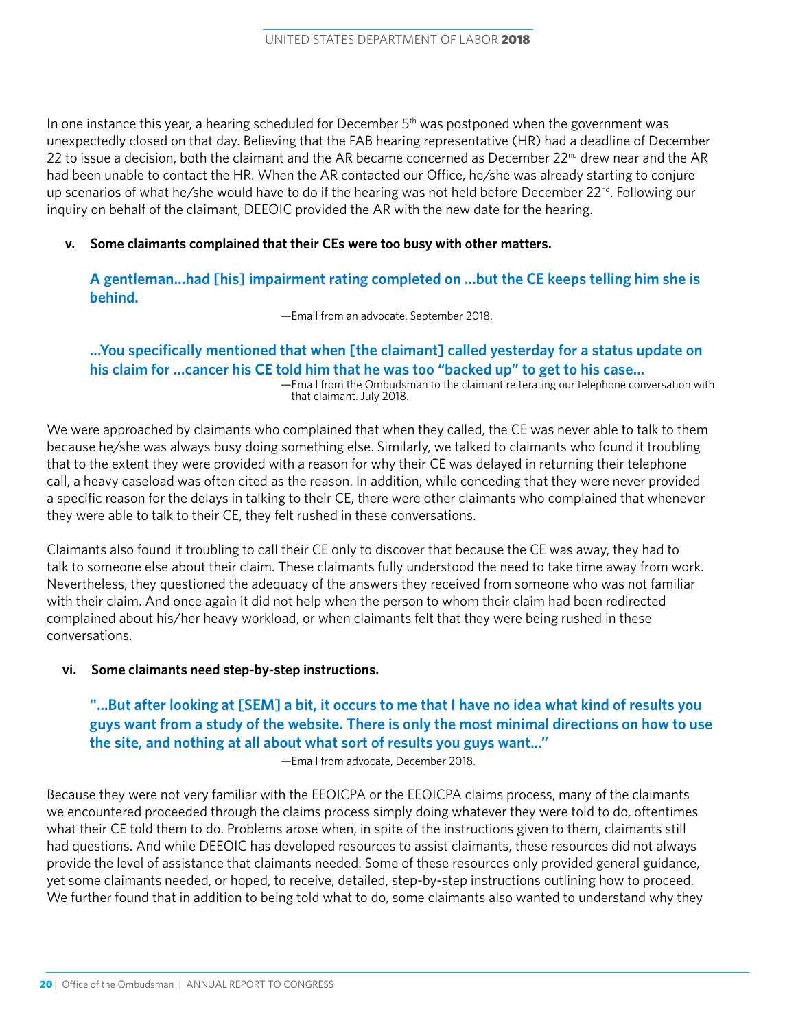In one instance this year, a hearing scheduled for December  $5<sup>th</sup>$  was postponed when the government was unexpectedly closed on that day. Believing that the FAB hearing representative (HR) had a deadline of December 22 to issue a decision, both the claimant and the AR became concerned as December  $22^{nd}$  drew near and the AR had been unable to contact the HR. When the AR contacted our Office, he/she was already starting to conjure up scenarios of what he/she would have to do if the hearing was not held before December 22<sup>nd</sup>. Following our inquiry on behalf of the claimant, DEEOIC provided the AR with the new date for the hearing.

#### **v. Some claimants complained that their CEs were too busy with other matters.**

**A gentleman…had [his] impairment rating completed on …but the CE keeps telling him she is behind.** 

—Email from an advocate. September 2018.

#### **…You specifically mentioned that when [the claimant] called yesterday for a status update on his claim for …cancer his CE told him that he was too "backed up" to get to his case…**

—Email from the Ombudsman to the claimant reiterating our telephone conversation with that claimant. July 2018.

We were approached by claimants who complained that when they called, the CE was never able to talk to them because he/she was always busy doing something else. Similarly, we talked to claimants who found it troubling that to the extent they were provided with a reason for why their CE was delayed in returning their telephone call, a heavy caseload was often cited as the reason. In addition, while conceding that they were never provided a specific reason for the delays in talking to their CE, there were other claimants who complained that whenever they were able to talk to their CE, they felt rushed in these conversations.

Claimants also found it troubling to call their CE only to discover that because the CE was away, they had to talk to someone else about their claim. These claimants fully understood the need to take time away from work. Nevertheless, they questioned the adequacy of the answers they received from someone who was not familiar with their claim. And once again it did not help when the person to whom their claim had been redirected complained about his/her heavy workload, or when claimants felt that they were being rushed in these conversations.

#### **vi. Some claimants need step-by-step instructions.**

### **"...But after looking at [SEM] a bit, it occurs to me that I have no idea what kind of results you guys want from a study of the website. There is only the most minimal directions on how to use the site, and nothing at all about what sort of results you guys want…"**

—Email from advocate, December 2018.

Because they were not very familiar with the EEOICPA or the EEOICPA claims process, many of the claimants we encountered proceeded through the claims process simply doing whatever they were told to do, oftentimes what their CE told them to do. Problems arose when, in spite of the instructions given to them, claimants still had questions. And while DEEOIC has developed resources to assist claimants, these resources did not always provide the level of assistance that claimants needed. Some of these resources only provided general guidance, yet some claimants needed, or hoped, to receive, detailed, step-by-step instructions outlining how to proceed. We further found that in addition to being told what to do, some claimants also wanted to understand why they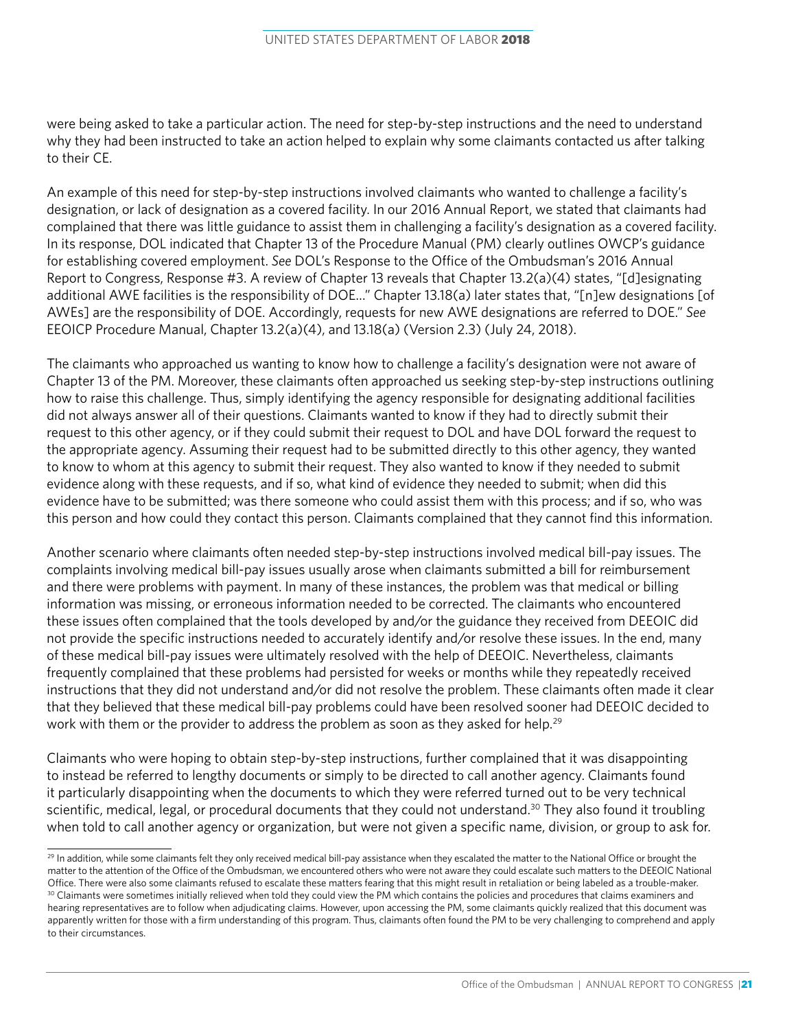were being asked to take a particular action. The need for step-by-step instructions and the need to understand why they had been instructed to take an action helped to explain why some claimants contacted us after talking to their CE.

An example of this need for step-by-step instructions involved claimants who wanted to challenge a facility's designation, or lack of designation as a covered facility. In our 2016 Annual Report, we stated that claimants had complained that there was little guidance to assist them in challenging a facility's designation as a covered facility. In its response, DOL indicated that Chapter 13 of the Procedure Manual (PM) clearly outlines OWCP's guidance for establishing covered employment. *See* DOL's Response to the Office of the Ombudsman's 2016 Annual Report to Congress, Response #3. A review of Chapter 13 reveals that Chapter 13.2(a)(4) states, "[d]esignating additional AWE facilities is the responsibility of DOE…" Chapter 13.18(a) later states that, "[n]ew designations [of AWEs] are the responsibility of DOE. Accordingly, requests for new AWE designations are referred to DOE." *See*  EEOICP Procedure Manual, Chapter 13.2(a)(4), and 13.18(a) (Version 2.3) (July 24, 2018).

The claimants who approached us wanting to know how to challenge a facility's designation were not aware of Chapter 13 of the PM. Moreover, these claimants often approached us seeking step-by-step instructions outlining how to raise this challenge. Thus, simply identifying the agency responsible for designating additional facilities did not always answer all of their questions. Claimants wanted to know if they had to directly submit their request to this other agency, or if they could submit their request to DOL and have DOL forward the request to the appropriate agency. Assuming their request had to be submitted directly to this other agency, they wanted to know to whom at this agency to submit their request. They also wanted to know if they needed to submit evidence along with these requests, and if so, what kind of evidence they needed to submit; when did this evidence have to be submitted; was there someone who could assist them with this process; and if so, who was this person and how could they contact this person. Claimants complained that they cannot find this information.

Another scenario where claimants often needed step-by-step instructions involved medical bill-pay issues. The complaints involving medical bill-pay issues usually arose when claimants submitted a bill for reimbursement and there were problems with payment. In many of these instances, the problem was that medical or billing information was missing, or erroneous information needed to be corrected. The claimants who encountered these issues often complained that the tools developed by and/or the guidance they received from DEEOIC did not provide the specific instructions needed to accurately identify and/or resolve these issues. In the end, many of these medical bill-pay issues were ultimately resolved with the help of DEEOIC. Nevertheless, claimants frequently complained that these problems had persisted for weeks or months while they repeatedly received instructions that they did not understand and/or did not resolve the problem. These claimants often made it clear that they believed that these medical bill-pay problems could have been resolved sooner had DEEOIC decided to work with them or the provider to address the problem as soon as they asked for help.<sup>29</sup>

Claimants who were hoping to obtain step-by-step instructions, further complained that it was disappointing to instead be referred to lengthy documents or simply to be directed to call another agency. Claimants found it particularly disappointing when the documents to which they were referred turned out to be very technical scientific, medical, legal, or procedural documents that they could not understand.<sup>30</sup> They also found it troubling when told to call another agency or organization, but were not given a specific name, division, or group to ask for.

 $^{29}$  In addition, while some claimants felt they only received medical bill-pay assistance when they escalated the matter to the National Office or brought the matter to the attention of the Office of the Ombudsman, we encountered others who were not aware they could escalate such matters to the DEEOIC National Office. There were also some claimants refused to escalate these matters fearing that this might result in retaliation or being labeled as a trouble-maker. <sup>30</sup> Claimants were sometimes initially relieved when told they could view the PM which contains the policies and procedures that claims examiners and hearing representatives are to follow when adjudicating claims. However, upon accessing the PM, some claimants quickly realized that this document was apparently written for those with a firm understanding of this program. Thus, claimants often found the PM to be very challenging to comprehend and apply to their circumstances.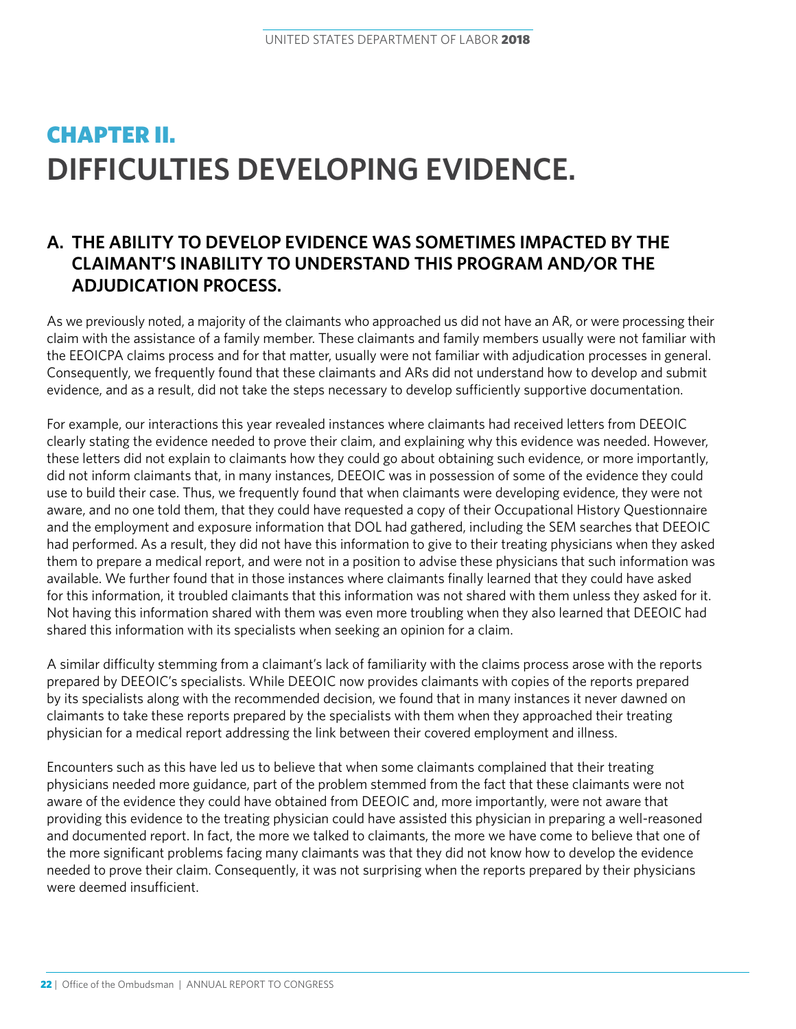## <span id="page-29-0"></span>CHAPTER II. **DIFFICULTIES DEVELOPING EVIDENCE.**

### **A. THE ABILITY TO DEVELOP EVIDENCE WAS SOMETIMES IMPACTED BY THE CLAIMANT'S INABILITY TO UNDERSTAND THIS PROGRAM AND/OR THE ADJUDICATION PROCESS.**

As we previously noted, a majority of the claimants who approached us did not have an AR, or were processing their claim with the assistance of a family member. These claimants and family members usually were not familiar with the EEOICPA claims process and for that matter, usually were not familiar with adjudication processes in general. Consequently, we frequently found that these claimants and ARs did not understand how to develop and submit evidence, and as a result, did not take the steps necessary to develop sufficiently supportive documentation.

For example, our interactions this year revealed instances where claimants had received letters from DEEOIC clearly stating the evidence needed to prove their claim, and explaining why this evidence was needed. However, these letters did not explain to claimants how they could go about obtaining such evidence, or more importantly, did not inform claimants that, in many instances, DEEOIC was in possession of some of the evidence they could use to build their case. Thus, we frequently found that when claimants were developing evidence, they were not aware, and no one told them, that they could have requested a copy of their Occupational History Questionnaire and the employment and exposure information that DOL had gathered, including the SEM searches that DEEOIC had performed. As a result, they did not have this information to give to their treating physicians when they asked them to prepare a medical report, and were not in a position to advise these physicians that such information was available. We further found that in those instances where claimants finally learned that they could have asked for this information, it troubled claimants that this information was not shared with them unless they asked for it. Not having this information shared with them was even more troubling when they also learned that DEEOIC had shared this information with its specialists when seeking an opinion for a claim.

A similar difficulty stemming from a claimant's lack of familiarity with the claims process arose with the reports prepared by DEEOIC's specialists. While DEEOIC now provides claimants with copies of the reports prepared by its specialists along with the recommended decision, we found that in many instances it never dawned on claimants to take these reports prepared by the specialists with them when they approached their treating physician for a medical report addressing the link between their covered employment and illness.

Encounters such as this have led us to believe that when some claimants complained that their treating physicians needed more guidance, part of the problem stemmed from the fact that these claimants were not aware of the evidence they could have obtained from DEEOIC and, more importantly, were not aware that providing this evidence to the treating physician could have assisted this physician in preparing a well-reasoned and documented report. In fact, the more we talked to claimants, the more we have come to believe that one of the more significant problems facing many claimants was that they did not know how to develop the evidence needed to prove their claim. Consequently, it was not surprising when the reports prepared by their physicians were deemed insufficient.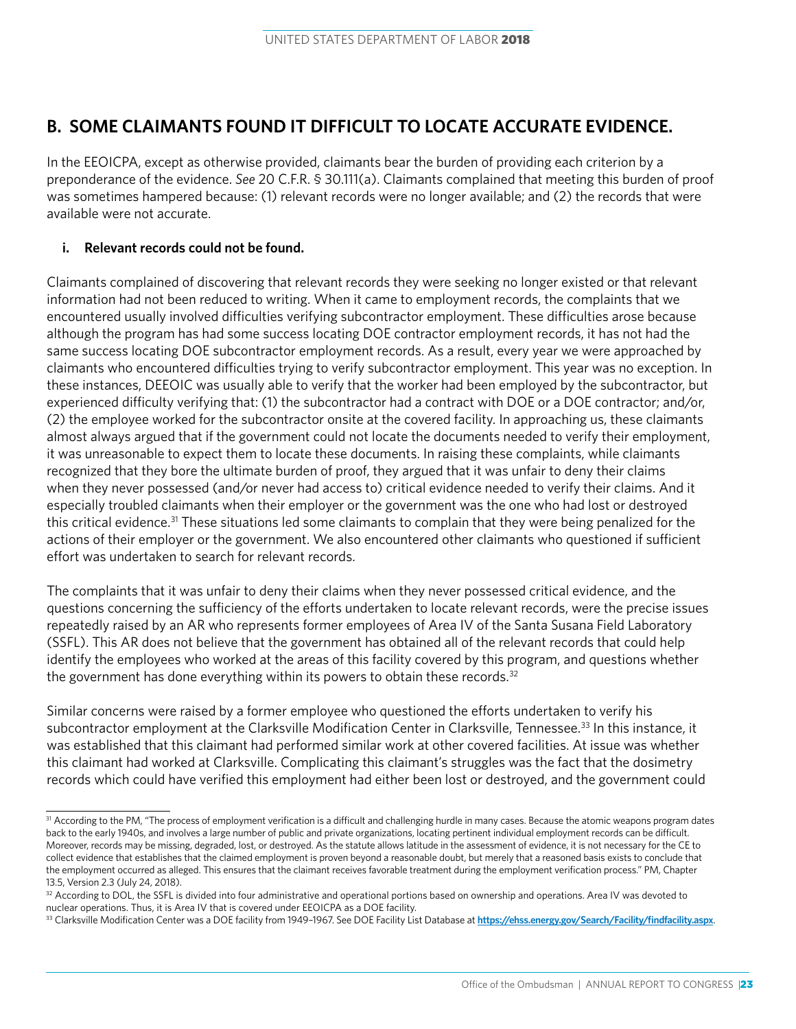## <span id="page-30-0"></span>**B. SOME CLAIMANTS FOUND IT DIFFICULT TO LOCATE ACCURATE EVIDENCE.**

In the EEOICPA, except as otherwise provided, claimants bear the burden of providing each criterion by a preponderance of the evidence. *See* 20 C.F.R. § 30.111(a). Claimants complained that meeting this burden of proof was sometimes hampered because: (1) relevant records were no longer available; and (2) the records that were available were not accurate.

#### **i. Relevant records could not be found.**

Claimants complained of discovering that relevant records they were seeking no longer existed or that relevant information had not been reduced to writing. When it came to employment records, the complaints that we encountered usually involved difficulties verifying subcontractor employment. These difficulties arose because although the program has had some success locating DOE contractor employment records, it has not had the same success locating DOE subcontractor employment records. As a result, every year we were approached by claimants who encountered difficulties trying to verify subcontractor employment. This year was no exception. In these instances, DEEOIC was usually able to verify that the worker had been employed by the subcontractor, but experienced difficulty verifying that: (1) the subcontractor had a contract with DOE or a DOE contractor; and/or, (2) the employee worked for the subcontractor onsite at the covered facility. In approaching us, these claimants almost always argued that if the government could not locate the documents needed to verify their employment, it was unreasonable to expect them to locate these documents. In raising these complaints, while claimants recognized that they bore the ultimate burden of proof, they argued that it was unfair to deny their claims when they never possessed (and/or never had access to) critical evidence needed to verify their claims. And it especially troubled claimants when their employer or the government was the one who had lost or destroyed this critical evidence.31 These situations led some claimants to complain that they were being penalized for the actions of their employer or the government. We also encountered other claimants who questioned if sufficient effort was undertaken to search for relevant records.

The complaints that it was unfair to deny their claims when they never possessed critical evidence, and the questions concerning the sufficiency of the efforts undertaken to locate relevant records, were the precise issues repeatedly raised by an AR who represents former employees of Area IV of the Santa Susana Field Laboratory (SSFL). This AR does not believe that the government has obtained all of the relevant records that could help identify the employees who worked at the areas of this facility covered by this program, and questions whether the government has done everything within its powers to obtain these records. $32$ 

Similar concerns were raised by a former employee who questioned the efforts undertaken to verify his subcontractor employment at the Clarksville Modification Center in Clarksville, Tennessee.<sup>33</sup> In this instance, it was established that this claimant had performed similar work at other covered facilities. At issue was whether this claimant had worked at Clarksville. Complicating this claimant's struggles was the fact that the dosimetry records which could have verified this employment had either been lost or destroyed, and the government could

<sup>31</sup> According to the PM, "The process of employment verification is a difficult and challenging hurdle in many cases. Because the atomic weapons program dates back to the early 1940s, and involves a large number of public and private organizations, locating pertinent individual employment records can be difficult. Moreover, records may be missing, degraded, lost, or destroyed. As the statute allows latitude in the assessment of evidence, it is not necessary for the CE to collect evidence that establishes that the claimed employment is proven beyond a reasonable doubt, but merely that a reasoned basis exists to conclude that the employment occurred as alleged. This ensures that the claimant receives favorable treatment during the employment verification process." PM, Chapter 13.5, Version 2.3 (July 24, 2018).

<sup>32</sup> According to DOL, the SSFL is divided into four administrative and operational portions based on ownership and operations. Area IV was devoted to nuclear operations. Thus, it is Area IV that is covered under EEOICPA as a DOE facility.

<sup>&</sup>lt;sup>33</sup> Clarksville Modification Center was a DOE facility from 1949–1967. See DOE Facility List Database at <https://ehss.energy.gov/Search/Facility/findfacility.aspx>.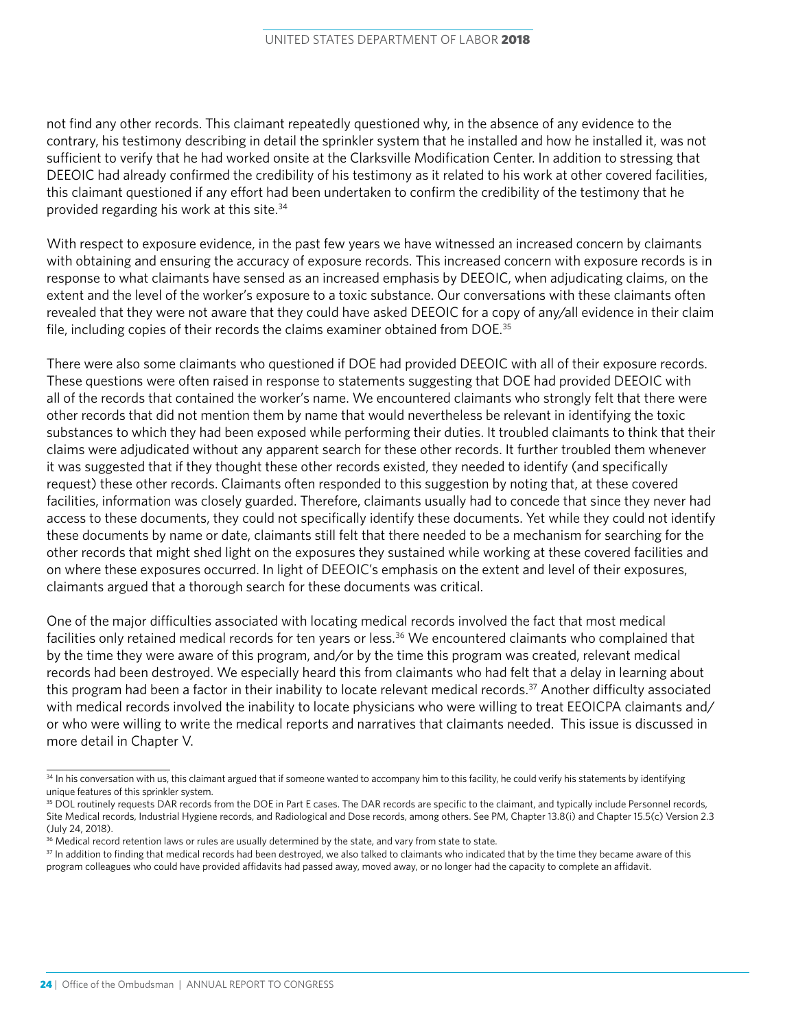not find any other records. This claimant repeatedly questioned why, in the absence of any evidence to the contrary, his testimony describing in detail the sprinkler system that he installed and how he installed it, was not sufficient to verify that he had worked onsite at the Clarksville Modification Center. In addition to stressing that DEEOIC had already confirmed the credibility of his testimony as it related to his work at other covered facilities, this claimant questioned if any effort had been undertaken to confirm the credibility of the testimony that he provided regarding his work at this site.34

With respect to exposure evidence, in the past few years we have witnessed an increased concern by claimants with obtaining and ensuring the accuracy of exposure records. This increased concern with exposure records is in response to what claimants have sensed as an increased emphasis by DEEOIC, when adjudicating claims, on the extent and the level of the worker's exposure to a toxic substance. Our conversations with these claimants often revealed that they were not aware that they could have asked DEEOIC for a copy of any/all evidence in their claim file, including copies of their records the claims examiner obtained from DOE.<sup>35</sup>

There were also some claimants who questioned if DOE had provided DEEOIC with all of their exposure records. These questions were often raised in response to statements suggesting that DOE had provided DEEOIC with all of the records that contained the worker's name. We encountered claimants who strongly felt that there were other records that did not mention them by name that would nevertheless be relevant in identifying the toxic substances to which they had been exposed while performing their duties. It troubled claimants to think that their claims were adjudicated without any apparent search for these other records. It further troubled them whenever it was suggested that if they thought these other records existed, they needed to identify (and specifically request) these other records. Claimants often responded to this suggestion by noting that, at these covered facilities, information was closely guarded. Therefore, claimants usually had to concede that since they never had access to these documents, they could not specifically identify these documents. Yet while they could not identify these documents by name or date, claimants still felt that there needed to be a mechanism for searching for the other records that might shed light on the exposures they sustained while working at these covered facilities and on where these exposures occurred. In light of DEEOIC's emphasis on the extent and level of their exposures, claimants argued that a thorough search for these documents was critical.

One of the major difficulties associated with locating medical records involved the fact that most medical facilities only retained medical records for ten years or less.<sup>36</sup> We encountered claimants who complained that by the time they were aware of this program, and/or by the time this program was created, relevant medical records had been destroyed. We especially heard this from claimants who had felt that a delay in learning about this program had been a factor in their inability to locate relevant medical records.<sup>37</sup> Another difficulty associated with medical records involved the inability to locate physicians who were willing to treat EEOICPA claimants and/ or who were willing to write the medical reports and narratives that claimants needed. This issue is discussed in more detail in Chapter V.

 $34$  In his conversation with us, this claimant argued that if someone wanted to accompany him to this facility, he could verify his statements by identifying unique features of this sprinkler system.

<sup>&</sup>lt;sup>35</sup> DOL routinely requests DAR records from the DOE in Part E cases. The DAR records are specific to the claimant, and typically include Personnel records, Site Medical records, Industrial Hygiene records, and Radiological and Dose records, among others. See PM, Chapter 13.8(i) and Chapter 15.5(c) Version 2.3 (July 24, 2018).

 $36$  Medical record retention laws or rules are usually determined by the state, and vary from state to state.

 $37$  In addition to finding that medical records had been destroyed, we also talked to claimants who indicated that by the time they became aware of this program colleagues who could have provided affidavits had passed away, moved away, or no longer had the capacity to complete an affidavit.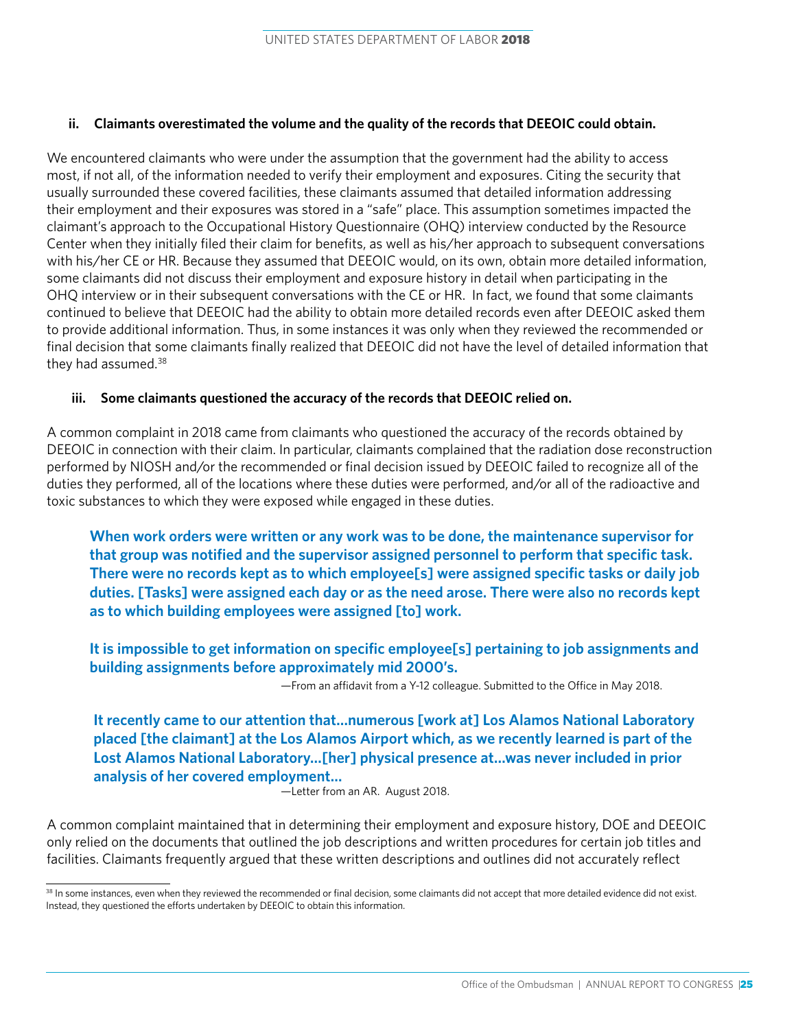#### **ii. Claimants overestimated the volume and the quality of the records that DEEOIC could obtain.**

We encountered claimants who were under the assumption that the government had the ability to access most, if not all, of the information needed to verify their employment and exposures. Citing the security that usually surrounded these covered facilities, these claimants assumed that detailed information addressing their employment and their exposures was stored in a "safe" place. This assumption sometimes impacted the claimant's approach to the Occupational History Questionnaire (OHQ) interview conducted by the Resource Center when they initially filed their claim for benefits, as well as his/her approach to subsequent conversations with his/her CE or HR. Because they assumed that DEEOIC would, on its own, obtain more detailed information, some claimants did not discuss their employment and exposure history in detail when participating in the OHQ interview or in their subsequent conversations with the CE or HR. In fact, we found that some claimants continued to believe that DEEOIC had the ability to obtain more detailed records even after DEEOIC asked them to provide additional information. Thus, in some instances it was only when they reviewed the recommended or final decision that some claimants finally realized that DEEOIC did not have the level of detailed information that they had assumed.38

#### iii. Some claimants questioned the accuracy of the records that DEEOIC relied on.

A common complaint in 2018 came from claimants who questioned the accuracy of the records obtained by DEEOIC in connection with their claim. In particular, claimants complained that the radiation dose reconstruction performed by NIOSH and/or the recommended or final decision issued by DEEOIC failed to recognize all of the duties they performed, all of the locations where these duties were performed, and/or all of the radioactive and toxic substances to which they were exposed while engaged in these duties.

**When work orders were written or any work was to be done, the maintenance supervisor for that group was notified and the supervisor assigned personnel to perform that specific task. There were no records kept as to which employee[s] were assigned specific tasks or daily job duties. [Tasks] were assigned each day or as the need arose. There were also no records kept as to which building employees were assigned [to] work.** 

**It is impossible to get information on specific employee[s] pertaining to job assignments and building assignments before approximately mid 2000's.** 

—From an affidavit from a Y-12 colleague. Submitted to the Office in May 2018.

**It recently came to our attention that…numerous [work at] Los Alamos National Laboratory placed [the claimant] at the Los Alamos Airport which, as we recently learned is part of the Lost Alamos National Laboratory…[her] physical presence at…was never included in prior analysis of her covered employment…** 

—Letter from an AR. August 2018.

A common complaint maintained that in determining their employment and exposure history, DOE and DEEOIC only relied on the documents that outlined the job descriptions and written procedures for certain job titles and facilities. Claimants frequently argued that these written descriptions and outlines did not accurately reflect

<sup>&</sup>lt;sup>38</sup> In some instances, even when they reviewed the recommended or final decision, some claimants did not accept that more detailed evidence did not exist. Instead, they questioned the efforts undertaken by DEEOIC to obtain this information.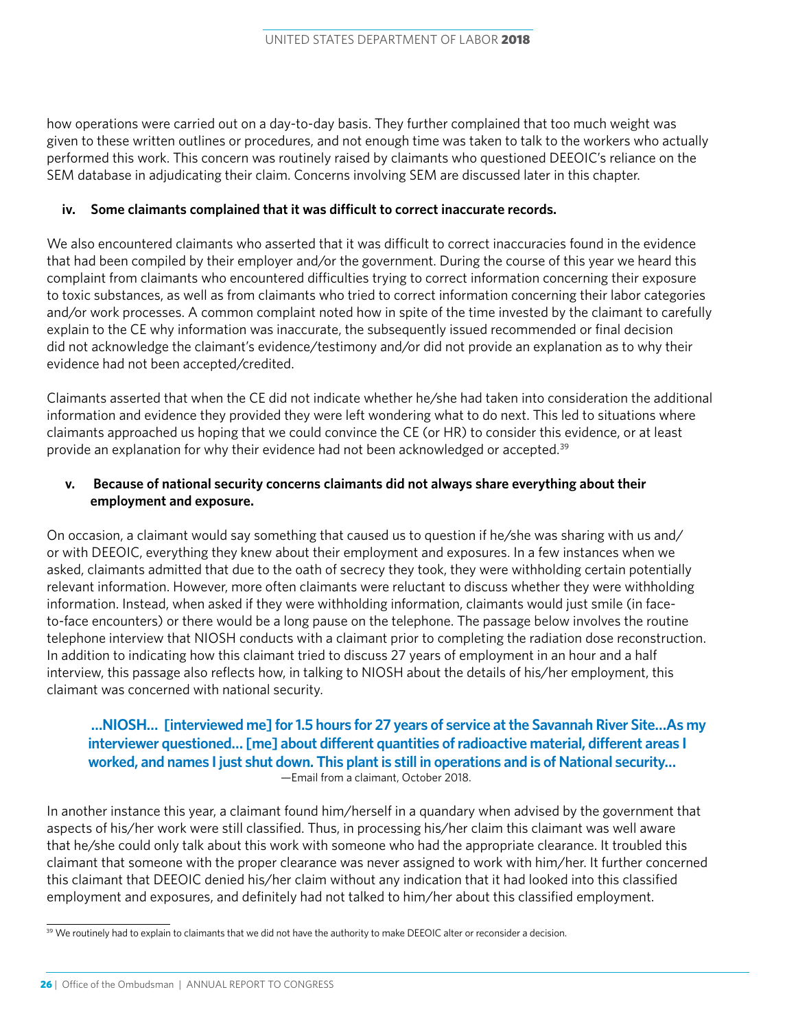how operations were carried out on a day-to-day basis. They further complained that too much weight was given to these written outlines or procedures, and not enough time was taken to talk to the workers who actually performed this work. This concern was routinely raised by claimants who questioned DEEOIC's reliance on the SEM database in adjudicating their claim. Concerns involving SEM are discussed later in this chapter.

#### **iv. Some claimants complained that it was difficult to correct inaccurate records.**

We also encountered claimants who asserted that it was difficult to correct inaccuracies found in the evidence that had been compiled by their employer and/or the government. During the course of this year we heard this complaint from claimants who encountered difficulties trying to correct information concerning their exposure to toxic substances, as well as from claimants who tried to correct information concerning their labor categories and/or work processes. A common complaint noted how in spite of the time invested by the claimant to carefully explain to the CE why information was inaccurate, the subsequently issued recommended or final decision did not acknowledge the claimant's evidence/testimony and/or did not provide an explanation as to why their evidence had not been accepted/credited.

Claimants asserted that when the CE did not indicate whether he/she had taken into consideration the additional information and evidence they provided they were left wondering what to do next. This led to situations where claimants approached us hoping that we could convince the CE (or HR) to consider this evidence, or at least provide an explanation for why their evidence had not been acknowledged or accepted.<sup>39</sup>

#### **v. Because of national security concerns claimants did not always share everything about their employment and exposure.**

On occasion, a claimant would say something that caused us to question if he/she was sharing with us and/ or with DEEOIC, everything they knew about their employment and exposures. In a few instances when we asked, claimants admitted that due to the oath of secrecy they took, they were withholding certain potentially relevant information. However, more often claimants were reluctant to discuss whether they were withholding information. Instead, when asked if they were withholding information, claimants would just smile (in faceto-face encounters) or there would be a long pause on the telephone. The passage below involves the routine telephone interview that NIOSH conducts with a claimant prior to completing the radiation dose reconstruction. In addition to indicating how this claimant tried to discuss 27 years of employment in an hour and a half interview, this passage also reflects how, in talking to NIOSH about the details of his/her employment, this claimant was concerned with national security.

#### **…NIOSH… [interviewed me] for 1.5 hours for 27 years of service at the Savannah River Site…As my interviewer questioned… [me] about different quantities of radioactive material, different areas I worked, and names I just shut down. This plant is still in operations and is of National security…**  —Email from a claimant, October 2018.

In another instance this year, a claimant found him/herself in a quandary when advised by the government that aspects of his/her work were still classified. Thus, in processing his/her claim this claimant was well aware that he/she could only talk about this work with someone who had the appropriate clearance. It troubled this claimant that someone with the proper clearance was never assigned to work with him/her. It further concerned this claimant that DEEOIC denied his/her claim without any indication that it had looked into this classified employment and exposures, and definitely had not talked to him/her about this classified employment.

<sup>&</sup>lt;sup>39</sup> We routinely had to explain to claimants that we did not have the authority to make DEEOIC alter or reconsider a decision.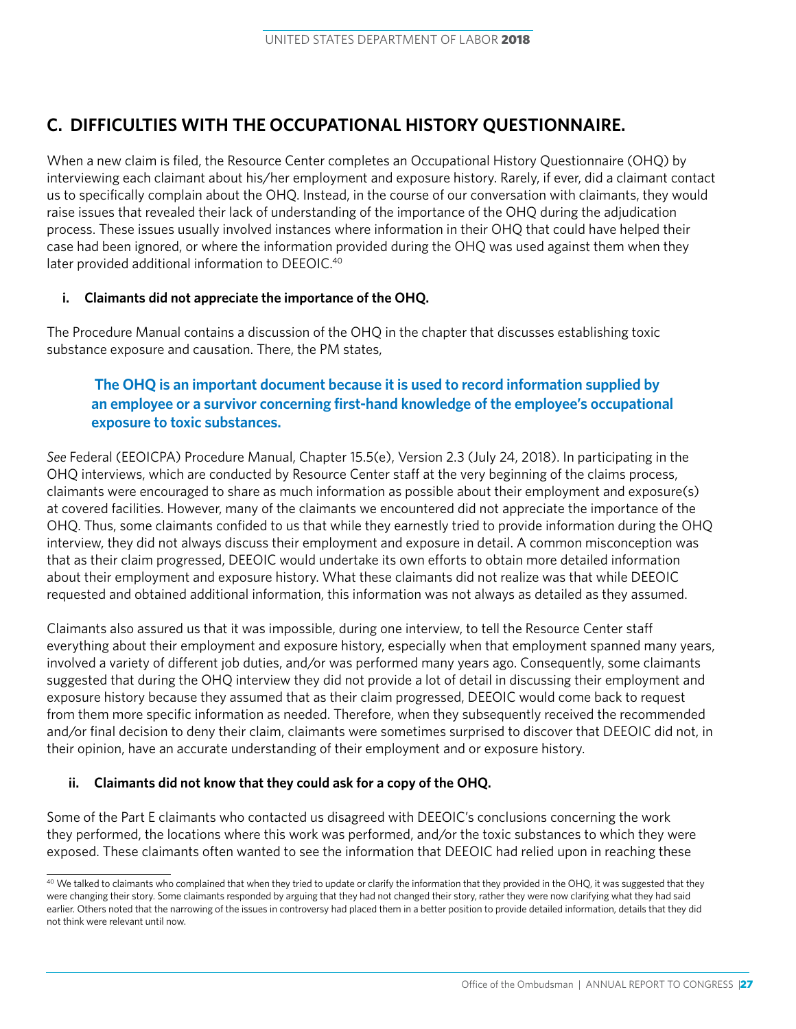### <span id="page-34-0"></span>**C. DIFFICULTIES WITH THE OCCUPATIONAL HISTORY QUESTIONNAIRE.**

When a new claim is filed, the Resource Center completes an Occupational History Questionnaire (OHQ) by interviewing each claimant about his/her employment and exposure history. Rarely, if ever, did a claimant contact us to specifically complain about the OHQ. Instead, in the course of our conversation with claimants, they would raise issues that revealed their lack of understanding of the importance of the OHQ during the adjudication process. These issues usually involved instances where information in their OHQ that could have helped their case had been ignored, or where the information provided during the OHQ was used against them when they later provided additional information to DEEOIC.<sup>40</sup>

#### **i. Claimants did not appreciate the importance of the OHQ.**

The Procedure Manual contains a discussion of the OHQ in the chapter that discusses establishing toxic substance exposure and causation. There, the PM states,

#### **The OHQ is an important document because it is used to record information supplied by an employee or a survivor concerning first-hand knowledge of the employee's occupational exposure to toxic substances.**

*See* Federal (EEOICPA) Procedure Manual, Chapter 15.5(e), Version 2.3 (July 24, 2018). In participating in the OHQ interviews, which are conducted by Resource Center staff at the very beginning of the claims process, claimants were encouraged to share as much information as possible about their employment and exposure(s) at covered facilities. However, many of the claimants we encountered did not appreciate the importance of the OHQ. Thus, some claimants confided to us that while they earnestly tried to provide information during the OHQ interview, they did not always discuss their employment and exposure in detail. A common misconception was that as their claim progressed, DEEOIC would undertake its own efforts to obtain more detailed information about their employment and exposure history. What these claimants did not realize was that while DEEOIC requested and obtained additional information, this information was not always as detailed as they assumed.

Claimants also assured us that it was impossible, during one interview, to tell the Resource Center staff everything about their employment and exposure history, especially when that employment spanned many years, involved a variety of different job duties, and/or was performed many years ago. Consequently, some claimants suggested that during the OHQ interview they did not provide a lot of detail in discussing their employment and exposure history because they assumed that as their claim progressed, DEEOIC would come back to request from them more specific information as needed. Therefore, when they subsequently received the recommended and/or final decision to deny their claim, claimants were sometimes surprised to discover that DEEOIC did not, in their opinion, have an accurate understanding of their employment and or exposure history.

#### **ii. Claimants did not know that they could ask for a copy of the OHQ.**

Some of the Part E claimants who contacted us disagreed with DEEOIC's conclusions concerning the work they performed, the locations where this work was performed, and/or the toxic substances to which they were exposed. These claimants often wanted to see the information that DEEOIC had relied upon in reaching these

<sup>&</sup>lt;sup>40</sup> We talked to claimants who complained that when they tried to update or clarify the information that they provided in the OHQ, it was suggested that they were changing their story. Some claimants responded by arguing that they had not changed their story, rather they were now clarifying what they had said earlier. Others noted that the narrowing of the issues in controversy had placed them in a better position to provide detailed information, details that they did not think were relevant until now.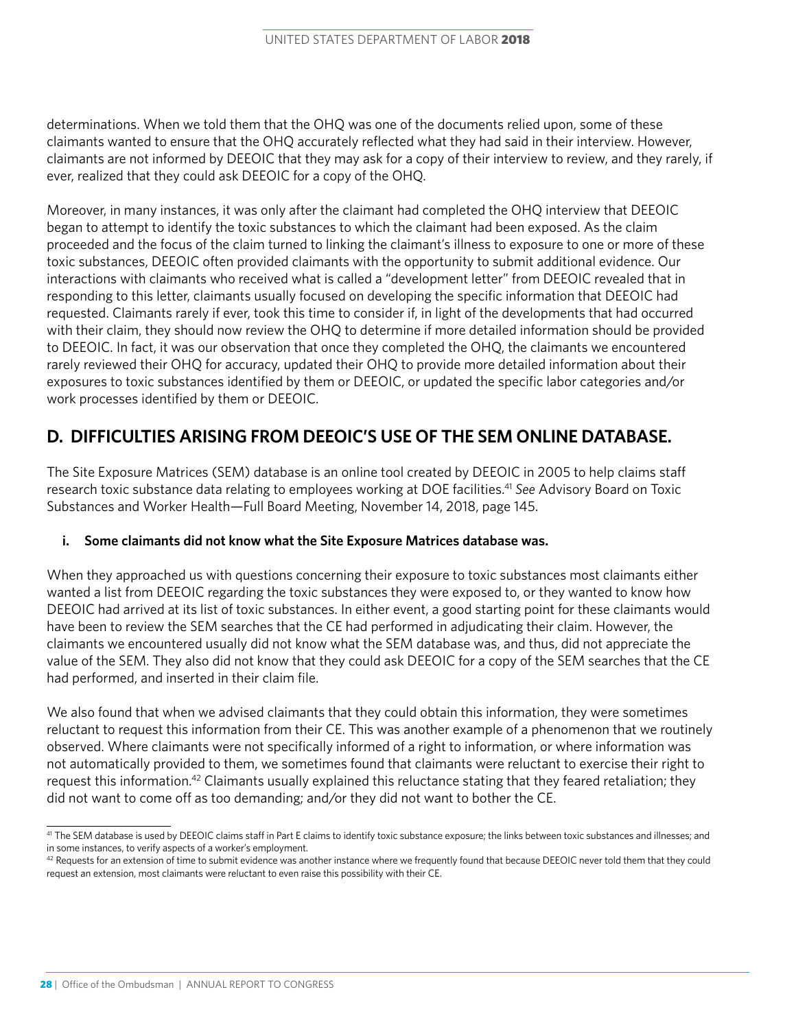<span id="page-35-0"></span>determinations. When we told them that the OHQ was one of the documents relied upon, some of these claimants wanted to ensure that the OHQ accurately reflected what they had said in their interview. However, claimants are not informed by DEEOIC that they may ask for a copy of their interview to review, and they rarely, if ever, realized that they could ask DEEOIC for a copy of the OHQ.

Moreover, in many instances, it was only after the claimant had completed the OHQ interview that DEEOIC began to attempt to identify the toxic substances to which the claimant had been exposed. As the claim proceeded and the focus of the claim turned to linking the claimant's illness to exposure to one or more of these toxic substances, DEEOIC often provided claimants with the opportunity to submit additional evidence. Our interactions with claimants who received what is called a "development letter" from DEEOIC revealed that in responding to this letter, claimants usually focused on developing the specific information that DEEOIC had requested. Claimants rarely if ever, took this time to consider if, in light of the developments that had occurred with their claim, they should now review the OHQ to determine if more detailed information should be provided to DEEOIC. In fact, it was our observation that once they completed the OHQ, the claimants we encountered rarely reviewed their OHQ for accuracy, updated their OHQ to provide more detailed information about their exposures to toxic substances identified by them or DEEOIC, or updated the specific labor categories and/or work processes identified by them or DEEOIC.

### **D. DIFFICULTIES ARISING FROM DEEOIC'S USE OF THE SEM ONLINE DATABASE.**

The Site Exposure Matrices (SEM) database is an online tool created by DEEOIC in 2005 to help claims staff research toxic substance data relating to employees working at DOE facilities.41 *See* Advisory Board on Toxic Substances and Worker Health—Full Board Meeting, November 14, 2018, page 145.

#### **i. Some claimants did not know what the Site Exposure Matrices database was.**

When they approached us with questions concerning their exposure to toxic substances most claimants either wanted a list from DEEOIC regarding the toxic substances they were exposed to, or they wanted to know how DEEOIC had arrived at its list of toxic substances. In either event, a good starting point for these claimants would have been to review the SEM searches that the CE had performed in adjudicating their claim. However, the claimants we encountered usually did not know what the SEM database was, and thus, did not appreciate the value of the SEM. They also did not know that they could ask DEEOIC for a copy of the SEM searches that the CE had performed, and inserted in their claim file.

We also found that when we advised claimants that they could obtain this information, they were sometimes reluctant to request this information from their CE. This was another example of a phenomenon that we routinely observed. Where claimants were not specifically informed of a right to information, or where information was not automatically provided to them, we sometimes found that claimants were reluctant to exercise their right to request this information.42 Claimants usually explained this reluctance stating that they feared retaliation; they did not want to come off as too demanding; and/or they did not want to bother the CE.

<sup>41</sup> The SEM database is used by DEEOIC claims staff in Part E claims to identify toxic substance exposure; the links between toxic substances and illnesses; and in some instances, to verify aspects of a worker's employment.

 $42$  Requests for an extension of time to submit evidence was another instance where we frequently found that because DEEOIC never told them that they could request an extension, most claimants were reluctant to even raise this possibility with their CE.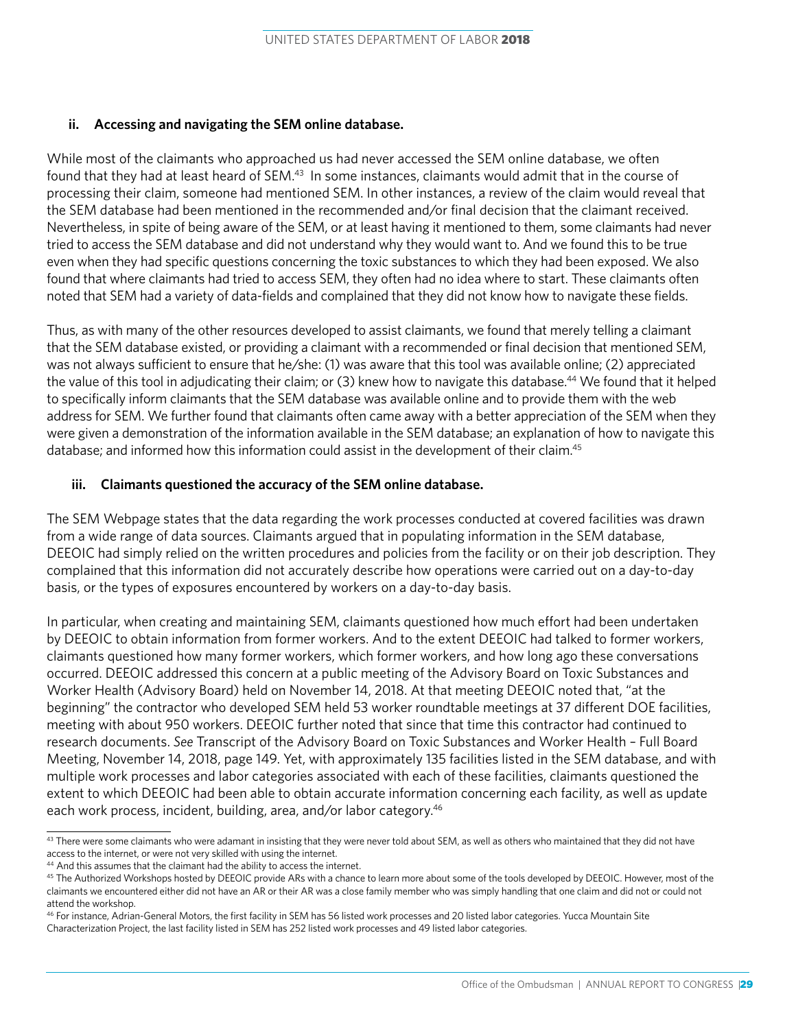#### **ii. Accessing and navigating the SEM online database.**

While most of the claimants who approached us had never accessed the SEM online database, we often found that they had at least heard of SEM.43 In some instances, claimants would admit that in the course of processing their claim, someone had mentioned SEM. In other instances, a review of the claim would reveal that the SEM database had been mentioned in the recommended and/or final decision that the claimant received. Nevertheless, in spite of being aware of the SEM, or at least having it mentioned to them, some claimants had never tried to access the SEM database and did not understand why they would want to. And we found this to be true even when they had specific questions concerning the toxic substances to which they had been exposed. We also found that where claimants had tried to access SEM, they often had no idea where to start. These claimants often noted that SEM had a variety of data-fields and complained that they did not know how to navigate these fields.

Thus, as with many of the other resources developed to assist claimants, we found that merely telling a claimant that the SEM database existed, or providing a claimant with a recommended or final decision that mentioned SEM, was not always sufficient to ensure that he/she: (1) was aware that this tool was available online; (2) appreciated the value of this tool in adjudicating their claim; or (3) knew how to navigate this database.44 We found that it helped to specifically inform claimants that the SEM database was available online and to provide them with the web address for SEM. We further found that claimants often came away with a better appreciation of the SEM when they were given a demonstration of the information available in the SEM database; an explanation of how to navigate this database; and informed how this information could assist in the development of their claim.<sup>45</sup>

#### iii. Claimants questioned the accuracy of the SEM online database.

The SEM Webpage states that the data regarding the work processes conducted at covered facilities was drawn from a wide range of data sources. Claimants argued that in populating information in the SEM database, DEEOIC had simply relied on the written procedures and policies from the facility or on their job description. They complained that this information did not accurately describe how operations were carried out on a day-to-day basis, or the types of exposures encountered by workers on a day-to-day basis.

In particular, when creating and maintaining SEM, claimants questioned how much effort had been undertaken by DEEOIC to obtain information from former workers. And to the extent DEEOIC had talked to former workers, claimants questioned how many former workers, which former workers, and how long ago these conversations occurred. DEEOIC addressed this concern at a public meeting of the Advisory Board on Toxic Substances and Worker Health (Advisory Board) held on November 14, 2018. At that meeting DEEOIC noted that, "at the beginning" the contractor who developed SEM held 53 worker roundtable meetings at 37 different DOE facilities, meeting with about 950 workers. DEEOIC further noted that since that time this contractor had continued to research documents. *See* Transcript of the Advisory Board on Toxic Substances and Worker Health – Full Board Meeting, November 14, 2018, page 149. Yet, with approximately 135 facilities listed in the SEM database, and with multiple work processes and labor categories associated with each of these facilities, claimants questioned the extent to which DEEOIC had been able to obtain accurate information concerning each facility, as well as update each work process, incident, building, area, and/or labor category.<sup>46</sup>

 $^{43}$  There were some claimants who were adamant in insisting that they were never told about SEM, as well as others who maintained that they did not have access to the internet, or were not very skilled with using the internet.

<sup>44</sup> And this assumes that the claimant had the ability to access the internet.

<sup>&</sup>lt;sup>44</sup> And this assumes that the claimant had the ability to access the internet.<br><sup>45</sup> The Authorized Workshops hosted by DEEOIC provide ARs with a chance to learn more about some of the tools developed by DEEOIC. However, m claimants we encountered either did not have an AR or their AR was a close family member who was simply handling that one claim and did not or could not attend the workshop.

<sup>46</sup> For instance, Adrian-General Motors, the first facility in SEM has 56 listed work processes and 20 listed labor categories. Yucca Mountain Site Characterization Project, the last facility listed in SEM has 252 listed work processes and 49 listed labor categories.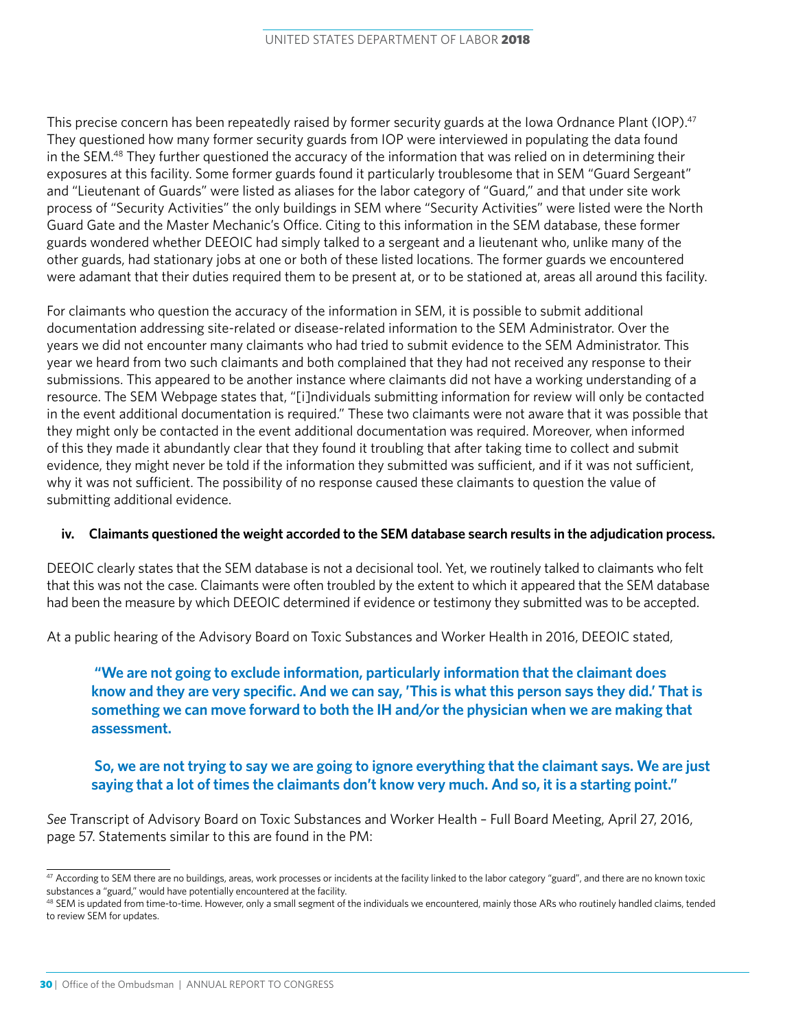This precise concern has been repeatedly raised by former security guards at the Iowa Ordnance Plant (IOP).<sup>47</sup> They questioned how many former security guards from IOP were interviewed in populating the data found in the SEM.<sup>48</sup> They further questioned the accuracy of the information that was relied on in determining their exposures at this facility. Some former guards found it particularly troublesome that in SEM "Guard Sergeant" and "Lieutenant of Guards" were listed as aliases for the labor category of "Guard," and that under site work process of "Security Activities" the only buildings in SEM where "Security Activities" were listed were the North Guard Gate and the Master Mechanic's Office. Citing to this information in the SEM database, these former guards wondered whether DEEOIC had simply talked to a sergeant and a lieutenant who, unlike many of the other guards, had stationary jobs at one or both of these listed locations. The former guards we encountered were adamant that their duties required them to be present at, or to be stationed at, areas all around this facility.

For claimants who question the accuracy of the information in SEM, it is possible to submit additional documentation addressing site-related or disease-related information to the SEM Administrator. Over the years we did not encounter many claimants who had tried to submit evidence to the SEM Administrator. This year we heard from two such claimants and both complained that they had not received any response to their submissions. This appeared to be another instance where claimants did not have a working understanding of a resource. The SEM Webpage states that, "[i]ndividuals submitting information for review will only be contacted in the event additional documentation is required." These two claimants were not aware that it was possible that they might only be contacted in the event additional documentation was required. Moreover, when informed of this they made it abundantly clear that they found it troubling that after taking time to collect and submit evidence, they might never be told if the information they submitted was sufficient, and if it was not sufficient, why it was not sufficient. The possibility of no response caused these claimants to question the value of submitting additional evidence.

#### **iv. Claimants questioned the weight accorded to the SEM database search results in the adjudication process.**

DEEOIC clearly states that the SEM database is not a decisional tool. Yet, we routinely talked to claimants who felt that this was not the case. Claimants were often troubled by the extent to which it appeared that the SEM database had been the measure by which DEEOIC determined if evidence or testimony they submitted was to be accepted.

At a public hearing of the Advisory Board on Toxic Substances and Worker Health in 2016, DEEOIC stated,

 **"We are not going to exclude information, particularly information that the claimant does know and they are very specific. And we can say, 'This is what this person says they did.' That is something we can move forward to both the IH and/or the physician when we are making that assessment.**

#### **So, we are not trying to say we are going to ignore everything that the claimant says. We are just saying that a lot of times the claimants don't know very much. And so, it is a starting point."**

*See* Transcript of Advisory Board on Toxic Substances and Worker Health – Full Board Meeting, April 27, 2016, page 57. Statements similar to this are found in the PM:

<sup>&</sup>lt;sup>47</sup> According to SEM there are no buildings, areas, work processes or incidents at the facility linked to the labor category "guard", and there are no known toxic substances a "guard," would have potentially encountered at the facility.

<sup>&</sup>lt;sup>48</sup> SEM is updated from time-to-time. However, only a small segment of the individuals we encountered, mainly those ARs who routinely handled claims, tended to review SEM for updates.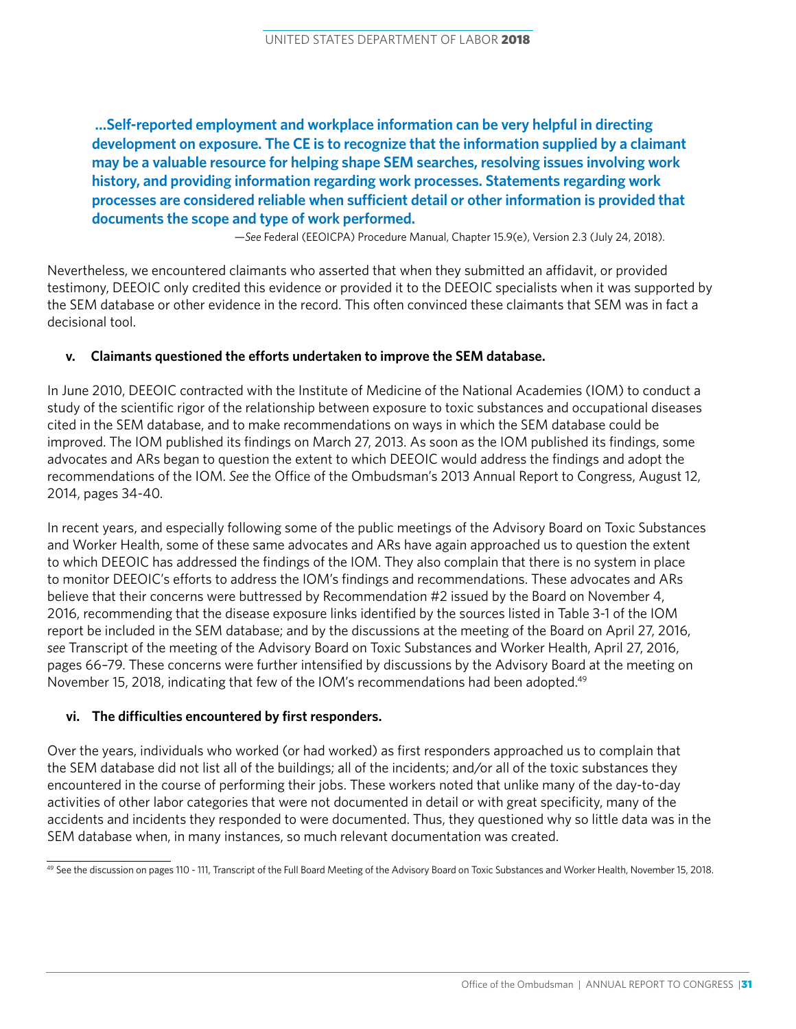**…Self-reported employment and workplace information can be very helpful in directing development on exposure. The CE is to recognize that the information supplied by a claimant may be a valuable resource for helping shape SEM searches, resolving issues involving work history, and providing information regarding work processes. Statements regarding work processes are considered reliable when sufficient detail or other information is provided that documents the scope and type of work performed.** 

—*See* Federal (EEOICPA) Procedure Manual, Chapter 15.9(e), Version 2.3 (July 24, 2018).

Nevertheless, we encountered claimants who asserted that when they submitted an affidavit, or provided testimony, DEEOIC only credited this evidence or provided it to the DEEOIC specialists when it was supported by the SEM database or other evidence in the record. This often convinced these claimants that SEM was in fact a decisional tool.

#### **v. Claimants questioned the efforts undertaken to improve the SEM database.**

In June 2010, DEEOIC contracted with the Institute of Medicine of the National Academies (IOM) to conduct a study of the scientific rigor of the relationship between exposure to toxic substances and occupational diseases cited in the SEM database, and to make recommendations on ways in which the SEM database could be improved. The IOM published its findings on March 27, 2013. As soon as the IOM published its findings, some advocates and ARs began to question the extent to which DEEOIC would address the findings and adopt the recommendations of the IOM. *See* the Office of the Ombudsman's 2013 Annual Report to Congress, August 12, 2014, pages 34-40.

In recent years, and especially following some of the public meetings of the Advisory Board on Toxic Substances and Worker Health, some of these same advocates and ARs have again approached us to question the extent to which DEEOIC has addressed the findings of the IOM. They also complain that there is no system in place to monitor DEEOIC's efforts to address the IOM's findings and recommendations. These advocates and ARs believe that their concerns were buttressed by Recommendation #2 issued by the Board on November 4, 2016, recommending that the disease exposure links identified by the sources listed in Table 3-1 of the IOM report be included in the SEM database; and by the discussions at the meeting of the Board on April 27, 2016, *see* Transcript of the meeting of the Advisory Board on Toxic Substances and Worker Health, April 27, 2016, pages 66–79. These concerns were further intensified by discussions by the Advisory Board at the meeting on November 15, 2018, indicating that few of the IOM's recommendations had been adopted.<sup>49</sup>

#### **vi. The difficulties encountered by first responders.**

Over the years, individuals who worked (or had worked) as first responders approached us to complain that the SEM database did not list all of the buildings; all of the incidents; and/or all of the toxic substances they encountered in the course of performing their jobs. These workers noted that unlike many of the day-to-day activities of other labor categories that were not documented in detail or with great specificity, many of the accidents and incidents they responded to were documented. Thus, they questioned why so little data was in the SEM database when, in many instances, so much relevant documentation was created.

<sup>49</sup> See the discussion on pages 110 - 111, Transcript of the Full Board Meeting of the Advisory Board on Toxic Substances and Worker Health, November 15, 2018.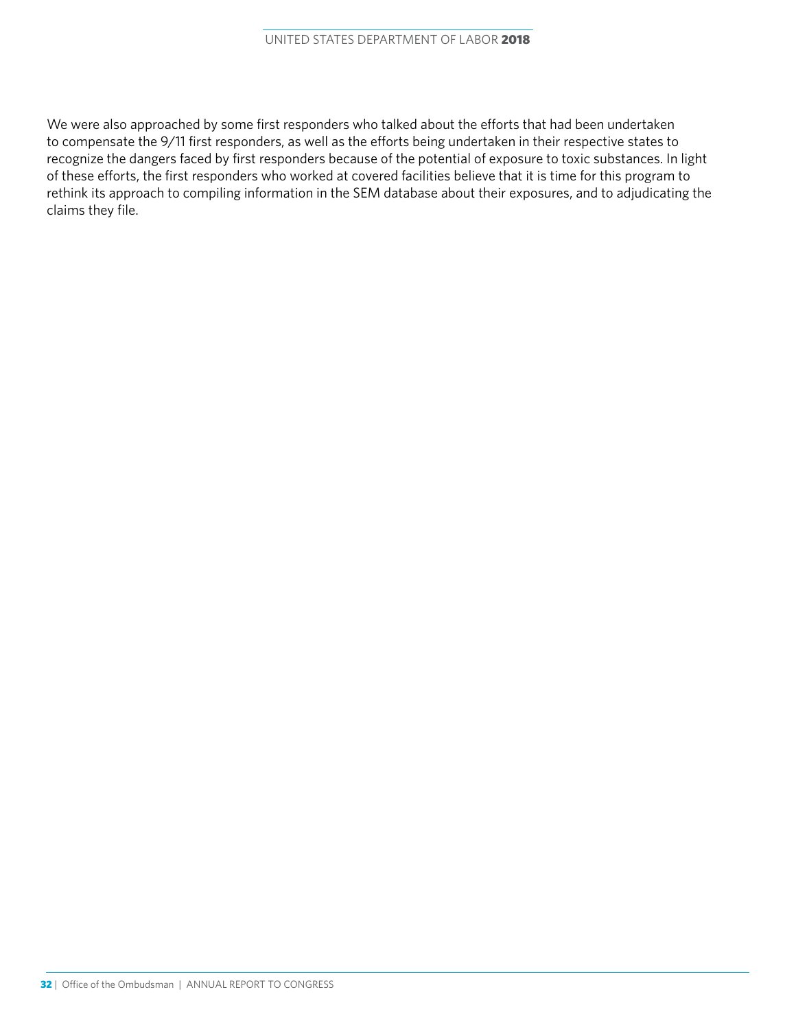We were also approached by some first responders who talked about the efforts that had been undertaken to compensate the 9/11 first responders, as well as the efforts being undertaken in their respective states to recognize the dangers faced by first responders because of the potential of exposure to toxic substances. In light of these efforts, the first responders who worked at covered facilities believe that it is time for this program to rethink its approach to compiling information in the SEM database about their exposures, and to adjudicating the claims they file.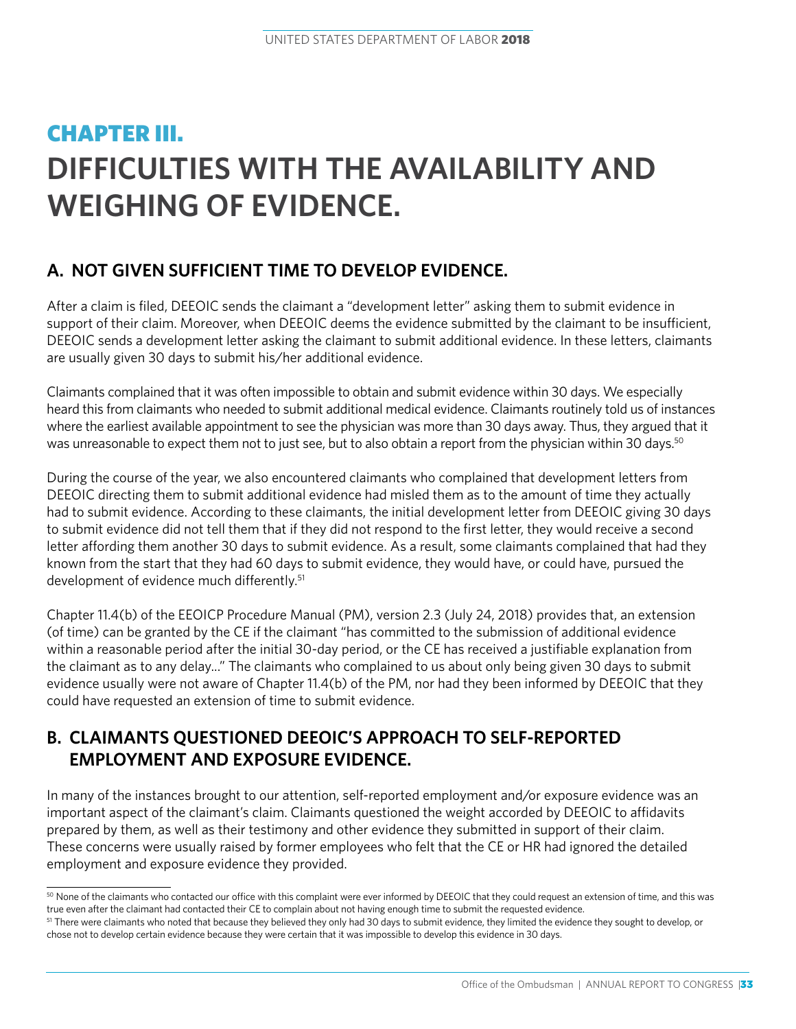## CHAPTER III. **DIFFICULTIES WITH THE AVAILABILITY AND WEIGHING OF EVIDENCE.**

## **A. NOT GIVEN SUFFICIENT TIME TO DEVELOP EVIDENCE.**

After a claim is filed, DEEOIC sends the claimant a "development letter" asking them to submit evidence in support of their claim. Moreover, when DEEOIC deems the evidence submitted by the claimant to be insufficient, DEEOIC sends a development letter asking the claimant to submit additional evidence. In these letters, claimants are usually given 30 days to submit his/her additional evidence.

Claimants complained that it was often impossible to obtain and submit evidence within 30 days. We especially heard this from claimants who needed to submit additional medical evidence. Claimants routinely told us of instances where the earliest available appointment to see the physician was more than 30 days away. Thus, they argued that it was unreasonable to expect them not to just see, but to also obtain a report from the physician within 30 days.<sup>50</sup>

During the course of the year, we also encountered claimants who complained that development letters from DEEOIC directing them to submit additional evidence had misled them as to the amount of time they actually had to submit evidence. According to these claimants, the initial development letter from DEEOIC giving 30 days to submit evidence did not tell them that if they did not respond to the first letter, they would receive a second letter affording them another 30 days to submit evidence. As a result, some claimants complained that had they known from the start that they had 60 days to submit evidence, they would have, or could have, pursued the development of evidence much differently.<sup>51</sup>

Chapter 11.4(b) of the EEOICP Procedure Manual (PM), version 2.3 (July 24, 2018) provides that, an extension (of time) can be granted by the CE if the claimant "has committed to the submission of additional evidence within a reasonable period after the initial 30-day period, or the CE has received a justifiable explanation from the claimant as to any delay..." The claimants who complained to us about only being given 30 days to submit evidence usually were not aware of Chapter 11.4(b) of the PM, nor had they been informed by DEEOIC that they could have requested an extension of time to submit evidence.

## **B. CLAIMANTS QUESTIONED DEEOIC'S APPROACH TO SELF-REPORTED EMPLOYMENT AND EXPOSURE EVIDENCE.**

In many of the instances brought to our attention, self-reported employment and/or exposure evidence was an important aspect of the claimant's claim. Claimants questioned the weight accorded by DEEOIC to affidavits prepared by them, as well as their testimony and other evidence they submitted in support of their claim. These concerns were usually raised by former employees who felt that the CE or HR had ignored the detailed employment and exposure evidence they provided.

<sup>&</sup>lt;sup>50</sup> None of the claimants who contacted our office with this complaint were ever informed by DEEOIC that they could request an extension of time, and this was true even after the claimant had contacted their CE to complain about not having enough time to submit the requested evidence.

<sup>&</sup>lt;sup>51</sup> There were claimants who noted that because they believed they only had 30 days to submit evidence, they limited the evidence they sought to develop, or chose not to develop certain evidence because they were certain that it was impossible to develop this evidence in 30 days.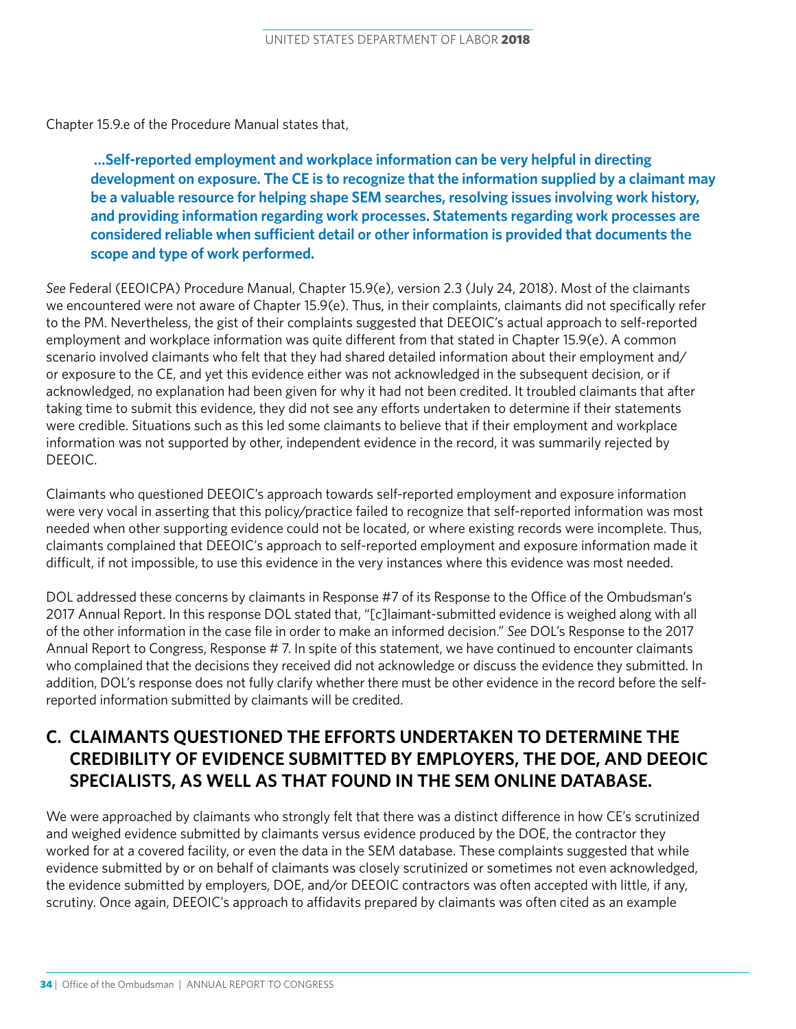Chapter 15.9.e of the Procedure Manual states that,

 **…Self-reported employment and workplace information can be very helpful in directing development on exposure. The CE is to recognize that the information supplied by a claimant may be a valuable resource for helping shape SEM searches, resolving issues involving work history, and providing information regarding work processes. Statements regarding work processes are considered reliable when sufficient detail or other information is provided that documents the scope and type of work performed.** 

*See* Federal (EEOICPA) Procedure Manual, Chapter 15.9(e), version 2.3 (July 24, 2018). Most of the claimants we encountered were not aware of Chapter 15.9(e). Thus, in their complaints, claimants did not specifically refer to the PM. Nevertheless, the gist of their complaints suggested that DEEOIC's actual approach to self-reported employment and workplace information was quite different from that stated in Chapter 15.9(e). A common scenario involved claimants who felt that they had shared detailed information about their employment and/ or exposure to the CE, and yet this evidence either was not acknowledged in the subsequent decision, or if acknowledged, no explanation had been given for why it had not been credited. It troubled claimants that after taking time to submit this evidence, they did not see any efforts undertaken to determine if their statements were credible. Situations such as this led some claimants to believe that if their employment and workplace information was not supported by other, independent evidence in the record, it was summarily rejected by DEEOIC.

Claimants who questioned DEEOIC's approach towards self-reported employment and exposure information were very vocal in asserting that this policy/practice failed to recognize that self-reported information was most needed when other supporting evidence could not be located, or where existing records were incomplete. Thus, claimants complained that DEEOIC's approach to self-reported employment and exposure information made it difficult, if not impossible, to use this evidence in the very instances where this evidence was most needed.

 reported information submitted by claimants will be credited. DOL addressed these concerns by claimants in Response #7 of its Response to the Office of the Ombudsman's 2017 Annual Report. In this response DOL stated that, "[c]laimant-submitted evidence is weighed along with all of the other information in the case file in order to make an informed decision." *See* DOL's Response to the 2017 Annual Report to Congress, Response # 7. In spite of this statement, we have continued to encounter claimants who complained that the decisions they received did not acknowledge or discuss the evidence they submitted. In addition, DOL's response does not fully clarify whether there must be other evidence in the record before the self-

## **C. CLAIMANTS QUESTIONED THE EFFORTS UNDERTAKEN TO DETERMINE THE CREDIBILITY OF EVIDENCE SUBMITTED BY EMPLOYERS, THE DOE, AND DEEOIC SPECIALISTS, AS WELL AS THAT FOUND IN THE SEM ONLINE DATABASE.**

We were approached by claimants who strongly felt that there was a distinct difference in how CE's scrutinized and weighed evidence submitted by claimants versus evidence produced by the DOE, the contractor they worked for at a covered facility, or even the data in the SEM database. These complaints suggested that while evidence submitted by or on behalf of claimants was closely scrutinized or sometimes not even acknowledged, the evidence submitted by employers, DOE, and/or DEEOIC contractors was often accepted with little, if any, scrutiny. Once again, DEEOIC's approach to affidavits prepared by claimants was often cited as an example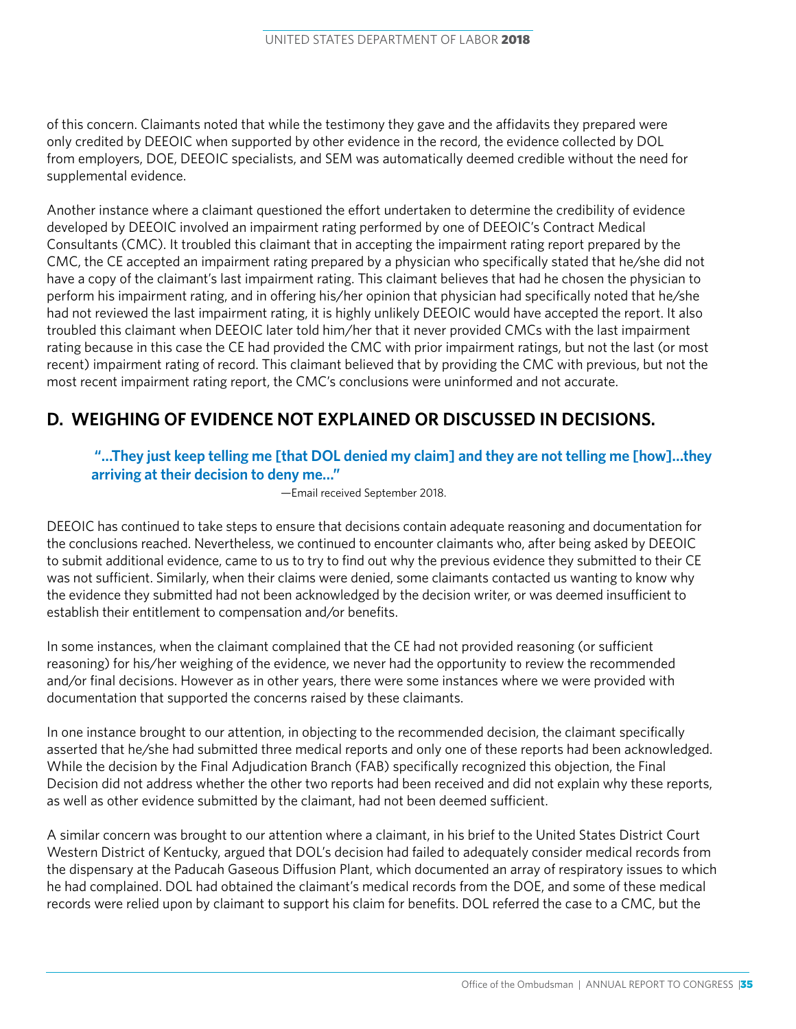of this concern. Claimants noted that while the testimony they gave and the affidavits they prepared were only credited by DEEOIC when supported by other evidence in the record, the evidence collected by DOL from employers, DOE, DEEOIC specialists, and SEM was automatically deemed credible without the need for supplemental evidence.

Another instance where a claimant questioned the effort undertaken to determine the credibility of evidence developed by DEEOIC involved an impairment rating performed by one of DEEOIC's Contract Medical Consultants (CMC). It troubled this claimant that in accepting the impairment rating report prepared by the CMC, the CE accepted an impairment rating prepared by a physician who specifically stated that he/she did not have a copy of the claimant's last impairment rating. This claimant believes that had he chosen the physician to perform his impairment rating, and in offering his/her opinion that physician had specifically noted that he/she had not reviewed the last impairment rating, it is highly unlikely DEEOIC would have accepted the report. It also troubled this claimant when DEEOIC later told him/her that it never provided CMCs with the last impairment rating because in this case the CE had provided the CMC with prior impairment ratings, but not the last (or most recent) impairment rating of record. This claimant believed that by providing the CMC with previous, but not the most recent impairment rating report, the CMC's conclusions were uninformed and not accurate.

## **D. WEIGHING OF EVIDENCE NOT EXPLAINED OR DISCUSSED IN DECISIONS.**

#### **"…They just keep telling me [that DOL denied my claim] and they are not telling me [how]…they arriving at their decision to deny me…"**

—Email received September 2018.

DEEOIC has continued to take steps to ensure that decisions contain adequate reasoning and documentation for the conclusions reached. Nevertheless, we continued to encounter claimants who, after being asked by DEEOIC to submit additional evidence, came to us to try to find out why the previous evidence they submitted to their CE was not sufficient. Similarly, when their claims were denied, some claimants contacted us wanting to know why the evidence they submitted had not been acknowledged by the decision writer, or was deemed insufficient to establish their entitlement to compensation and/or benefits.

In some instances, when the claimant complained that the CE had not provided reasoning (or sufficient reasoning) for his/her weighing of the evidence, we never had the opportunity to review the recommended and/or final decisions. However as in other years, there were some instances where we were provided with documentation that supported the concerns raised by these claimants.

In one instance brought to our attention, in objecting to the recommended decision, the claimant specifically asserted that he/she had submitted three medical reports and only one of these reports had been acknowledged. While the decision by the Final Adjudication Branch (FAB) specifically recognized this objection, the Final Decision did not address whether the other two reports had been received and did not explain why these reports, as well as other evidence submitted by the claimant, had not been deemed sufficient.

A similar concern was brought to our attention where a claimant, in his brief to the United States District Court Western District of Kentucky, argued that DOL's decision had failed to adequately consider medical records from the dispensary at the Paducah Gaseous Diffusion Plant, which documented an array of respiratory issues to which he had complained. DOL had obtained the claimant's medical records from the DOE, and some of these medical records were relied upon by claimant to support his claim for benefits. DOL referred the case to a CMC, but the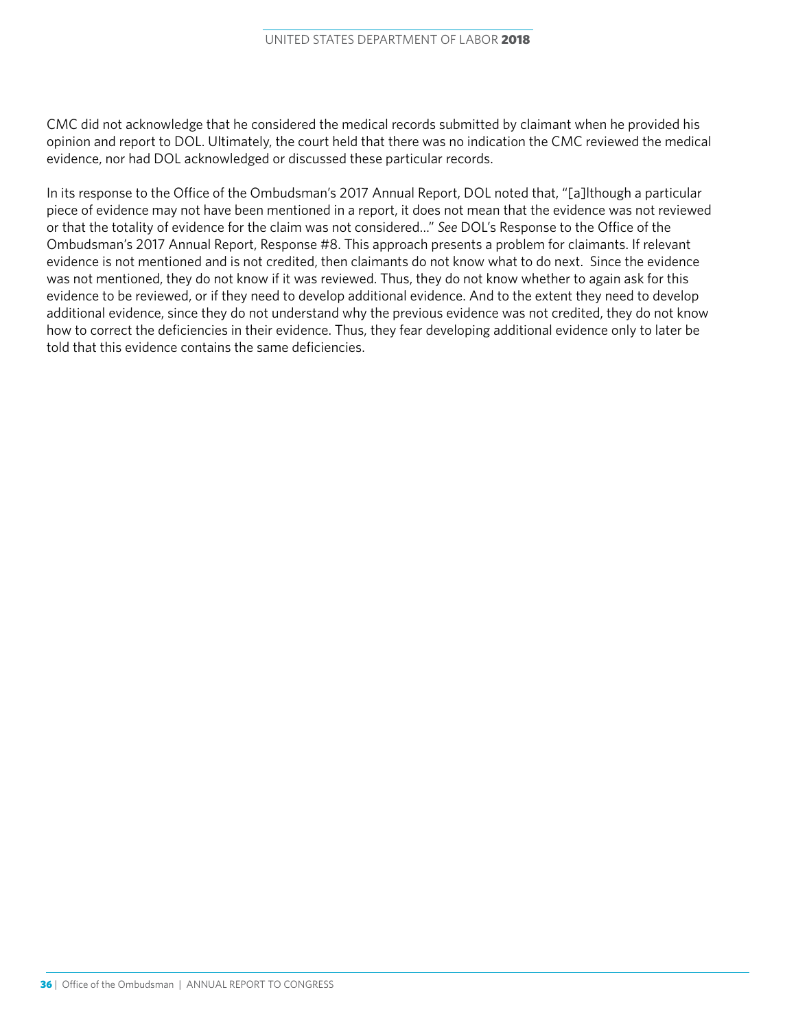CMC did not acknowledge that he considered the medical records submitted by claimant when he provided his opinion and report to DOL. Ultimately, the court held that there was no indication the CMC reviewed the medical evidence, nor had DOL acknowledged or discussed these particular records.

In its response to the Office of the Ombudsman's 2017 Annual Report, DOL noted that, "[a]lthough a particular piece of evidence may not have been mentioned in a report, it does not mean that the evidence was not reviewed or that the totality of evidence for the claim was not considered…" *See* DOL's Response to the Office of the Ombudsman's 2017 Annual Report, Response #8. This approach presents a problem for claimants. If relevant evidence is not mentioned and is not credited, then claimants do not know what to do next. Since the evidence was not mentioned, they do not know if it was reviewed. Thus, they do not know whether to again ask for this evidence to be reviewed, or if they need to develop additional evidence. And to the extent they need to develop additional evidence, since they do not understand why the previous evidence was not credited, they do not know how to correct the deficiencies in their evidence. Thus, they fear developing additional evidence only to later be told that this evidence contains the same deficiencies.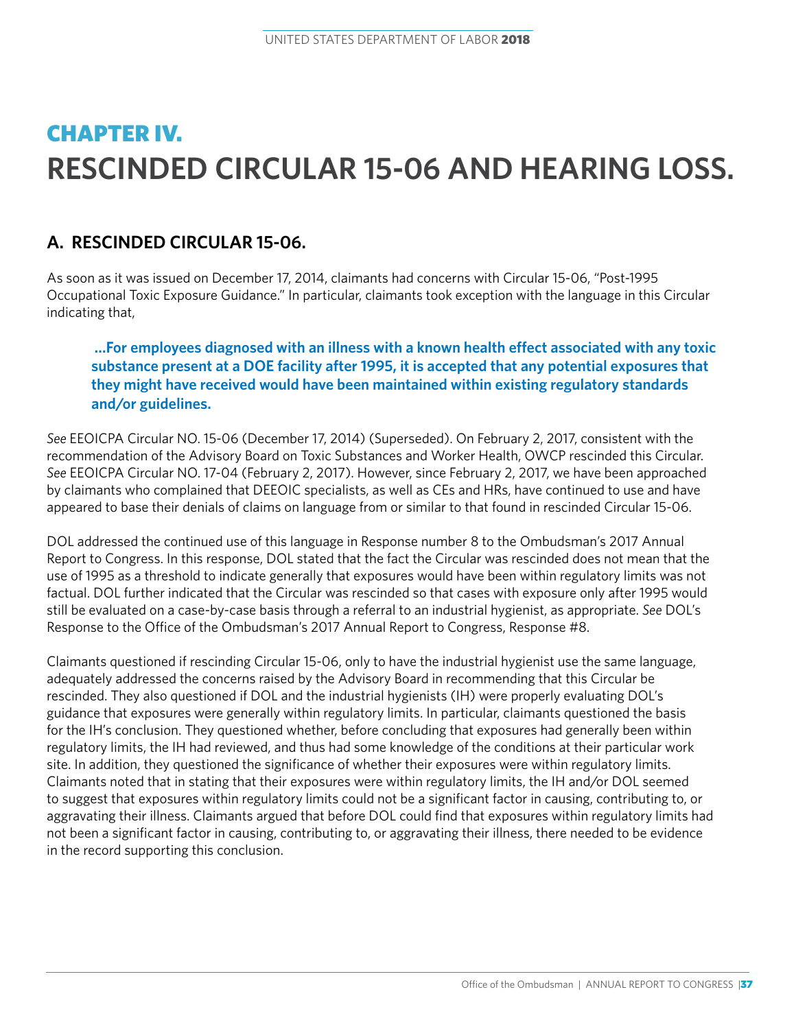## CHAPTER IV. **RESCINDED CIRCULAR 15-06 AND HEARING LOSS.**

## **A. RESCINDED CIRCULAR 15-06.**

As soon as it was issued on December 17, 2014, claimants had concerns with Circular 15-06, "Post-1995 Occupational Toxic Exposure Guidance." In particular, claimants took exception with the language in this Circular indicating that,

#### **…For employees diagnosed with an illness with a known health effect associated with any toxic substance present at a DOE facility after 1995, it is accepted that any potential exposures that they might have received would have been maintained within existing regulatory standards and/or guidelines.**

*See* EEOICPA Circular NO. 15-06 (December 17, 2014) (Superseded). On February 2, 2017, consistent with the recommendation of the Advisory Board on Toxic Substances and Worker Health, OWCP rescinded this Circular. *See* EEOICPA Circular NO. 17-04 (February 2, 2017). However, since February 2, 2017, we have been approached by claimants who complained that DEEOIC specialists, as well as CEs and HRs, have continued to use and have appeared to base their denials of claims on language from or similar to that found in rescinded Circular 15-06.

DOL addressed the continued use of this language in Response number 8 to the Ombudsman's 2017 Annual Report to Congress. In this response, DOL stated that the fact the Circular was rescinded does not mean that the use of 1995 as a threshold to indicate generally that exposures would have been within regulatory limits was not factual. DOL further indicated that the Circular was rescinded so that cases with exposure only after 1995 would still be evaluated on a case-by-case basis through a referral to an industrial hygienist, as appropriate. *See* DOL's Response to the Office of the Ombudsman's 2017 Annual Report to Congress, Response #8.

Claimants questioned if rescinding Circular 15-06, only to have the industrial hygienist use the same language, adequately addressed the concerns raised by the Advisory Board in recommending that this Circular be rescinded. They also questioned if DOL and the industrial hygienists (IH) were properly evaluating DOL's guidance that exposures were generally within regulatory limits. In particular, claimants questioned the basis for the IH's conclusion. They questioned whether, before concluding that exposures had generally been within regulatory limits, the IH had reviewed, and thus had some knowledge of the conditions at their particular work site. In addition, they questioned the significance of whether their exposures were within regulatory limits. Claimants noted that in stating that their exposures were within regulatory limits, the IH and/or DOL seemed to suggest that exposures within regulatory limits could not be a significant factor in causing, contributing to, or aggravating their illness. Claimants argued that before DOL could find that exposures within regulatory limits had not been a significant factor in causing, contributing to, or aggravating their illness, there needed to be evidence in the record supporting this conclusion.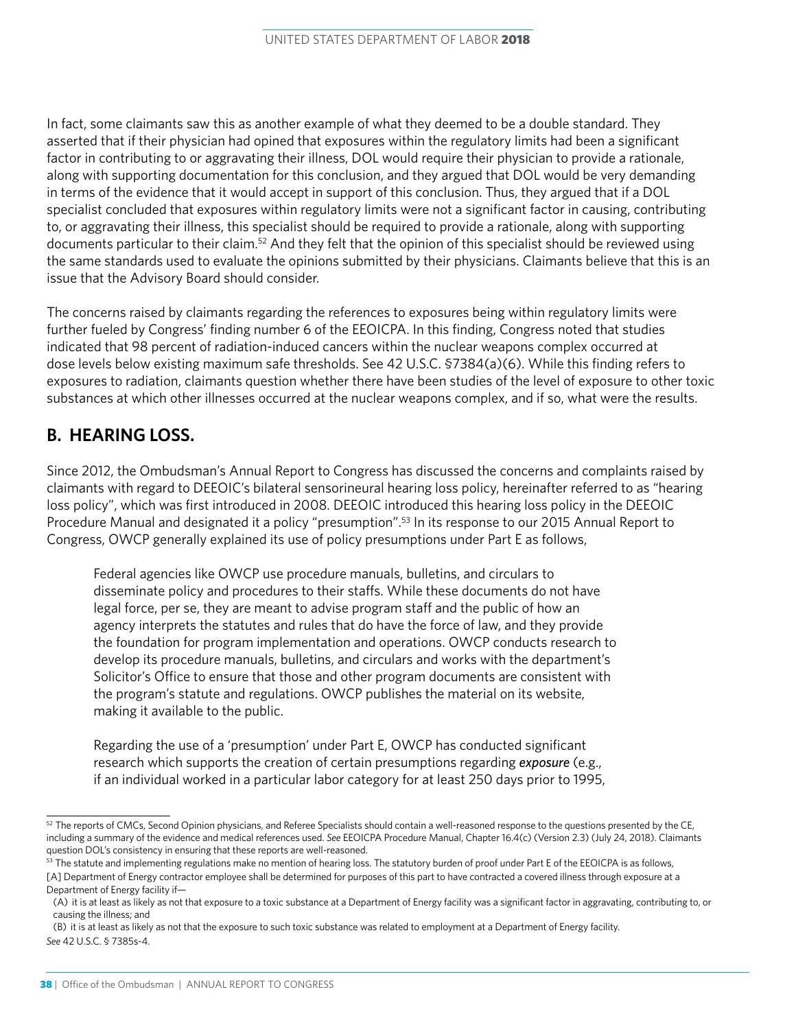In fact, some claimants saw this as another example of what they deemed to be a double standard. They asserted that if their physician had opined that exposures within the regulatory limits had been a significant factor in contributing to or aggravating their illness, DOL would require their physician to provide a rationale, along with supporting documentation for this conclusion, and they argued that DOL would be very demanding in terms of the evidence that it would accept in support of this conclusion. Thus, they argued that if a DOL specialist concluded that exposures within regulatory limits were not a significant factor in causing, contributing to, or aggravating their illness, this specialist should be required to provide a rationale, along with supporting documents particular to their claim.52 And they felt that the opinion of this specialist should be reviewed using the same standards used to evaluate the opinions submitted by their physicians. Claimants believe that this is an issue that the Advisory Board should consider.

The concerns raised by claimants regarding the references to exposures being within regulatory limits were further fueled by Congress' finding number 6 of the EEOICPA. In this finding, Congress noted that studies indicated that 98 percent of radiation-induced cancers within the nuclear weapons complex occurred at dose levels below existing maximum safe thresholds. See 42 U.S.C. §7384(a)(6). While this finding refers to exposures to radiation, claimants question whether there have been studies of the level of exposure to other toxic substances at which other illnesses occurred at the nuclear weapons complex, and if so, what were the results.

## **B. HEARING LOSS.**

Since 2012, the Ombudsman's Annual Report to Congress has discussed the concerns and complaints raised by claimants with regard to DEEOIC's bilateral sensorineural hearing loss policy, hereinafter referred to as "hearing loss policy", which was first introduced in 2008. DEEOIC introduced this hearing loss policy in the DEEOIC Procedure Manual and designated it a policy "presumption".<sup>53</sup> In its response to our 2015 Annual Report to Congress, OWCP generally explained its use of policy presumptions under Part E as follows,

Federal agencies like OWCP use procedure manuals, bulletins, and circulars to disseminate policy and procedures to their staffs. While these documents do not have legal force, per se, they are meant to advise program staff and the public of how an agency interprets the statutes and rules that do have the force of law, and they provide the foundation for program implementation and operations. OWCP conducts research to develop its procedure manuals, bulletins, and circulars and works with the department's Solicitor's Office to ensure that those and other program documents are consistent with the program's statute and regulations. OWCP publishes the material on its website, making it available to the public.

Regarding the use of a 'presumption' under Part E, OWCP has conducted significant research which supports the creation of certain presumptions regarding *exposure* (e.g., if an individual worked in a particular labor category for at least 250 days prior to 1995,

 $^{52}$  The reports of CMCs, Second Opinion physicians, and Referee Specialists should contain a well-reasoned response to the questions presented by the CE, including a summary of the evidence and medical references used. *See* EEOICPA Procedure Manual, Chapter 16.4(c) (Version 2.3) (July 24, 2018). Claimants question DOL's consistency in ensuring that these reports are well-reasoned.

<sup>&</sup>lt;sup>53</sup> The statute and implementing regulations make no mention of hearing loss. The statutory burden of proof under Part E of the EEOICPA is as follows,

<sup>[</sup>A] Department of Energy contractor employee shall be determined for purposes of this part to have contracted a covered illness through exposure at a Department of Energy facility if—

<sup>(</sup>A) it is at least as likely as not that exposure to a toxic substance at a Department of Energy facility was a significant factor in aggravating, contributing to, or causing the illness; and

<sup>(</sup>B) it is at least as likely as not that the exposure to such toxic substance was related to employment at a Department of Energy facility. *See* 42 U.S.C. § 7385s-4.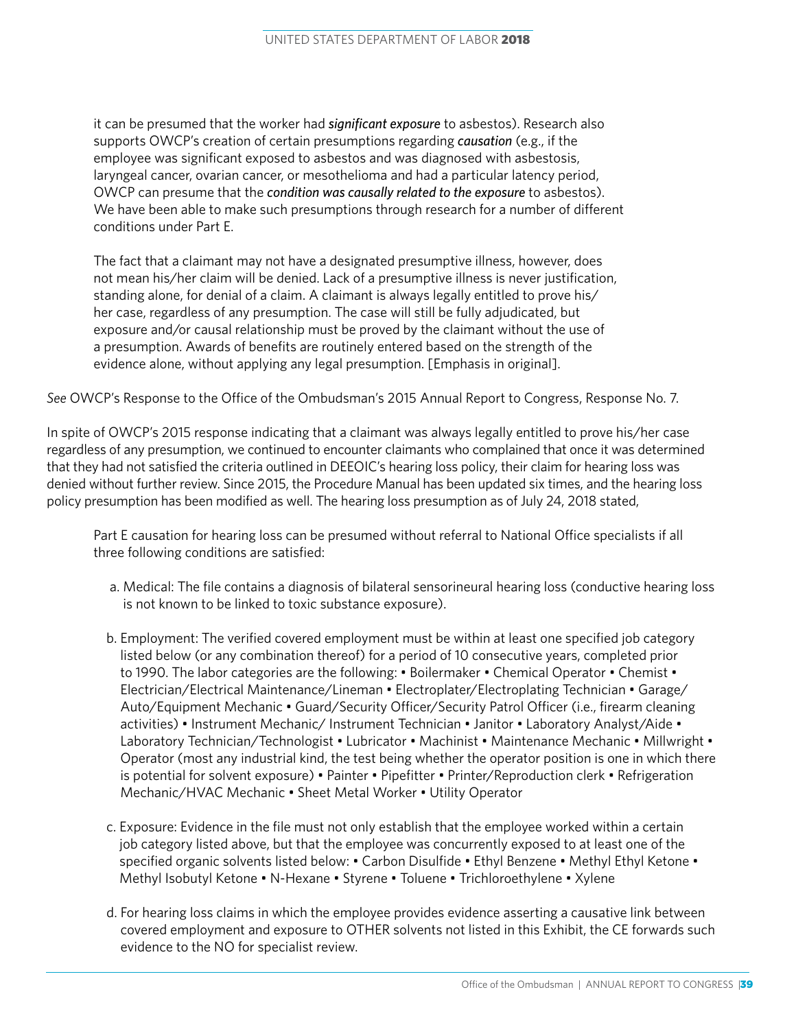it can be presumed that the worker had *significant exposure* to asbestos). Research also supports OWCP's creation of certain presumptions regarding *causation* (e.g., if the employee was significant exposed to asbestos and was diagnosed with asbestosis, laryngeal cancer, ovarian cancer, or mesothelioma and had a particular latency period, OWCP can presume that the *condition was causally related to the exposure* to asbestos). We have been able to make such presumptions through research for a number of different conditions under Part E.

The fact that a claimant may not have a designated presumptive illness, however, does not mean his/her claim will be denied. Lack of a presumptive illness is never justification, standing alone, for denial of a claim. A claimant is always legally entitled to prove his/ her case, regardless of any presumption. The case will still be fully adjudicated, but exposure and/or causal relationship must be proved by the claimant without the use of a presumption. Awards of benefits are routinely entered based on the strength of the evidence alone, without applying any legal presumption. [Emphasis in original].

*See* OWCP's Response to the Office of the Ombudsman's 2015 Annual Report to Congress, Response No. 7.

In spite of OWCP's 2015 response indicating that a claimant was always legally entitled to prove his/her case regardless of any presumption, we continued to encounter claimants who complained that once it was determined that they had not satisfied the criteria outlined in DEEOIC's hearing loss policy, their claim for hearing loss was denied without further review. Since 2015, the Procedure Manual has been updated six times, and the hearing loss policy presumption has been modified as well. The hearing loss presumption as of July 24, 2018 stated,

Part E causation for hearing loss can be presumed without referral to National Office specialists if all three following conditions are satisfied:

- a. Medical: The file contains a diagnosis of bilateral sensorineural hearing loss (conductive hearing loss is not known to be linked to toxic substance exposure).
- b. Employment: The verified covered employment must be within at least one specified job category listed below (or any combination thereof) for a period of 10 consecutive years, completed prior to 1990. The labor categories are the following: • Boilermaker • Chemical Operator • Chemist • Electrician/Electrical Maintenance/Lineman • Electroplater/Electroplating Technician • Garage/ Auto/Equipment Mechanic • Guard/Security Officer/Security Patrol Officer (i.e., firearm cleaning activities) • Instrument Mechanic/ Instrument Technician • Janitor • Laboratory Analyst/Aide • Laboratory Technician/Technologist • Lubricator • Machinist • Maintenance Mechanic • Millwright • Operator (most any industrial kind, the test being whether the operator position is one in which there is potential for solvent exposure) • Painter • Pipefitter • Printer/Reproduction clerk • Refrigeration Mechanic/HVAC Mechanic • Sheet Metal Worker • Utility Operator
- c. Exposure: Evidence in the file must not only establish that the employee worked within a certain job category listed above, but that the employee was concurrently exposed to at least one of the specified organic solvents listed below: • Carbon Disulfide • Ethyl Benzene • Methyl Ethyl Ketone • Methyl Isobutyl Ketone • N-Hexane • Styrene • Toluene • Trichloroethylene • Xylene
- d. For hearing loss claims in which the employee provides evidence asserting a causative link between covered employment and exposure to OTHER solvents not listed in this Exhibit, the CE forwards such evidence to the NO for specialist review.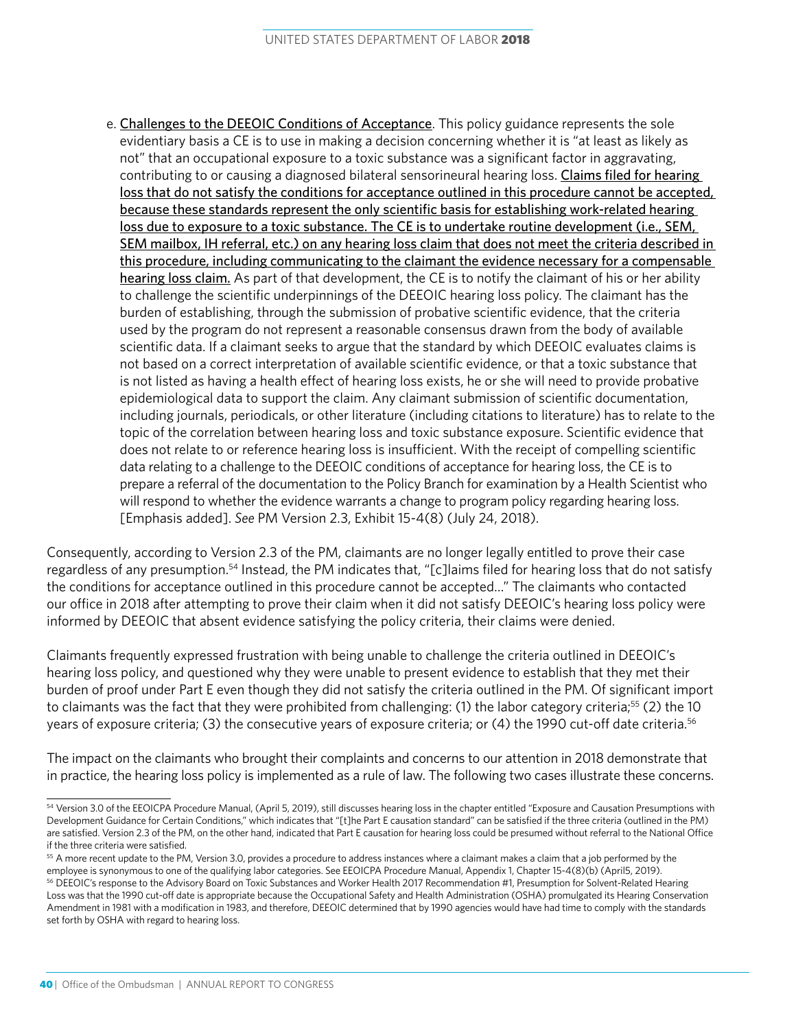e. Challenges to the DEEOIC Conditions of Acceptance. This policy guidance represents the sole evidentiary basis a CE is to use in making a decision concerning whether it is "at least as likely as not" that an occupational exposure to a toxic substance was a significant factor in aggravating, contributing to or causing a diagnosed bilateral sensorineural hearing loss. Claims filed for hearing loss that do not satisfy the conditions for acceptance outlined in this procedure cannot be accepted, because these standards represent the only scientific basis for establishing work-related hearing loss due to exposure to a toxic substance. The CE is to undertake routine development (i.e., SEM, SEM mailbox, IH referral, etc.) on any hearing loss claim that does not meet the criteria described in this procedure, including communicating to the claimant the evidence necessary for a compensable hearing loss claim. As part of that development, the CE is to notify the claimant of his or her ability to challenge the scientific underpinnings of the DEEOIC hearing loss policy. The claimant has the burden of establishing, through the submission of probative scientific evidence, that the criteria used by the program do not represent a reasonable consensus drawn from the body of available scientific data. If a claimant seeks to argue that the standard by which DEEOIC evaluates claims is not based on a correct interpretation of available scientific evidence, or that a toxic substance that is not listed as having a health effect of hearing loss exists, he or she will need to provide probative epidemiological data to support the claim. Any claimant submission of scientific documentation, including journals, periodicals, or other literature (including citations to literature) has to relate to the topic of the correlation between hearing loss and toxic substance exposure. Scientific evidence that does not relate to or reference hearing loss is insufficient. With the receipt of compelling scientific data relating to a challenge to the DEEOIC conditions of acceptance for hearing loss, the CE is to prepare a referral of the documentation to the Policy Branch for examination by a Health Scientist who will respond to whether the evidence warrants a change to program policy regarding hearing loss. [Emphasis added]. *See* PM Version 2.3, Exhibit 15-4(8) (July 24, 2018).

Consequently, according to Version 2.3 of the PM, claimants are no longer legally entitled to prove their case regardless of any presumption.<sup>54</sup> Instead, the PM indicates that, "[c]laims filed for hearing loss that do not satisfy the conditions for acceptance outlined in this procedure cannot be accepted…" The claimants who contacted our office in 2018 after attempting to prove their claim when it did not satisfy DEEOIC's hearing loss policy were informed by DEEOIC that absent evidence satisfying the policy criteria, their claims were denied.

Claimants frequently expressed frustration with being unable to challenge the criteria outlined in DEEOIC's hearing loss policy, and questioned why they were unable to present evidence to establish that they met their burden of proof under Part E even though they did not satisfy the criteria outlined in the PM. Of significant import to claimants was the fact that they were prohibited from challenging: (1) the labor category criteria;<sup>55</sup> (2) the 10 years of exposure criteria; (3) the consecutive years of exposure criteria; or (4) the 1990 cut-off date criteria.56

The impact on the claimants who brought their complaints and concerns to our attention in 2018 demonstrate that in practice, the hearing loss policy is implemented as a rule of law. The following two cases illustrate these concerns.

 $\overline{a}$ 

<sup>54</sup> Version 3.0 of the EEOICPA Procedure Manual, (April 5, 2019), still discusses hearing loss in the chapter entitled "Exposure and Causation Presumptions with Development Guidance for Certain Conditions," which indicates that "[t]he Part E causation standard" can be satisfied if the three criteria (outlined in the PM) are satisfied. Version 2.3 of the PM, on the other hand, indicated that Part E causation for hearing loss could be presumed without referral to the National Office if the three criteria were satisfied.

<sup>&</sup>lt;sup>55</sup> A more recent update to the PM, Version 3.0, provides a procedure to address instances where a claimant makes a claim that a job performed by the employee is synonymous to one of the qualifying labor categories. See EEOICPA Procedure Manual, Appendix 1, Chapter 15-4(8)(b) (April5, 2019).

<sup>56</sup> DEEOIC's response to the Advisory Board on Toxic Substances and Worker Health 2017 Recommendation #1, Presumption for Solvent-Related Hearing Loss was that the 1990 cut-off date is appropriate because the Occupational Safety and Health Administration (OSHA) promulgated its Hearing Conservation Amendment in 1981 with a modification in 1983, and therefore, DEEOIC determined that by 1990 agencies would have had time to comply with the standards set forth by OSHA with regard to hearing loss.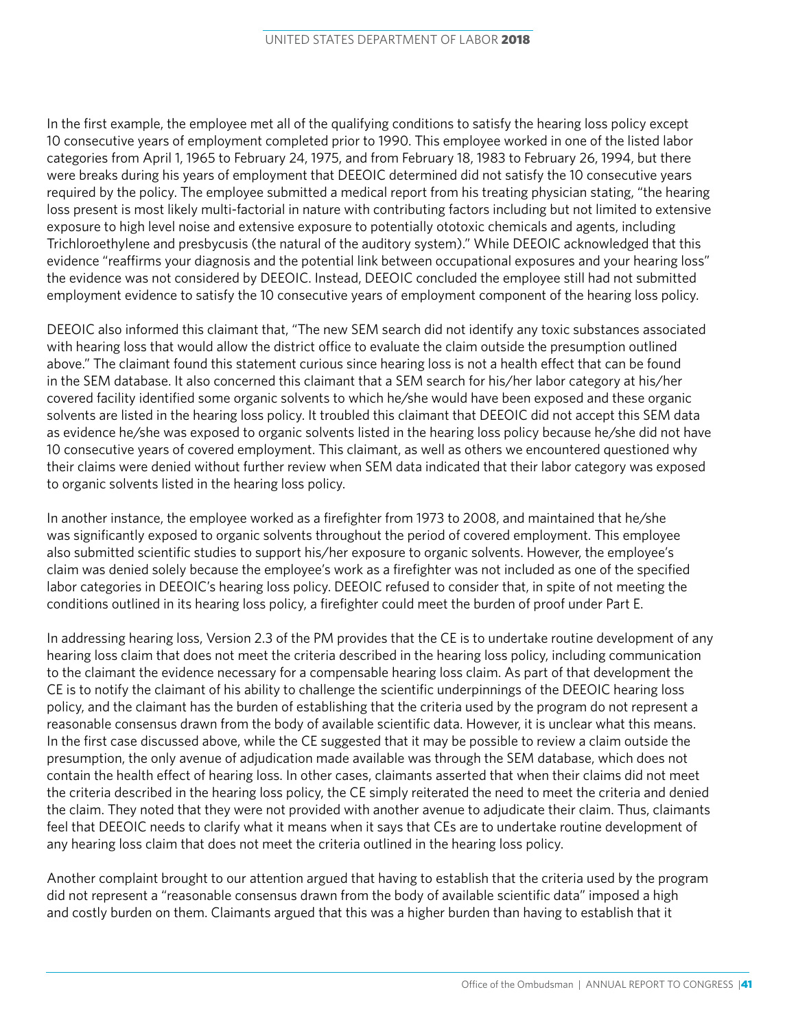In the first example, the employee met all of the qualifying conditions to satisfy the hearing loss policy except 10 consecutive years of employment completed prior to 1990. This employee worked in one of the listed labor categories from April 1, 1965 to February 24, 1975, and from February 18, 1983 to February 26, 1994, but there were breaks during his years of employment that DEEOIC determined did not satisfy the 10 consecutive years required by the policy. The employee submitted a medical report from his treating physician stating, "the hearing loss present is most likely multi-factorial in nature with contributing factors including but not limited to extensive exposure to high level noise and extensive exposure to potentially ototoxic chemicals and agents, including Trichloroethylene and presbycusis (the natural of the auditory system)." While DEEOIC acknowledged that this evidence "reaffirms your diagnosis and the potential link between occupational exposures and your hearing loss" the evidence was not considered by DEEOIC. Instead, DEEOIC concluded the employee still had not submitted employment evidence to satisfy the 10 consecutive years of employment component of the hearing loss policy.

DEEOIC also informed this claimant that, "The new SEM search did not identify any toxic substances associated with hearing loss that would allow the district office to evaluate the claim outside the presumption outlined above." The claimant found this statement curious since hearing loss is not a health effect that can be found in the SEM database. It also concerned this claimant that a SEM search for his/her labor category at his/her covered facility identified some organic solvents to which he/she would have been exposed and these organic solvents are listed in the hearing loss policy. It troubled this claimant that DEEOIC did not accept this SEM data as evidence he/she was exposed to organic solvents listed in the hearing loss policy because he/she did not have 10 consecutive years of covered employment. This claimant, as well as others we encountered questioned why their claims were denied without further review when SEM data indicated that their labor category was exposed to organic solvents listed in the hearing loss policy.

In another instance, the employee worked as a firefighter from 1973 to 2008, and maintained that he/she was significantly exposed to organic solvents throughout the period of covered employment. This employee also submitted scientific studies to support his/her exposure to organic solvents. However, the employee's claim was denied solely because the employee's work as a firefighter was not included as one of the specified labor categories in DEEOIC's hearing loss policy. DEEOIC refused to consider that, in spite of not meeting the conditions outlined in its hearing loss policy, a firefighter could meet the burden of proof under Part E.

In addressing hearing loss, Version 2.3 of the PM provides that the CE is to undertake routine development of any hearing loss claim that does not meet the criteria described in the hearing loss policy, including communication to the claimant the evidence necessary for a compensable hearing loss claim. As part of that development the CE is to notify the claimant of his ability to challenge the scientific underpinnings of the DEEOIC hearing loss policy, and the claimant has the burden of establishing that the criteria used by the program do not represent a reasonable consensus drawn from the body of available scientific data. However, it is unclear what this means. In the first case discussed above, while the CE suggested that it may be possible to review a claim outside the presumption, the only avenue of adjudication made available was through the SEM database, which does not contain the health effect of hearing loss. In other cases, claimants asserted that when their claims did not meet the criteria described in the hearing loss policy, the CE simply reiterated the need to meet the criteria and denied the claim. They noted that they were not provided with another avenue to adjudicate their claim. Thus, claimants feel that DEEOIC needs to clarify what it means when it says that CEs are to undertake routine development of any hearing loss claim that does not meet the criteria outlined in the hearing loss policy.

Another complaint brought to our attention argued that having to establish that the criteria used by the program did not represent a "reasonable consensus drawn from the body of available scientific data" imposed a high and costly burden on them. Claimants argued that this was a higher burden than having to establish that it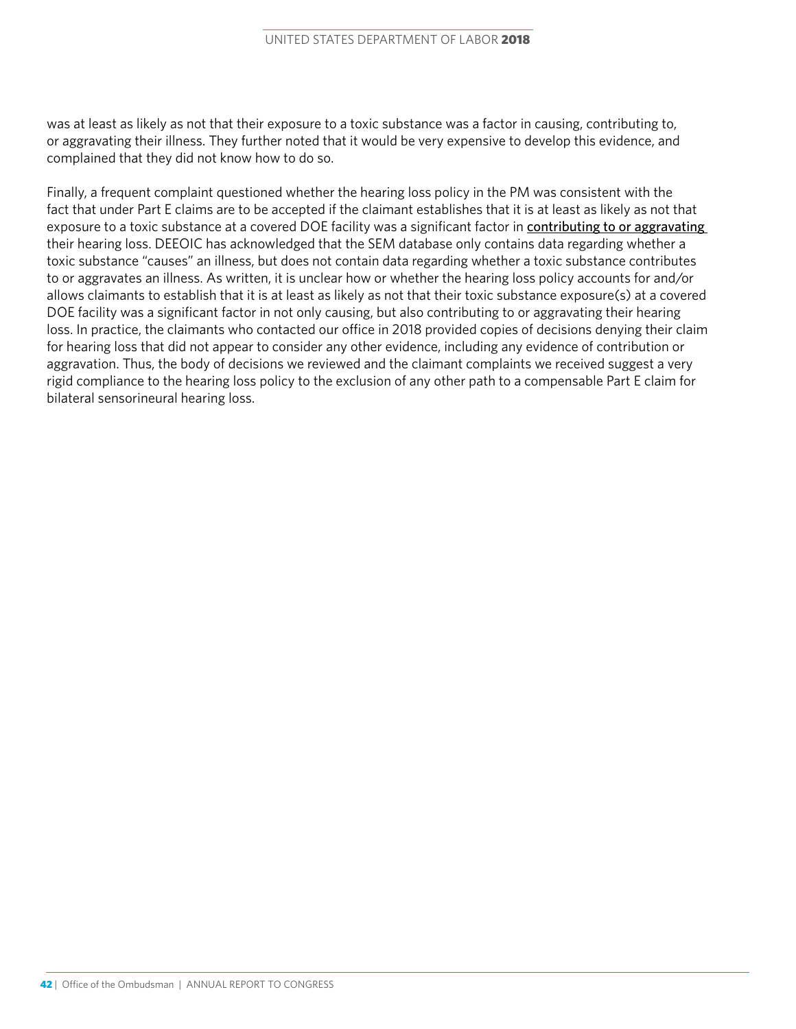#### UNITED STATES DEPARTMENT OF LABOR 2018

was at least as likely as not that their exposure to a toxic substance was a factor in causing, contributing to, or aggravating their illness. They further noted that it would be very expensive to develop this evidence, and complained that they did not know how to do so.

Finally, a frequent complaint questioned whether the hearing loss policy in the PM was consistent with the fact that under Part E claims are to be accepted if the claimant establishes that it is at least as likely as not that exposure to a toxic substance at a covered DOE facility was a significant factor in **contributing to or aggravating** their hearing loss. DEEOIC has acknowledged that the SEM database only contains data regarding whether a toxic substance "causes" an illness, but does not contain data regarding whether a toxic substance contributes to or aggravates an illness. As written, it is unclear how or whether the hearing loss policy accounts for and/or allows claimants to establish that it is at least as likely as not that their toxic substance exposure(s) at a covered DOE facility was a significant factor in not only causing, but also contributing to or aggravating their hearing loss. In practice, the claimants who contacted our office in 2018 provided copies of decisions denying their claim for hearing loss that did not appear to consider any other evidence, including any evidence of contribution or aggravation. Thus, the body of decisions we reviewed and the claimant complaints we received suggest a very rigid compliance to the hearing loss policy to the exclusion of any other path to a compensable Part E claim for bilateral sensorineural hearing loss.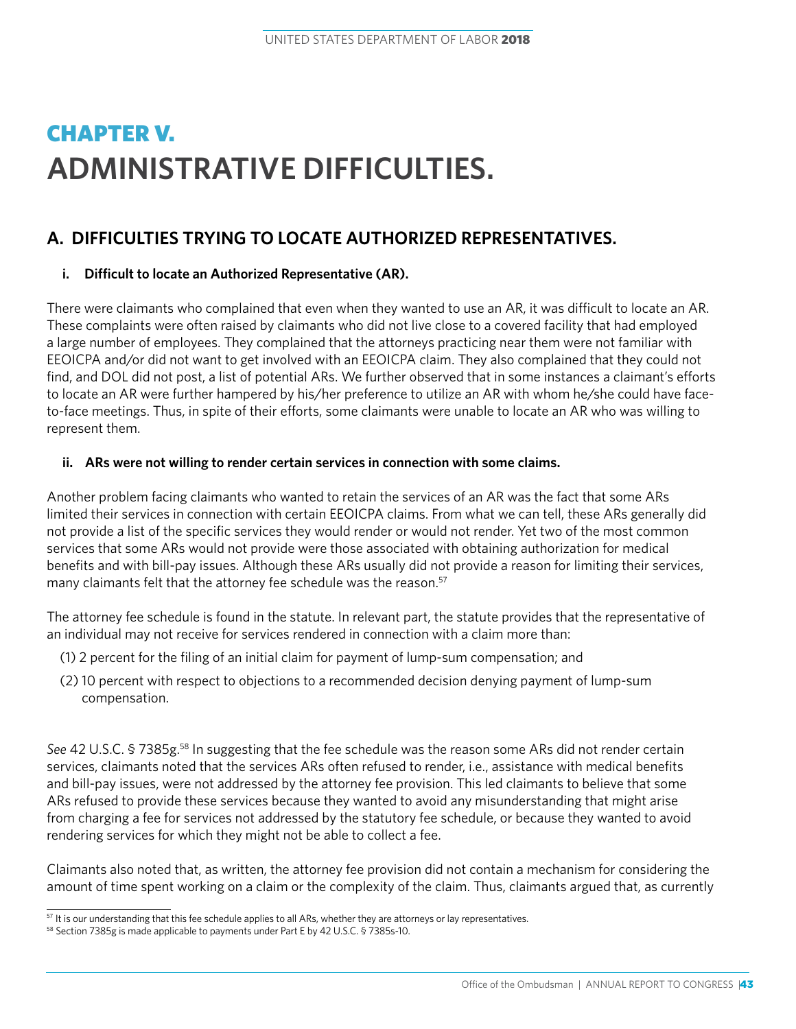## CHAPTER V. **ADMINISTRATIVE DIFFICULTIES.**

## **A. DIFFICULTIES TRYING TO LOCATE AUTHORIZED REPRESENTATIVES.**

#### **i. Difficult to locate an Authorized Representative (AR).**

There were claimants who complained that even when they wanted to use an AR, it was difficult to locate an AR. These complaints were often raised by claimants who did not live close to a covered facility that had employed a large number of employees. They complained that the attorneys practicing near them were not familiar with EEOICPA and/or did not want to get involved with an EEOICPA claim. They also complained that they could not find, and DOL did not post, a list of potential ARs. We further observed that in some instances a claimant's efforts to locate an AR were further hampered by his/her preference to utilize an AR with whom he/she could have faceto-face meetings. Thus, in spite of their efforts, some claimants were unable to locate an AR who was willing to represent them.

#### **ii. ARs were not willing to render certain services in connection with some claims.**

Another problem facing claimants who wanted to retain the services of an AR was the fact that some ARs limited their services in connection with certain EEOICPA claims. From what we can tell, these ARs generally did not provide a list of the specific services they would render or would not render. Yet two of the most common services that some ARs would not provide were those associated with obtaining authorization for medical benefits and with bill-pay issues. Although these ARs usually did not provide a reason for limiting their services, many claimants felt that the attorney fee schedule was the reason.<sup>57</sup>

The attorney fee schedule is found in the statute. In relevant part, the statute provides that the representative of an individual may not receive for services rendered in connection with a claim more than:

- (1) 2 percent for the filing of an initial claim for payment of lump-sum compensation; and
- (2) 10 percent with respect to objections to a recommended decision denying payment of lump-sum compensation.

See 42 U.S.C. § 7385g.<sup>58</sup> In suggesting that the fee schedule was the reason some ARs did not render certain services, claimants noted that the services ARs often refused to render, i.e., assistance with medical benefits and bill-pay issues, were not addressed by the attorney fee provision. This led claimants to believe that some ARs refused to provide these services because they wanted to avoid any misunderstanding that might arise from charging a fee for services not addressed by the statutory fee schedule, or because they wanted to avoid rendering services for which they might not be able to collect a fee.

Claimants also noted that, as written, the attorney fee provision did not contain a mechanism for considering the amount of time spent working on a claim or the complexity of the claim. Thus, claimants argued that, as currently

<sup>&</sup>lt;sup>57</sup> It is our understanding that this fee schedule applies to all ARs, whether they are attorneys or lay representatives.

<sup>&</sup>lt;sup>58</sup> Section 7385g is made applicable to payments under Part E by 42 U.S.C. § 7385s-10.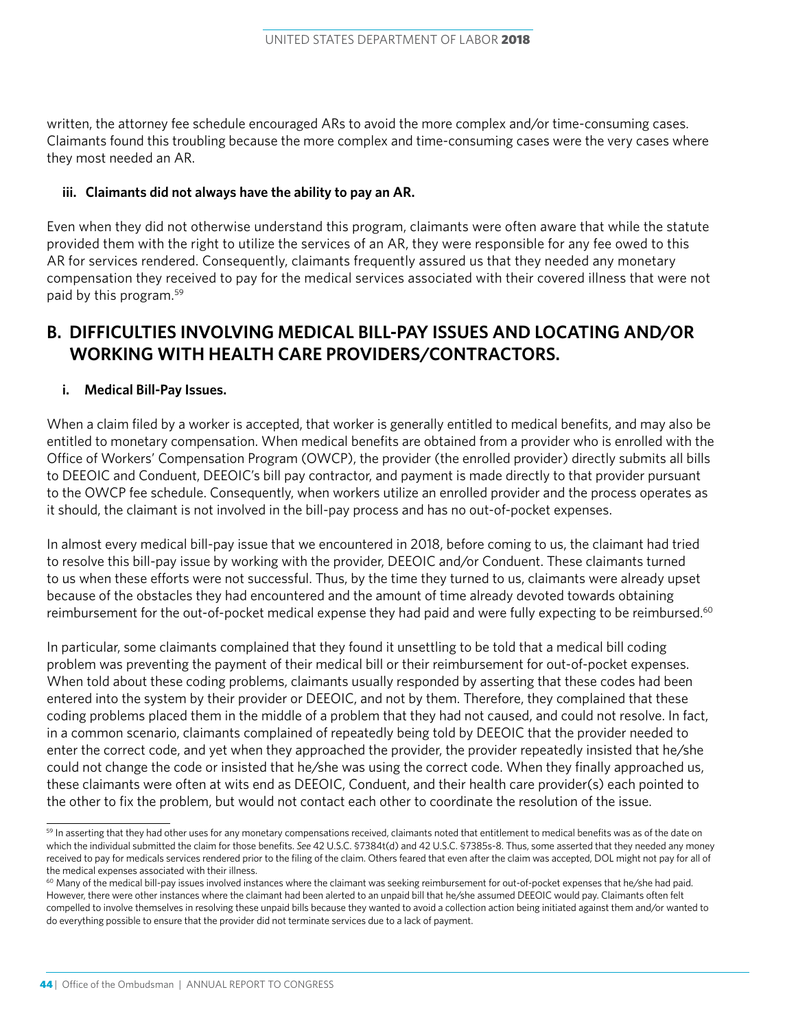written, the attorney fee schedule encouraged ARs to avoid the more complex and/or time-consuming cases. Claimants found this troubling because the more complex and time-consuming cases were the very cases where they most needed an AR.

#### **iii. Claimants did not always have the ability to pay an AR.**

Even when they did not otherwise understand this program, claimants were often aware that while the statute provided them with the right to utilize the services of an AR, they were responsible for any fee owed to this AR for services rendered. Consequently, claimants frequently assured us that they needed any monetary compensation they received to pay for the medical services associated with their covered illness that were not paid by this program.59

### **B. DIFFICULTIES INVOLVING MEDICAL BILL-PAY ISSUES AND LOCATING AND/OR WORKING WITH HEALTH CARE PROVIDERS/CONTRACTORS.**

#### **i. Medical Bill-Pay Issues.**

When a claim filed by a worker is accepted, that worker is generally entitled to medical benefits, and may also be entitled to monetary compensation. When medical benefits are obtained from a provider who is enrolled with the Office of Workers' Compensation Program (OWCP), the provider (the enrolled provider) directly submits all bills to DEEOIC and Conduent, DEEOIC's bill pay contractor, and payment is made directly to that provider pursuant to the OWCP fee schedule. Consequently, when workers utilize an enrolled provider and the process operates as it should, the claimant is not involved in the bill-pay process and has no out-of-pocket expenses.

In almost every medical bill-pay issue that we encountered in 2018, before coming to us, the claimant had tried to resolve this bill-pay issue by working with the provider, DEEOIC and/or Conduent. These claimants turned to us when these efforts were not successful. Thus, by the time they turned to us, claimants were already upset because of the obstacles they had encountered and the amount of time already devoted towards obtaining reimbursement for the out-of-pocket medical expense they had paid and were fully expecting to be reimbursed.<sup>60</sup>

In particular, some claimants complained that they found it unsettling to be told that a medical bill coding problem was preventing the payment of their medical bill or their reimbursement for out-of-pocket expenses. When told about these coding problems, claimants usually responded by asserting that these codes had been entered into the system by their provider or DEEOIC, and not by them. Therefore, they complained that these coding problems placed them in the middle of a problem that they had not caused, and could not resolve. In fact, in a common scenario, claimants complained of repeatedly being told by DEEOIC that the provider needed to enter the correct code, and yet when they approached the provider, the provider repeatedly insisted that he/she could not change the code or insisted that he/she was using the correct code. When they finally approached us, these claimants were often at wits end as DEEOIC, Conduent, and their health care provider(s) each pointed to the other to fix the problem, but would not contact each other to coordinate the resolution of the issue.

<sup>&</sup>lt;sup>59</sup> In asserting that they had other uses for any monetary compensations received, claimants noted that entitlement to medical benefits was as of the date on which the individual submitted the claim for those benefits. *See* 42 U.S.C. §7384t(d) and 42 U.S.C. §7385s-8. Thus, some asserted that they needed any money received to pay for medicals services rendered prior to the filing of the claim. Others feared that even after the claim was accepted, DOL might not pay for all of the medical expenses associated with their illness.

<sup>&</sup>lt;sup>60</sup> Many of the medical bill-pay issues involved instances where the claimant was seeking reimbursement for out-of-pocket expenses that he/she had paid. However, there were other instances where the claimant had been alerted to an unpaid bill that he/she assumed DEEOIC would pay. Claimants often felt compelled to involve themselves in resolving these unpaid bills because they wanted to avoid a collection action being initiated against them and/or wanted to do everything possible to ensure that the provider did not terminate services due to a lack of payment.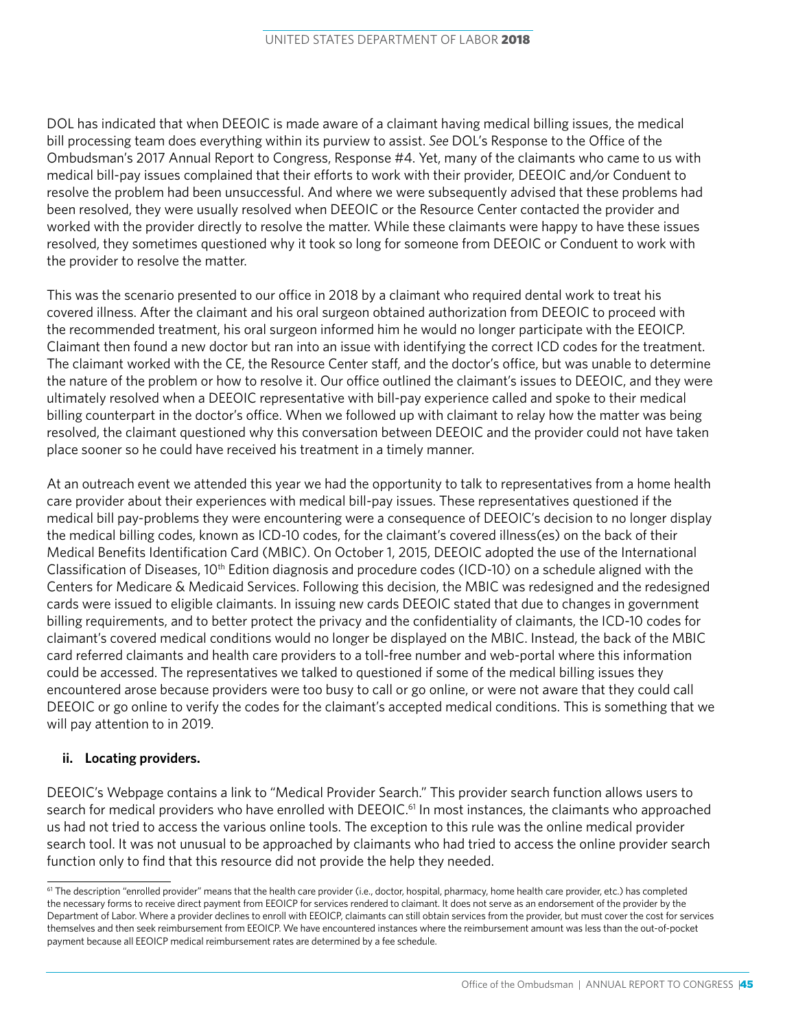DOL has indicated that when DEEOIC is made aware of a claimant having medical billing issues, the medical bill processing team does everything within its purview to assist. *See* DOL's Response to the Office of the Ombudsman's 2017 Annual Report to Congress, Response #4. Yet, many of the claimants who came to us with medical bill-pay issues complained that their efforts to work with their provider, DEEOIC and/or Conduent to resolve the problem had been unsuccessful. And where we were subsequently advised that these problems had been resolved, they were usually resolved when DEEOIC or the Resource Center contacted the provider and worked with the provider directly to resolve the matter. While these claimants were happy to have these issues resolved, they sometimes questioned why it took so long for someone from DEEOIC or Conduent to work with the provider to resolve the matter.

This was the scenario presented to our office in 2018 by a claimant who required dental work to treat his covered illness. After the claimant and his oral surgeon obtained authorization from DEEOIC to proceed with the recommended treatment, his oral surgeon informed him he would no longer participate with the EEOICP. Claimant then found a new doctor but ran into an issue with identifying the correct ICD codes for the treatment. The claimant worked with the CE, the Resource Center staff, and the doctor's office, but was unable to determine the nature of the problem or how to resolve it. Our office outlined the claimant's issues to DEEOIC, and they were ultimately resolved when a DEEOIC representative with bill-pay experience called and spoke to their medical billing counterpart in the doctor's office. When we followed up with claimant to relay how the matter was being resolved, the claimant questioned why this conversation between DEEOIC and the provider could not have taken place sooner so he could have received his treatment in a timely manner.

At an outreach event we attended this year we had the opportunity to talk to representatives from a home health care provider about their experiences with medical bill-pay issues. These representatives questioned if the medical bill pay-problems they were encountering were a consequence of DEEOIC's decision to no longer display the medical billing codes, known as ICD-10 codes, for the claimant's covered illness(es) on the back of their Medical Benefits Identification Card (MBIC). On October 1, 2015, DEEOIC adopted the use of the International Classification of Diseases,  $10^{th}$  Edition diagnosis and procedure codes (ICD-10) on a schedule aligned with the Centers for Medicare & Medicaid Services. Following this decision, the MBIC was redesigned and the redesigned cards were issued to eligible claimants. In issuing new cards DEEOIC stated that due to changes in government billing requirements, and to better protect the privacy and the confidentiality of claimants, the ICD-10 codes for claimant's covered medical conditions would no longer be displayed on the MBIC. Instead, the back of the MBIC card referred claimants and health care providers to a toll-free number and web-portal where this information could be accessed. The representatives we talked to questioned if some of the medical billing issues they encountered arose because providers were too busy to call or go online, or were not aware that they could call DEEOIC or go online to verify the codes for the claimant's accepted medical conditions. This is something that we will pay attention to in 2019.

#### **ii. Locating providers.**

DEEOIC's Webpage contains a link to "Medical Provider Search." This provider search function allows users to search for medical providers who have enrolled with DEEOIC.<sup>61</sup> In most instances, the claimants who approached us had not tried to access the various online tools. The exception to this rule was the online medical provider search tool. It was not unusual to be approached by claimants who had tried to access the online provider search function only to find that this resource did not provide the help they needed.

<sup>&</sup>lt;sup>61</sup> The description "enrolled provider" means that the health care provider (i.e., doctor, hospital, pharmacy, home health care provider, etc.) has completed the necessary forms to receive direct payment from EEOICP for services rendered to claimant. It does not serve as an endorsement of the provider by the Department of Labor. Where a provider declines to enroll with EEOICP, claimants can still obtain services from the provider, but must cover the cost for services themselves and then seek reimbursement from EEOICP. We have encountered instances where the reimbursement amount was less than the out-of-pocket payment because all EEOICP medical reimbursement rates are determined by a fee schedule.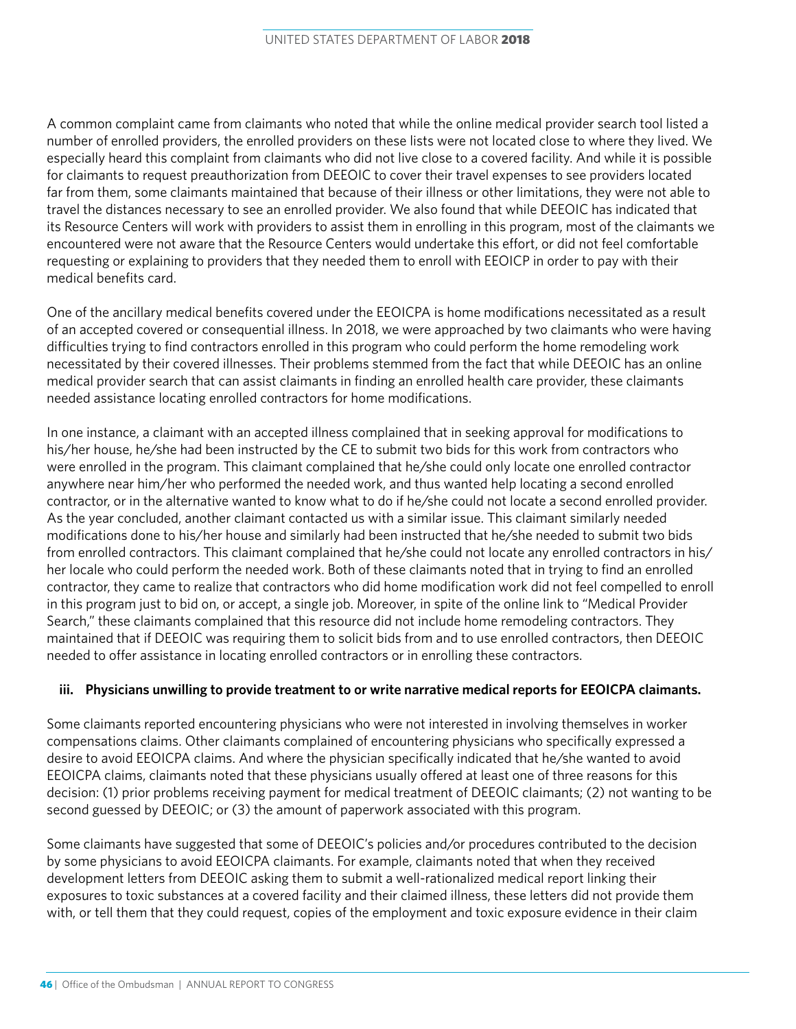A common complaint came from claimants who noted that while the online medical provider search tool listed a number of enrolled providers, the enrolled providers on these lists were not located close to where they lived. We especially heard this complaint from claimants who did not live close to a covered facility. And while it is possible for claimants to request preauthorization from DEEOIC to cover their travel expenses to see providers located far from them, some claimants maintained that because of their illness or other limitations, they were not able to travel the distances necessary to see an enrolled provider. We also found that while DEEOIC has indicated that its Resource Centers will work with providers to assist them in enrolling in this program, most of the claimants we encountered were not aware that the Resource Centers would undertake this effort, or did not feel comfortable requesting or explaining to providers that they needed them to enroll with EEOICP in order to pay with their medical benefits card.

One of the ancillary medical benefits covered under the EEOICPA is home modifications necessitated as a result of an accepted covered or consequential illness. In 2018, we were approached by two claimants who were having difficulties trying to find contractors enrolled in this program who could perform the home remodeling work necessitated by their covered illnesses. Their problems stemmed from the fact that while DEEOIC has an online medical provider search that can assist claimants in finding an enrolled health care provider, these claimants needed assistance locating enrolled contractors for home modifications.

In one instance, a claimant with an accepted illness complained that in seeking approval for modifications to his/her house, he/she had been instructed by the CE to submit two bids for this work from contractors who were enrolled in the program. This claimant complained that he/she could only locate one enrolled contractor anywhere near him/her who performed the needed work, and thus wanted help locating a second enrolled contractor, or in the alternative wanted to know what to do if he/she could not locate a second enrolled provider. As the year concluded, another claimant contacted us with a similar issue. This claimant similarly needed modifications done to his/her house and similarly had been instructed that he/she needed to submit two bids from enrolled contractors. This claimant complained that he/she could not locate any enrolled contractors in his/ her locale who could perform the needed work. Both of these claimants noted that in trying to find an enrolled contractor, they came to realize that contractors who did home modification work did not feel compelled to enroll in this program just to bid on, or accept, a single job. Moreover, in spite of the online link to "Medical Provider Search," these claimants complained that this resource did not include home remodeling contractors. They maintained that if DEEOIC was requiring them to solicit bids from and to use enrolled contractors, then DEEOIC needed to offer assistance in locating enrolled contractors or in enrolling these contractors.

#### iii. Physicians unwilling to provide treatment to or write narrative medical reports for EEOICPA claimants.

Some claimants reported encountering physicians who were not interested in involving themselves in worker compensations claims. Other claimants complained of encountering physicians who specifically expressed a desire to avoid EEOICPA claims. And where the physician specifically indicated that he/she wanted to avoid EEOICPA claims, claimants noted that these physicians usually offered at least one of three reasons for this decision: (1) prior problems receiving payment for medical treatment of DEEOIC claimants; (2) not wanting to be second guessed by DEEOIC; or (3) the amount of paperwork associated with this program.

Some claimants have suggested that some of DEEOIC's policies and/or procedures contributed to the decision by some physicians to avoid EEOICPA claimants. For example, claimants noted that when they received development letters from DEEOIC asking them to submit a well-rationalized medical report linking their exposures to toxic substances at a covered facility and their claimed illness, these letters did not provide them with, or tell them that they could request, copies of the employment and toxic exposure evidence in their claim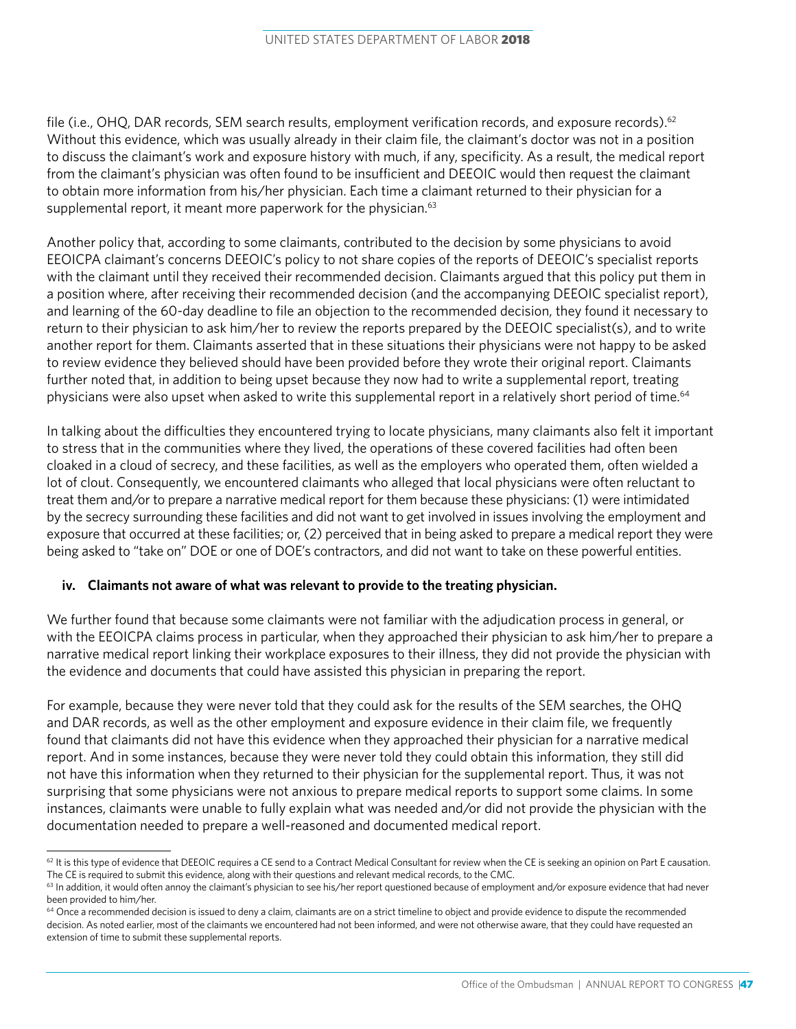#### UNITED STATES DEPARTMENT OF LABOR 2018

file (i.e., OHQ, DAR records, SEM search results, employment verification records, and exposure records).<sup>62</sup> Without this evidence, which was usually already in their claim file, the claimant's doctor was not in a position to discuss the claimant's work and exposure history with much, if any, specificity. As a result, the medical report from the claimant's physician was often found to be insufficient and DEEOIC would then request the claimant to obtain more information from his/her physician. Each time a claimant returned to their physician for a supplemental report, it meant more paperwork for the physician.<sup>63</sup>

Another policy that, according to some claimants, contributed to the decision by some physicians to avoid EEOICPA claimant's concerns DEEOIC's policy to not share copies of the reports of DEEOIC's specialist reports with the claimant until they received their recommended decision. Claimants argued that this policy put them in a position where, after receiving their recommended decision (and the accompanying DEEOIC specialist report), and learning of the 60-day deadline to file an objection to the recommended decision, they found it necessary to return to their physician to ask him/her to review the reports prepared by the DEEOIC specialist(s), and to write another report for them. Claimants asserted that in these situations their physicians were not happy to be asked to review evidence they believed should have been provided before they wrote their original report. Claimants further noted that, in addition to being upset because they now had to write a supplemental report, treating physicians were also upset when asked to write this supplemental report in a relatively short period of time.<sup>64</sup>

In talking about the difficulties they encountered trying to locate physicians, many claimants also felt it important to stress that in the communities where they lived, the operations of these covered facilities had often been cloaked in a cloud of secrecy, and these facilities, as well as the employers who operated them, often wielded a lot of clout. Consequently, we encountered claimants who alleged that local physicians were often reluctant to treat them and/or to prepare a narrative medical report for them because these physicians: (1) were intimidated by the secrecy surrounding these facilities and did not want to get involved in issues involving the employment and exposure that occurred at these facilities; or, (2) perceived that in being asked to prepare a medical report they were being asked to "take on" DOE or one of DOE's contractors, and did not want to take on these powerful entities.

#### **iv. Claimants not aware of what was relevant to provide to the treating physician.**

We further found that because some claimants were not familiar with the adjudication process in general, or with the EEOICPA claims process in particular, when they approached their physician to ask him/her to prepare a narrative medical report linking their workplace exposures to their illness, they did not provide the physician with the evidence and documents that could have assisted this physician in preparing the report.

For example, because they were never told that they could ask for the results of the SEM searches, the OHQ and DAR records, as well as the other employment and exposure evidence in their claim file, we frequently found that claimants did not have this evidence when they approached their physician for a narrative medical report. And in some instances, because they were never told they could obtain this information, they still did not have this information when they returned to their physician for the supplemental report. Thus, it was not surprising that some physicians were not anxious to prepare medical reports to support some claims. In some instances, claimants were unable to fully explain what was needed and/or did not provide the physician with the documentation needed to prepare a well-reasoned and documented medical report.

 $62$  It is this type of evidence that DEEOIC requires a CE send to a Contract Medical Consultant for review when the CE is seeking an opinion on Part E causation. The CE is required to submit this evidence, along with their questions and relevant medical records, to the CMC.

 $63$  In addition, it would often annoy the claimant's physician to see his/her report questioned because of employment and/or exposure evidence that had never been provided to him/her.

<sup>&</sup>lt;sup>64</sup> Once a recommended decision is issued to deny a claim, claimants are on a strict timeline to object and provide evidence to dispute the recommended decision. As noted earlier, most of the claimants we encountered had not been informed, and were not otherwise aware, that they could have requested an extension of time to submit these supplemental reports.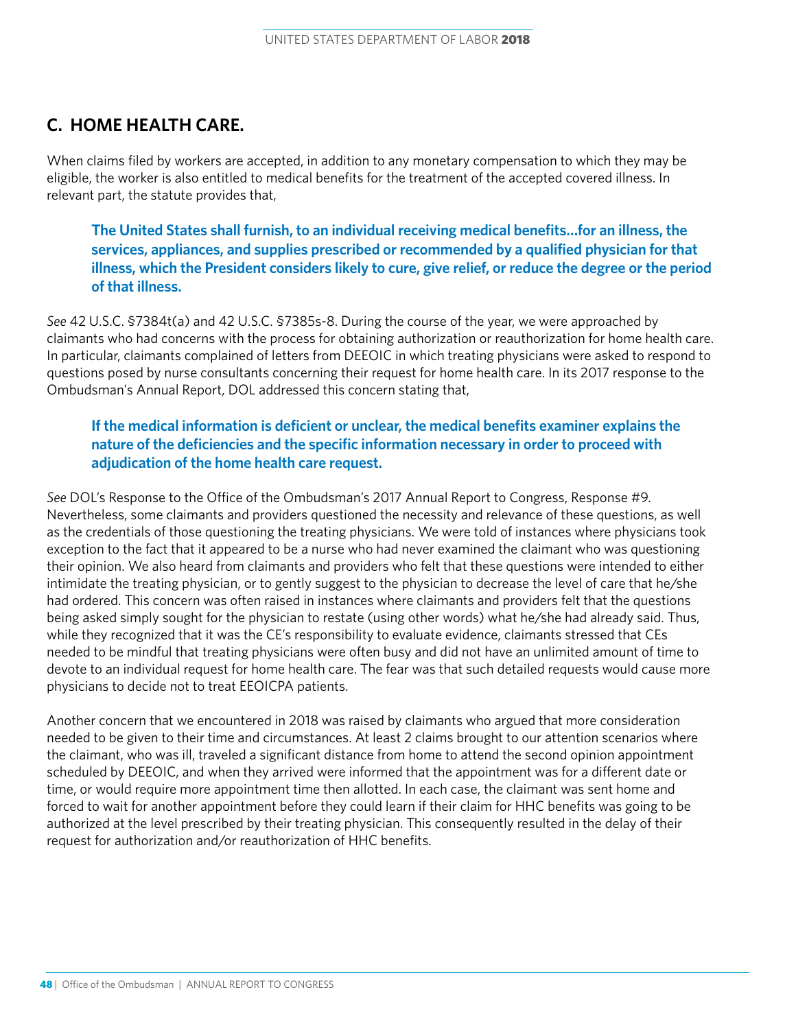### **C. HOME HEALTH CARE.**

When claims filed by workers are accepted, in addition to any monetary compensation to which they may be eligible, the worker is also entitled to medical benefits for the treatment of the accepted covered illness. In relevant part, the statute provides that,

**The United States shall furnish, to an individual receiving medical benefits…for an illness, the services, appliances, and supplies prescribed or recommended by a qualified physician for that illness, which the President considers likely to cure, give relief, or reduce the degree or the period of that illness.** 

*See* 42 U.S.C. §7384t(a) and 42 U.S.C. §7385s-8. During the course of the year, we were approached by claimants who had concerns with the process for obtaining authorization or reauthorization for home health care. In particular, claimants complained of letters from DEEOIC in which treating physicians were asked to respond to questions posed by nurse consultants concerning their request for home health care. In its 2017 response to the Ombudsman's Annual Report, DOL addressed this concern stating that,

#### **If the medical information is deficient or unclear, the medical benefits examiner explains the nature of the deficiencies and the specific information necessary in order to proceed with adjudication of the home health care request.**

*See* DOL's Response to the Office of the Ombudsman's 2017 Annual Report to Congress, Response #9. Nevertheless, some claimants and providers questioned the necessity and relevance of these questions, as well as the credentials of those questioning the treating physicians. We were told of instances where physicians took exception to the fact that it appeared to be a nurse who had never examined the claimant who was questioning their opinion. We also heard from claimants and providers who felt that these questions were intended to either intimidate the treating physician, or to gently suggest to the physician to decrease the level of care that he/she had ordered. This concern was often raised in instances where claimants and providers felt that the questions being asked simply sought for the physician to restate (using other words) what he/she had already said. Thus, while they recognized that it was the CE's responsibility to evaluate evidence, claimants stressed that CEs needed to be mindful that treating physicians were often busy and did not have an unlimited amount of time to devote to an individual request for home health care. The fear was that such detailed requests would cause more physicians to decide not to treat EEOICPA patients.

Another concern that we encountered in 2018 was raised by claimants who argued that more consideration needed to be given to their time and circumstances. At least 2 claims brought to our attention scenarios where the claimant, who was ill, traveled a significant distance from home to attend the second opinion appointment scheduled by DEEOIC, and when they arrived were informed that the appointment was for a different date or time, or would require more appointment time then allotted. In each case, the claimant was sent home and forced to wait for another appointment before they could learn if their claim for HHC benefits was going to be authorized at the level prescribed by their treating physician. This consequently resulted in the delay of their request for authorization and/or reauthorization of HHC benefits.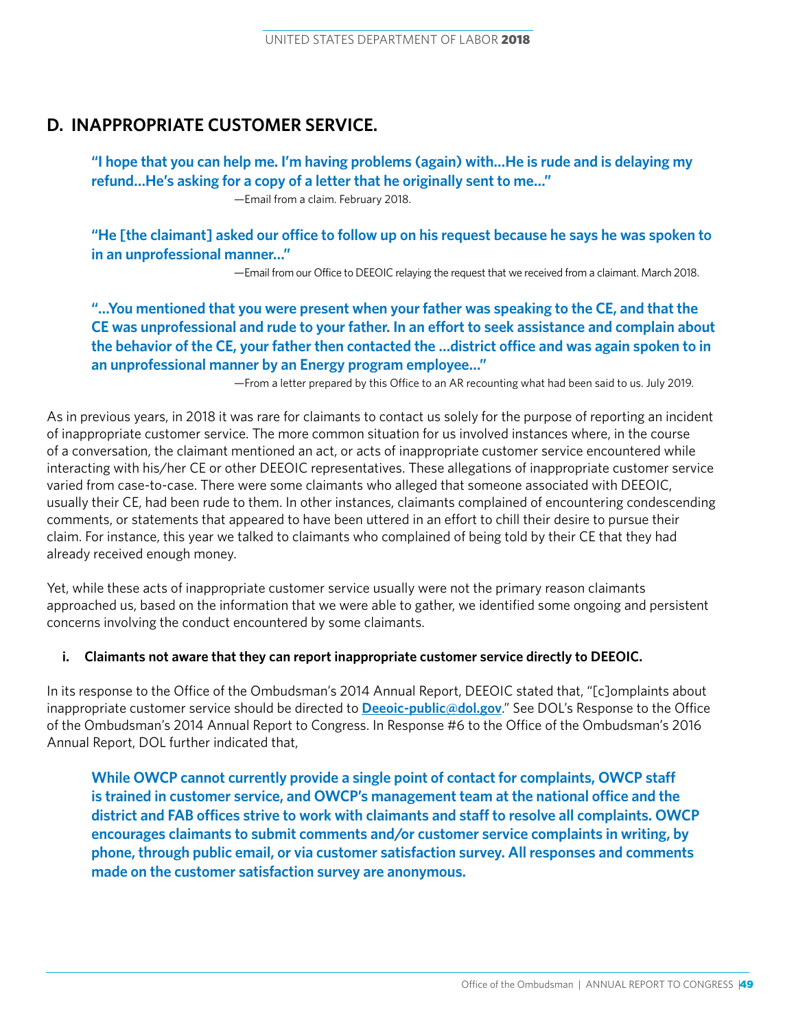### **D. INAPPROPRIATE CUSTOMER SERVICE.**

**"I hope that you can help me. I'm having problems (again) with…He is rude and is delaying my refund…He's asking for a copy of a letter that he originally sent to me…"**  —Email from a claim. February 2018.

**"He [the claimant] asked our office to follow up on his request because he says he was spoken to in an unprofessional manner…"** 

—Email from our Office to DEEOIC relaying the request that we received from a claimant. March 2018.

**"…You mentioned that you were present when your father was speaking to the CE, and that the CE was unprofessional and rude to your father. In an effort to seek assistance and complain about the behavior of the CE, your father then contacted the …district office and was again spoken to in an unprofessional manner by an Energy program employee…"** 

—From a letter prepared by this Office to an AR recounting what had been said to us. July 2019.

As in previous years, in 2018 it was rare for claimants to contact us solely for the purpose of reporting an incident of inappropriate customer service. The more common situation for us involved instances where, in the course of a conversation, the claimant mentioned an act, or acts of inappropriate customer service encountered while interacting with his/her CE or other DEEOIC representatives. These allegations of inappropriate customer service varied from case-to-case. There were some claimants who alleged that someone associated with DEEOIC, usually their CE, had been rude to them. In other instances, claimants complained of encountering condescending comments, or statements that appeared to have been uttered in an effort to chill their desire to pursue their claim. For instance, this year we talked to claimants who complained of being told by their CE that they had already received enough money.

Yet, while these acts of inappropriate customer service usually were not the primary reason claimants approached us, based on the information that we were able to gather, we identified some ongoing and persistent concerns involving the conduct encountered by some claimants.

#### **i. Claimants not aware that they can report inappropriate customer service directly to DEEOIC.**

In its response to the Office of the Ombudsman's 2014 Annual Report, DEEOIC stated that, "[c]omplaints about inappropriate customer service should be directed to **[Deeoic-public@dol.gov](mailto:Deeoic-public%40dol.gov?subject=inquiry)**." See DOL's Response to the Office of the Ombudsman's 2014 Annual Report to Congress. In Response #6 to the Office of the Ombudsman's 2016 Annual Report, DOL further indicated that,

**While OWCP cannot currently provide a single point of contact for complaints, OWCP staff is trained in customer service, and OWCP's management team at the national office and the district and FAB offices strive to work with claimants and staff to resolve all complaints. OWCP encourages claimants to submit comments and/or customer service complaints in writing, by phone, through public email, or via customer satisfaction survey. All responses and comments made on the customer satisfaction survey are anonymous.**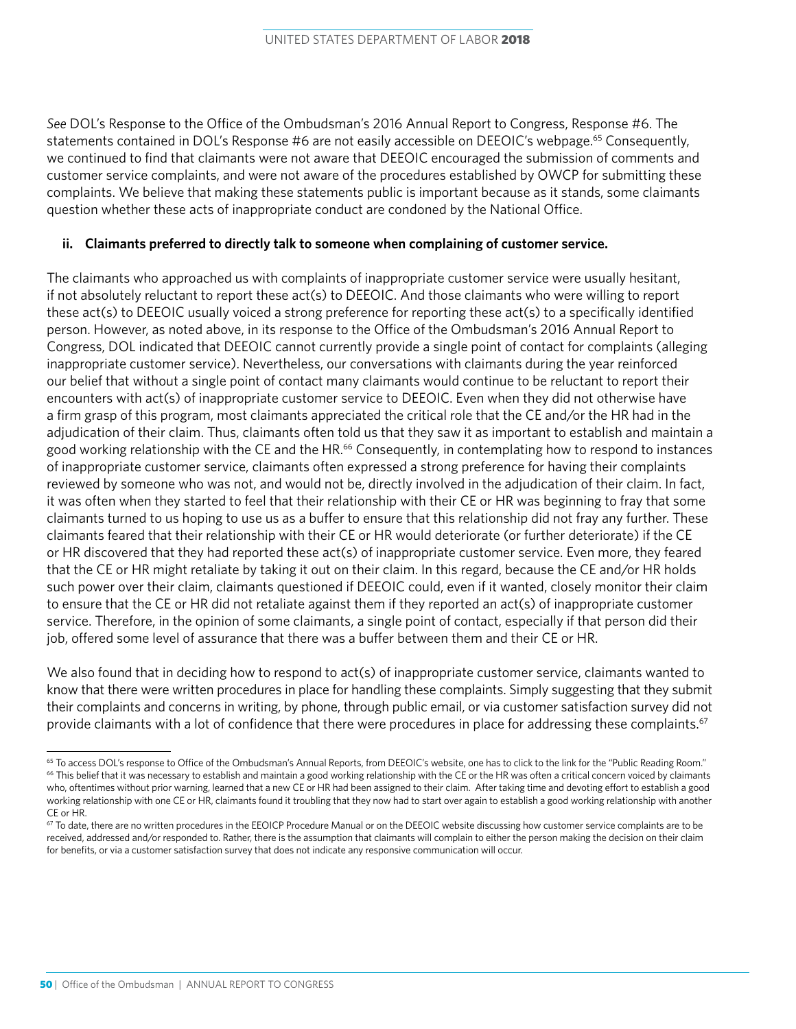*See* DOL's Response to the Office of the Ombudsman's 2016 Annual Report to Congress, Response #6. The statements contained in DOL's Response #6 are not easily accessible on DEEOIC's webpage.<sup>65</sup> Consequently, we continued to find that claimants were not aware that DEEOIC encouraged the submission of comments and customer service complaints, and were not aware of the procedures established by OWCP for submitting these complaints. We believe that making these statements public is important because as it stands, some claimants question whether these acts of inappropriate conduct are condoned by the National Office.

#### **ii. Claimants preferred to directly talk to someone when complaining of customer service.**

The claimants who approached us with complaints of inappropriate customer service were usually hesitant, if not absolutely reluctant to report these act(s) to DEEOIC. And those claimants who were willing to report these act(s) to DEEOIC usually voiced a strong preference for reporting these act(s) to a specifically identified person. However, as noted above, in its response to the Office of the Ombudsman's 2016 Annual Report to Congress, DOL indicated that DEEOIC cannot currently provide a single point of contact for complaints (alleging inappropriate customer service). Nevertheless, our conversations with claimants during the year reinforced our belief that without a single point of contact many claimants would continue to be reluctant to report their encounters with act(s) of inappropriate customer service to DEEOIC. Even when they did not otherwise have a firm grasp of this program, most claimants appreciated the critical role that the CE and/or the HR had in the adjudication of their claim. Thus, claimants often told us that they saw it as important to establish and maintain a good working relationship with the CE and the HR.<sup>66</sup> Consequently, in contemplating how to respond to instances of inappropriate customer service, claimants often expressed a strong preference for having their complaints reviewed by someone who was not, and would not be, directly involved in the adjudication of their claim. In fact, it was often when they started to feel that their relationship with their CE or HR was beginning to fray that some claimants turned to us hoping to use us as a buffer to ensure that this relationship did not fray any further. These claimants feared that their relationship with their CE or HR would deteriorate (or further deteriorate) if the CE or HR discovered that they had reported these act(s) of inappropriate customer service. Even more, they feared that the CE or HR might retaliate by taking it out on their claim. In this regard, because the CE and/or HR holds such power over their claim, claimants questioned if DEEOIC could, even if it wanted, closely monitor their claim to ensure that the CE or HR did not retaliate against them if they reported an act(s) of inappropriate customer service. Therefore, in the opinion of some claimants, a single point of contact, especially if that person did their job, offered some level of assurance that there was a buffer between them and their CE or HR.

We also found that in deciding how to respond to act(s) of inappropriate customer service, claimants wanted to know that there were written procedures in place for handling these complaints. Simply suggesting that they submit their complaints and concerns in writing, by phone, through public email, or via customer satisfaction survey did not provide claimants with a lot of confidence that there were procedures in place for addressing these complaints.<sup>67</sup>

 $^{65}$  To access DOL's response to Office of the Ombudsman's Annual Reports, from DEEOIC's website, one has to click to the link for the "Public Reading Room."<br> $^{66}$  This belief that it was necessary to establish and mai who, oftentimes without prior warning, learned that a new CE or HR had been assigned to their claim. After taking time and devoting effort to establish a good working relationship with one CE or HR, claimants found it troubling that they now had to start over again to establish a good working relationship with another CE or HR.

 $67$  To date, there are no written procedures in the EEOICP Procedure Manual or on the DEEOIC website discussing how customer service complaints are to be received, addressed and/or responded to. Rather, there is the assumption that claimants will complain to either the person making the decision on their claim for benefits, or via a customer satisfaction survey that does not indicate any responsive communication will occur.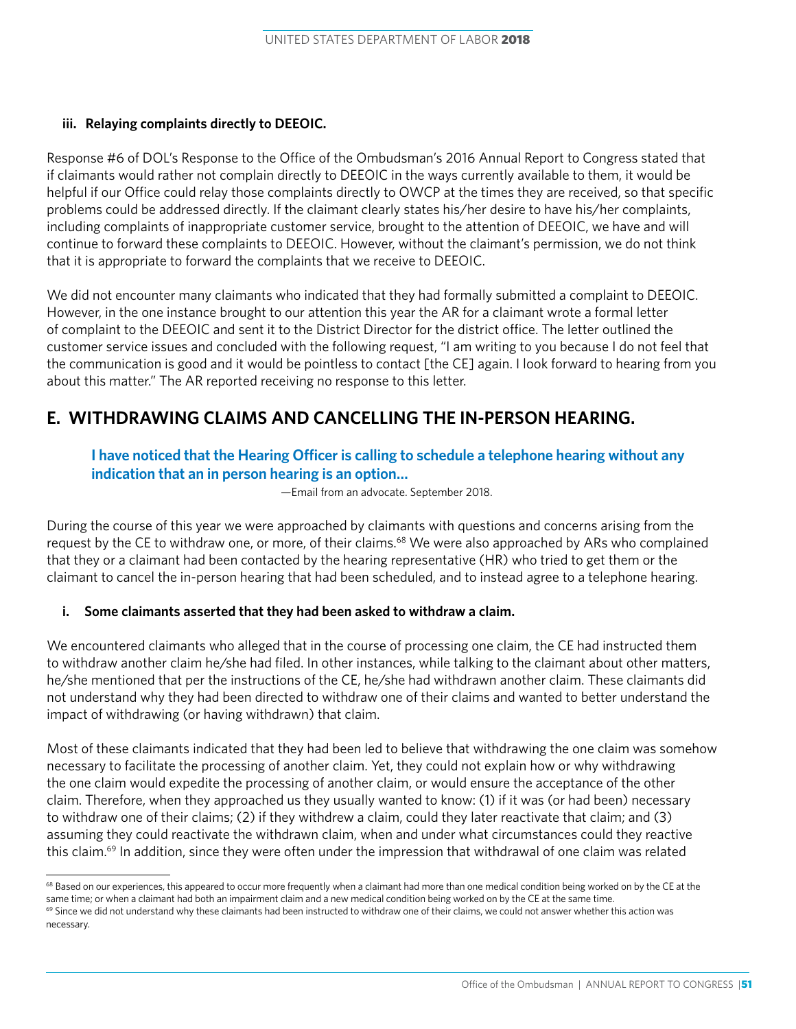#### **iii. Relaying complaints directly to DEEOIC.**

Response #6 of DOL's Response to the Office of the Ombudsman's 2016 Annual Report to Congress stated that if claimants would rather not complain directly to DEEOIC in the ways currently available to them, it would be helpful if our Office could relay those complaints directly to OWCP at the times they are received, so that specific problems could be addressed directly. If the claimant clearly states his/her desire to have his/her complaints, including complaints of inappropriate customer service, brought to the attention of DEEOIC, we have and will continue to forward these complaints to DEEOIC. However, without the claimant's permission, we do not think that it is appropriate to forward the complaints that we receive to DEEOIC.

We did not encounter many claimants who indicated that they had formally submitted a complaint to DEEOIC. However, in the one instance brought to our attention this year the AR for a claimant wrote a formal letter of complaint to the DEEOIC and sent it to the District Director for the district office. The letter outlined the customer service issues and concluded with the following request, "I am writing to you because I do not feel that the communication is good and it would be pointless to contact [the CE] again. I look forward to hearing from you about this matter." The AR reported receiving no response to this letter.

### **E. WITHDRAWING CLAIMS AND CANCELLING THE IN-PERSON HEARING.**

#### **I have noticed that the Hearing Officer is calling to schedule a telephone hearing without any indication that an in person hearing is an option…**

—Email from an advocate. September 2018.

During the course of this year we were approached by claimants with questions and concerns arising from the request by the CE to withdraw one, or more, of their claims.<sup>68</sup> We were also approached by ARs who complained that they or a claimant had been contacted by the hearing representative (HR) who tried to get them or the claimant to cancel the in-person hearing that had been scheduled, and to instead agree to a telephone hearing.

#### **i. Some claimants asserted that they had been asked to withdraw a claim.**

necessary.

We encountered claimants who alleged that in the course of processing one claim, the CE had instructed them to withdraw another claim he/she had filed. In other instances, while talking to the claimant about other matters, he/she mentioned that per the instructions of the CE, he/she had withdrawn another claim. These claimants did not understand why they had been directed to withdraw one of their claims and wanted to better understand the impact of withdrawing (or having withdrawn) that claim.

Most of these claimants indicated that they had been led to believe that withdrawing the one claim was somehow necessary to facilitate the processing of another claim. Yet, they could not explain how or why withdrawing the one claim would expedite the processing of another claim, or would ensure the acceptance of the other claim. Therefore, when they approached us they usually wanted to know: (1) if it was (or had been) necessary to withdraw one of their claims; (2) if they withdrew a claim, could they later reactivate that claim; and (3) assuming they could reactivate the withdrawn claim, when and under what circumstances could they reactive this claim.69 In addition, since they were often under the impression that withdrawal of one claim was related

<sup>&</sup>lt;sup>68</sup> Based on our experiences, this appeared to occur more frequently when a claimant had more than one medical condition being worked on by the CE at the same time; or when a claimant had both an impairment claim and a new medical condition being worked on by the CE at the same time.  $69$  Since we did not understand why these claimants had been instructed to withdraw one of their claims, we could not answer whether this action was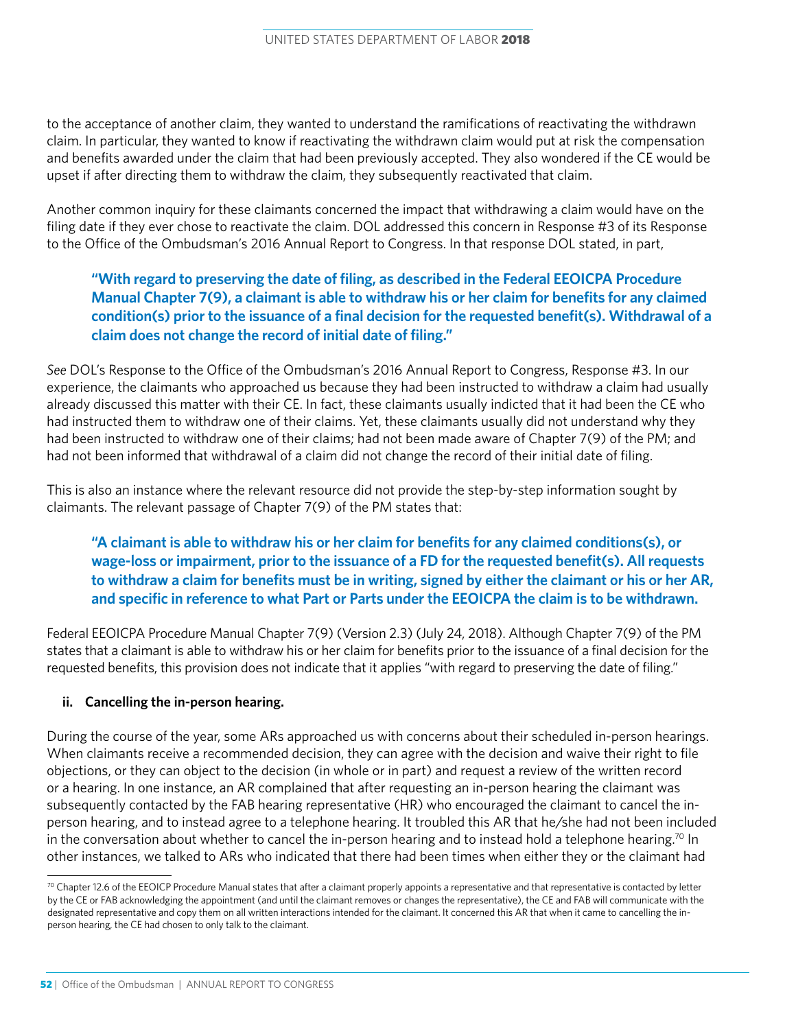to the acceptance of another claim, they wanted to understand the ramifications of reactivating the withdrawn claim. In particular, they wanted to know if reactivating the withdrawn claim would put at risk the compensation and benefits awarded under the claim that had been previously accepted. They also wondered if the CE would be upset if after directing them to withdraw the claim, they subsequently reactivated that claim.

Another common inquiry for these claimants concerned the impact that withdrawing a claim would have on the filing date if they ever chose to reactivate the claim. DOL addressed this concern in Response #3 of its Response to the Office of the Ombudsman's 2016 Annual Report to Congress. In that response DOL stated, in part,

#### **"With regard to preserving the date of filing, as described in the Federal EEOICPA Procedure Manual Chapter 7(9), a claimant is able to withdraw his or her claim for benefits for any claimed condition(s) prior to the issuance of a final decision for the requested benefit(s). Withdrawal of a claim does not change the record of initial date of filing."**

*See* DOL's Response to the Office of the Ombudsman's 2016 Annual Report to Congress, Response #3. In our experience, the claimants who approached us because they had been instructed to withdraw a claim had usually already discussed this matter with their CE. In fact, these claimants usually indicted that it had been the CE who had instructed them to withdraw one of their claims. Yet, these claimants usually did not understand why they had been instructed to withdraw one of their claims; had not been made aware of Chapter 7(9) of the PM; and had not been informed that withdrawal of a claim did not change the record of their initial date of filing.

This is also an instance where the relevant resource did not provide the step-by-step information sought by claimants. The relevant passage of Chapter 7(9) of the PM states that:

#### **"A claimant is able to withdraw his or her claim for benefits for any claimed conditions(s), or wage-loss or impairment, prior to the issuance of a FD for the requested benefit(s). All requests to withdraw a claim for benefits must be in writing, signed by either the claimant or his or her AR, and specific in reference to what Part or Parts under the EEOICPA the claim is to be withdrawn.**

 requested benefits, this provision does not indicate that it applies "with regard to preserving the date of filing." Federal EEOICPA Procedure Manual Chapter 7(9) (Version 2.3) (July 24, 2018). Although Chapter 7(9) of the PM states that a claimant is able to withdraw his or her claim for benefits prior to the issuance of a final decision for the

#### **ii. Cancelling the in-person hearing.**

During the course of the year, some ARs approached us with concerns about their scheduled in-person hearings. When claimants receive a recommended decision, they can agree with the decision and waive their right to file objections, or they can object to the decision (in whole or in part) and request a review of the written record or a hearing. In one instance, an AR complained that after requesting an in-person hearing the claimant was subsequently contacted by the FAB hearing representative (HR) who encouraged the claimant to cancel the inperson hearing, and to instead agree to a telephone hearing. It troubled this AR that he/she had not been included in the conversation about whether to cancel the in-person hearing and to instead hold a telephone hearing.<sup>70</sup> In other instances, we talked to ARs who indicated that there had been times when either they or the claimant had

 $70$  Chapter 12.6 of the EEOICP Procedure Manual states that after a claimant properly appoints a representative and that representative is contacted by letter by the CE or FAB acknowledging the appointment (and until the claimant removes or changes the representative), the CE and FAB will communicate with the designated representative and copy them on all written interactions intended for the claimant. It concerned this AR that when it came to cancelling the inperson hearing, the CE had chosen to only talk to the claimant.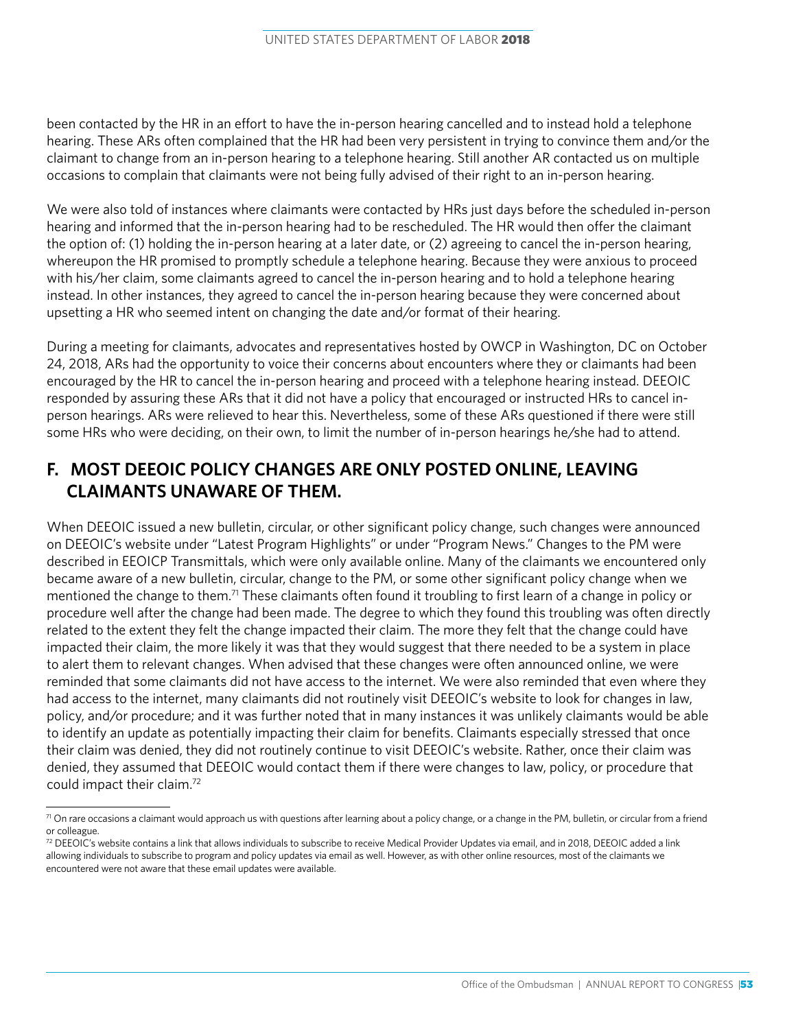been contacted by the HR in an effort to have the in-person hearing cancelled and to instead hold a telephone hearing. These ARs often complained that the HR had been very persistent in trying to convince them and/or the claimant to change from an in-person hearing to a telephone hearing. Still another AR contacted us on multiple occasions to complain that claimants were not being fully advised of their right to an in-person hearing.

We were also told of instances where claimants were contacted by HRs just days before the scheduled in-person hearing and informed that the in-person hearing had to be rescheduled. The HR would then offer the claimant the option of: (1) holding the in-person hearing at a later date, or (2) agreeing to cancel the in-person hearing, whereupon the HR promised to promptly schedule a telephone hearing. Because they were anxious to proceed with his/her claim, some claimants agreed to cancel the in-person hearing and to hold a telephone hearing instead. In other instances, they agreed to cancel the in-person hearing because they were concerned about upsetting a HR who seemed intent on changing the date and/or format of their hearing.

During a meeting for claimants, advocates and representatives hosted by OWCP in Washington, DC on October 24, 2018, ARs had the opportunity to voice their concerns about encounters where they or claimants had been encouraged by the HR to cancel the in-person hearing and proceed with a telephone hearing instead. DEEOIC responded by assuring these ARs that it did not have a policy that encouraged or instructed HRs to cancel inperson hearings. ARs were relieved to hear this. Nevertheless, some of these ARs questioned if there were still some HRs who were deciding, on their own, to limit the number of in-person hearings he/she had to attend.

### **F. MOST DEEOIC POLICY CHANGES ARE ONLY POSTED ONLINE, LEAVING CLAIMANTS UNAWARE OF THEM.**

When DEEOIC issued a new bulletin, circular, or other significant policy change, such changes were announced on DEEOIC's website under "Latest Program Highlights" or under "Program News." Changes to the PM were described in EEOICP Transmittals, which were only available online. Many of the claimants we encountered only became aware of a new bulletin, circular, change to the PM, or some other significant policy change when we mentioned the change to them.<sup>71</sup> These claimants often found it troubling to first learn of a change in policy or procedure well after the change had been made. The degree to which they found this troubling was often directly related to the extent they felt the change impacted their claim. The more they felt that the change could have impacted their claim, the more likely it was that they would suggest that there needed to be a system in place to alert them to relevant changes. When advised that these changes were often announced online, we were reminded that some claimants did not have access to the internet. We were also reminded that even where they had access to the internet, many claimants did not routinely visit DEEOIC's website to look for changes in law, policy, and/or procedure; and it was further noted that in many instances it was unlikely claimants would be able to identify an update as potentially impacting their claim for benefits. Claimants especially stressed that once their claim was denied, they did not routinely continue to visit DEEOIC's website. Rather, once their claim was denied, they assumed that DEEOIC would contact them if there were changes to law, policy, or procedure that could impact their claim.72

 $\eta$  On rare occasions a claimant would approach us with questions after learning about a policy change, or a change in the PM, bulletin, or circular from a friend or colleague.

<sup>72</sup> DEEOIC's website contains a link that allows individuals to subscribe to receive Medical Provider Updates via email, and in 2018, DEEOIC added a link allowing individuals to subscribe to program and policy updates via email as well. However, as with other online resources, most of the claimants we encountered were not aware that these email updates were available.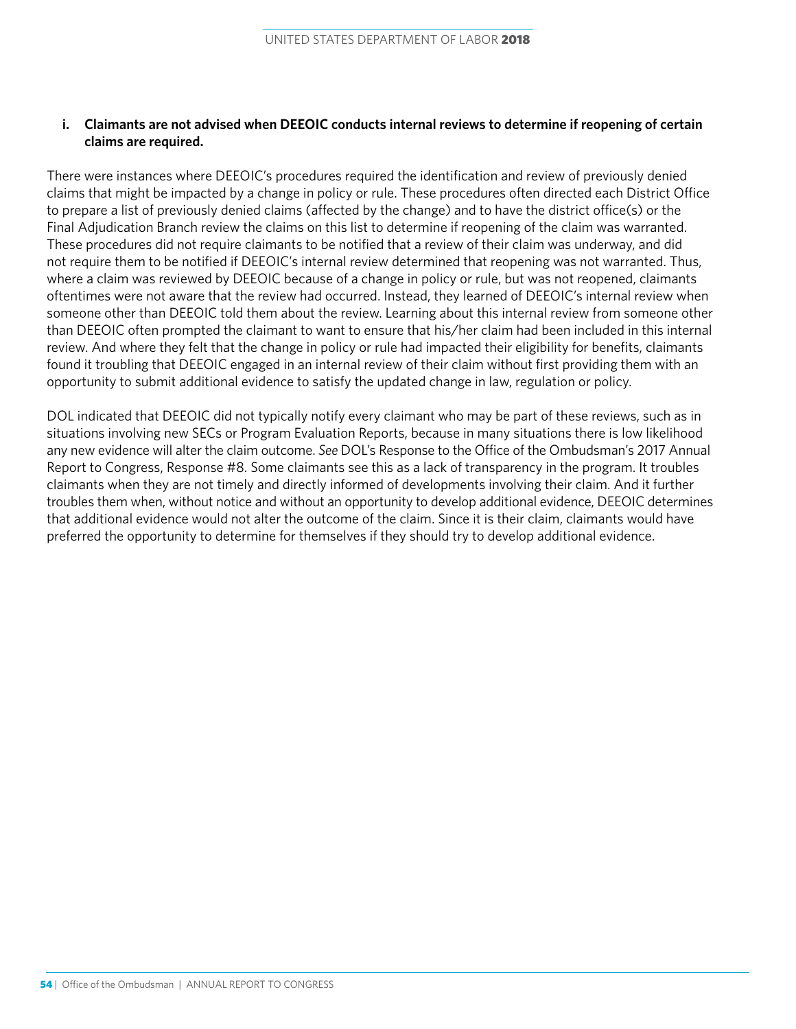#### **i. Claimants are not advised when DEEOIC conducts internal reviews to determine if reopening of certain claims are required.**

There were instances where DEEOIC's procedures required the identification and review of previously denied claims that might be impacted by a change in policy or rule. These procedures often directed each District Office to prepare a list of previously denied claims (affected by the change) and to have the district office(s) or the Final Adjudication Branch review the claims on this list to determine if reopening of the claim was warranted. These procedures did not require claimants to be notified that a review of their claim was underway, and did not require them to be notified if DEEOIC's internal review determined that reopening was not warranted. Thus, where a claim was reviewed by DEEOIC because of a change in policy or rule, but was not reopened, claimants oftentimes were not aware that the review had occurred. Instead, they learned of DEEOIC's internal review when someone other than DEEOIC told them about the review. Learning about this internal review from someone other than DEEOIC often prompted the claimant to want to ensure that his/her claim had been included in this internal review. And where they felt that the change in policy or rule had impacted their eligibility for benefits, claimants found it troubling that DEEOIC engaged in an internal review of their claim without first providing them with an opportunity to submit additional evidence to satisfy the updated change in law, regulation or policy.

DOL indicated that DEEOIC did not typically notify every claimant who may be part of these reviews, such as in situations involving new SECs or Program Evaluation Reports, because in many situations there is low likelihood any new evidence will alter the claim outcome. *See* DOL's Response to the Office of the Ombudsman's 2017 Annual Report to Congress, Response #8. Some claimants see this as a lack of transparency in the program. It troubles claimants when they are not timely and directly informed of developments involving their claim. And it further troubles them when, without notice and without an opportunity to develop additional evidence, DEEOIC determines that additional evidence would not alter the outcome of the claim. Since it is their claim, claimants would have preferred the opportunity to determine for themselves if they should try to develop additional evidence.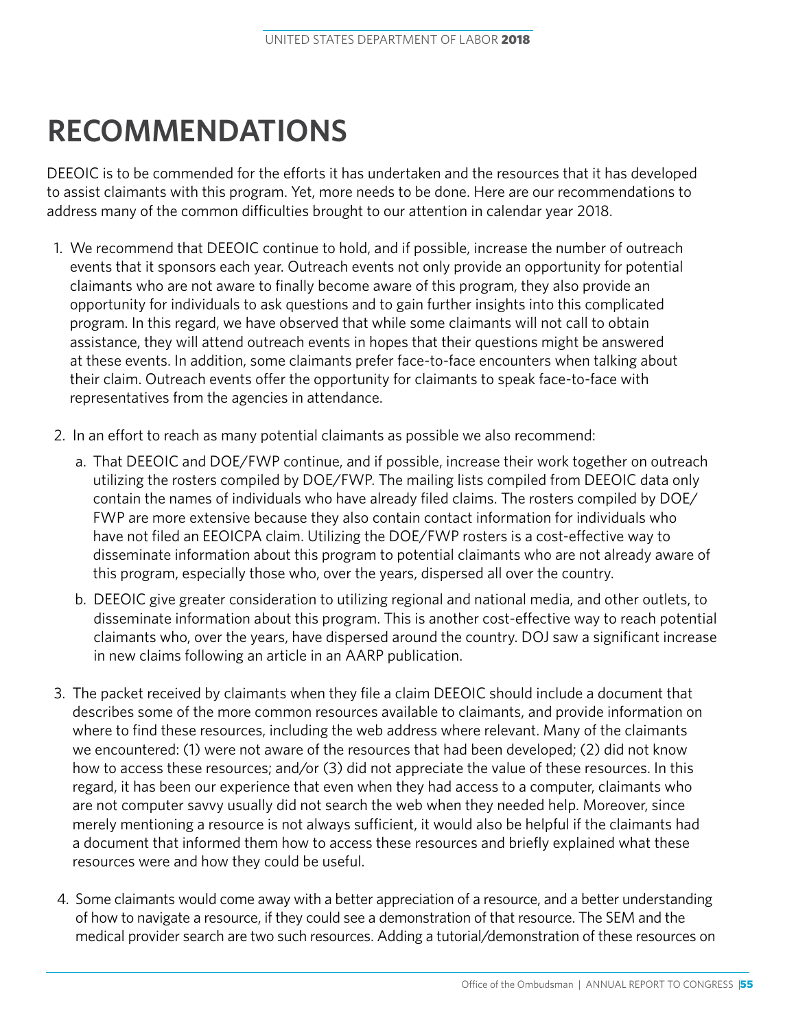# **RECOMMENDATIONS**

DEEOIC is to be commended for the efforts it has undertaken and the resources that it has developed to assist claimants with this program. Yet, more needs to be done. Here are our recommendations to address many of the common difficulties brought to our attention in calendar year 2018.

- 1. We recommend that DEEOIC continue to hold, and if possible, increase the number of outreach events that it sponsors each year. Outreach events not only provide an opportunity for potential claimants who are not aware to finally become aware of this program, they also provide an opportunity for individuals to ask questions and to gain further insights into this complicated program. In this regard, we have observed that while some claimants will not call to obtain assistance, they will attend outreach events in hopes that their questions might be answered at these events. In addition, some claimants prefer face-to-face encounters when talking about their claim. Outreach events offer the opportunity for claimants to speak face-to-face with representatives from the agencies in attendance.
- 2. In an effort to reach as many potential claimants as possible we also recommend:
	- a. That DEEOIC and DOE/FWP continue, and if possible, increase their work together on outreach utilizing the rosters compiled by DOE/FWP. The mailing lists compiled from DEEOIC data only contain the names of individuals who have already filed claims. The rosters compiled by DOE/ FWP are more extensive because they also contain contact information for individuals who have not filed an EEOICPA claim. Utilizing the DOE/FWP rosters is a cost-effective way to disseminate information about this program to potential claimants who are not already aware of this program, especially those who, over the years, dispersed all over the country.
	- b. DEEOIC give greater consideration to utilizing regional and national media, and other outlets, to disseminate information about this program. This is another cost-effective way to reach potential claimants who, over the years, have dispersed around the country. DOJ saw a significant increase in new claims following an article in an AARP publication.
- 3. The packet received by claimants when they file a claim DEEOIC should include a document that describes some of the more common resources available to claimants, and provide information on where to find these resources, including the web address where relevant. Many of the claimants we encountered: (1) were not aware of the resources that had been developed; (2) did not know how to access these resources; and/or (3) did not appreciate the value of these resources. In this regard, it has been our experience that even when they had access to a computer, claimants who are not computer savvy usually did not search the web when they needed help. Moreover, since merely mentioning a resource is not always sufficient, it would also be helpful if the claimants had a document that informed them how to access these resources and briefly explained what these resources were and how they could be useful.
- 4. Some claimants would come away with a better appreciation of a resource, and a better understanding of how to navigate a resource, if they could see a demonstration of that resource. The SEM and the medical provider search are two such resources. Adding a tutorial/demonstration of these resources on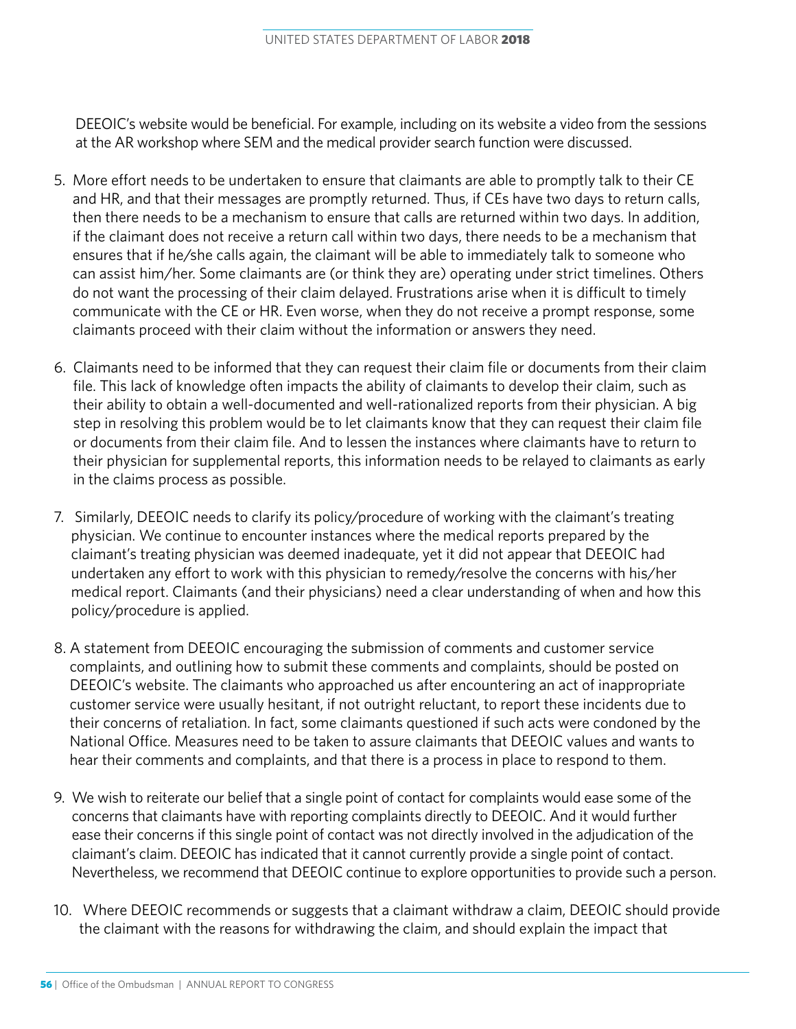DEEOIC's website would be beneficial. For example, including on its website a video from the sessions at the AR workshop where SEM and the medical provider search function were discussed.

- 5. More effort needs to be undertaken to ensure that claimants are able to promptly talk to their CE and HR, and that their messages are promptly returned. Thus, if CEs have two days to return calls, then there needs to be a mechanism to ensure that calls are returned within two days. In addition, if the claimant does not receive a return call within two days, there needs to be a mechanism that ensures that if he/she calls again, the claimant will be able to immediately talk to someone who can assist him/her. Some claimants are (or think they are) operating under strict timelines. Others do not want the processing of their claim delayed. Frustrations arise when it is difficult to timely communicate with the CE or HR. Even worse, when they do not receive a prompt response, some claimants proceed with their claim without the information or answers they need.
- 6. Claimants need to be informed that they can request their claim file or documents from their claim file. This lack of knowledge often impacts the ability of claimants to develop their claim, such as their ability to obtain a well-documented and well-rationalized reports from their physician. A big step in resolving this problem would be to let claimants know that they can request their claim file or documents from their claim file. And to lessen the instances where claimants have to return to their physician for supplemental reports, this information needs to be relayed to claimants as early in the claims process as possible.
- 7. Similarly, DEEOIC needs to clarify its policy/procedure of working with the claimant's treating physician. We continue to encounter instances where the medical reports prepared by the claimant's treating physician was deemed inadequate, yet it did not appear that DEEOIC had undertaken any effort to work with this physician to remedy/resolve the concerns with his/her medical report. Claimants (and their physicians) need a clear understanding of when and how this policy/procedure is applied.
- 8. A statement from DEEOIC encouraging the submission of comments and customer service complaints, and outlining how to submit these comments and complaints, should be posted on DEEOIC's website. The claimants who approached us after encountering an act of inappropriate customer service were usually hesitant, if not outright reluctant, to report these incidents due to their concerns of retaliation. In fact, some claimants questioned if such acts were condoned by the National Office. Measures need to be taken to assure claimants that DEEOIC values and wants to hear their comments and complaints, and that there is a process in place to respond to them.
- 9. We wish to reiterate our belief that a single point of contact for complaints would ease some of the concerns that claimants have with reporting complaints directly to DEEOIC. And it would further ease their concerns if this single point of contact was not directly involved in the adjudication of the claimant's claim. DEEOIC has indicated that it cannot currently provide a single point of contact. Nevertheless, we recommend that DEEOIC continue to explore opportunities to provide such a person.
- 10. Where DEEOIC recommends or suggests that a claimant withdraw a claim, DEEOIC should provide the claimant with the reasons for withdrawing the claim, and should explain the impact that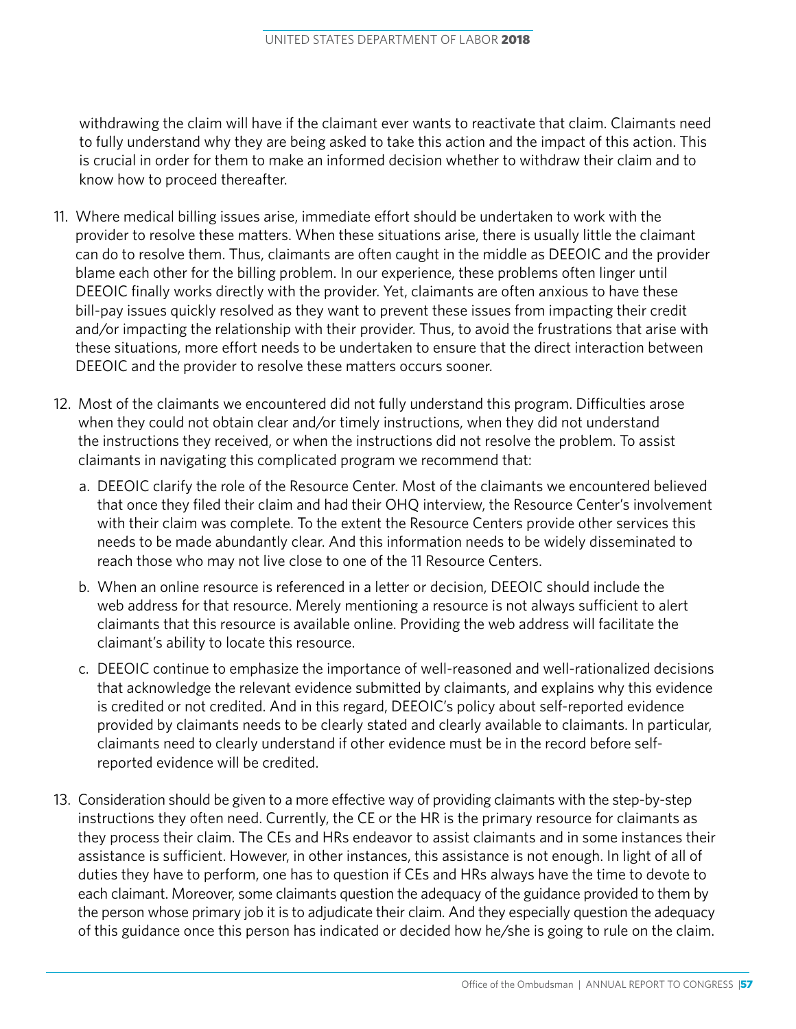withdrawing the claim will have if the claimant ever wants to reactivate that claim. Claimants need to fully understand why they are being asked to take this action and the impact of this action. This is crucial in order for them to make an informed decision whether to withdraw their claim and to know how to proceed thereafter.

- 11. Where medical billing issues arise, immediate effort should be undertaken to work with the provider to resolve these matters. When these situations arise, there is usually little the claimant can do to resolve them. Thus, claimants are often caught in the middle as DEEOIC and the provider blame each other for the billing problem. In our experience, these problems often linger until DEEOIC finally works directly with the provider. Yet, claimants are often anxious to have these bill-pay issues quickly resolved as they want to prevent these issues from impacting their credit and/or impacting the relationship with their provider. Thus, to avoid the frustrations that arise with these situations, more effort needs to be undertaken to ensure that the direct interaction between DEEOIC and the provider to resolve these matters occurs sooner.
- 12. Most of the claimants we encountered did not fully understand this program. Difficulties arose when they could not obtain clear and/or timely instructions, when they did not understand the instructions they received, or when the instructions did not resolve the problem. To assist claimants in navigating this complicated program we recommend that:
	- a. DEEOIC clarify the role of the Resource Center. Most of the claimants we encountered believed that once they filed their claim and had their OHQ interview, the Resource Center's involvement with their claim was complete. To the extent the Resource Centers provide other services this needs to be made abundantly clear. And this information needs to be widely disseminated to reach those who may not live close to one of the 11 Resource Centers.
	- b. When an online resource is referenced in a letter or decision, DEEOIC should include the web address for that resource. Merely mentioning a resource is not always sufficient to alert claimants that this resource is available online. Providing the web address will facilitate the claimant's ability to locate this resource.
	- c. DEEOIC continue to emphasize the importance of well-reasoned and well-rationalized decisions that acknowledge the relevant evidence submitted by claimants, and explains why this evidence is credited or not credited. And in this regard, DEEOIC's policy about self-reported evidence provided by claimants needs to be clearly stated and clearly available to claimants. In particular, claimants need to clearly understand if other evidence must be in the record before selfreported evidence will be credited.
- 13. Consideration should be given to a more effective way of providing claimants with the step-by-step instructions they often need. Currently, the CE or the HR is the primary resource for claimants as they process their claim. The CEs and HRs endeavor to assist claimants and in some instances their assistance is sufficient. However, in other instances, this assistance is not enough. In light of all of duties they have to perform, one has to question if CEs and HRs always have the time to devote to each claimant. Moreover, some claimants question the adequacy of the guidance provided to them by the person whose primary job it is to adjudicate their claim. And they especially question the adequacy of this guidance once this person has indicated or decided how he/she is going to rule on the claim.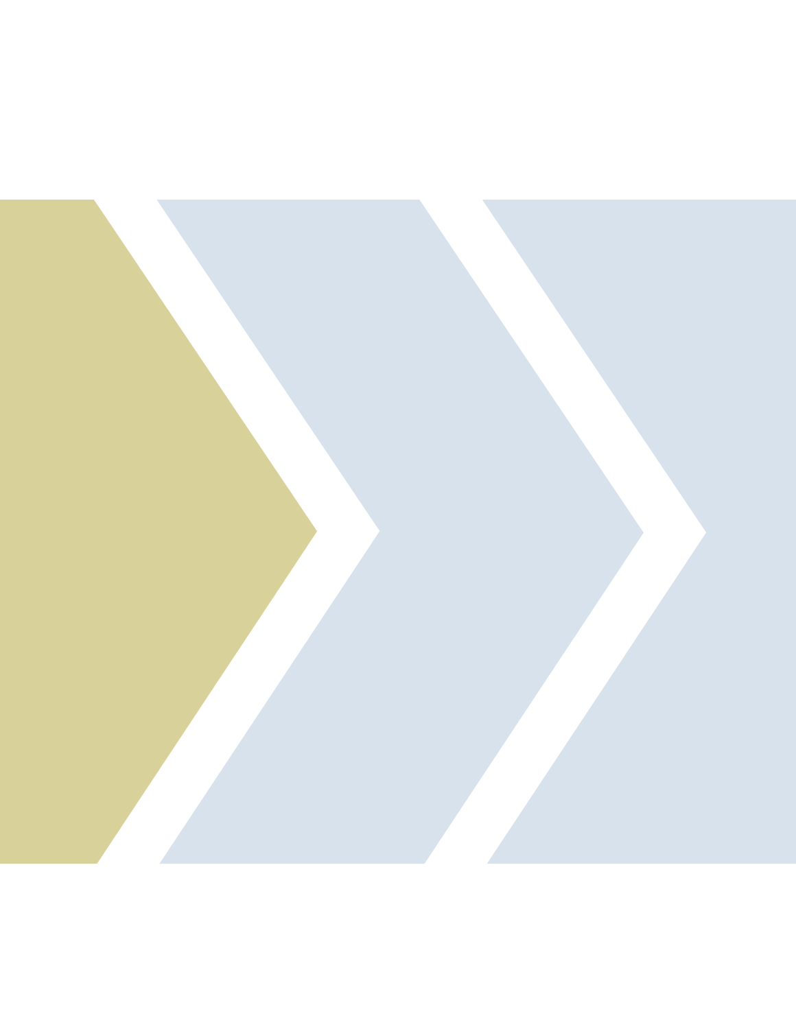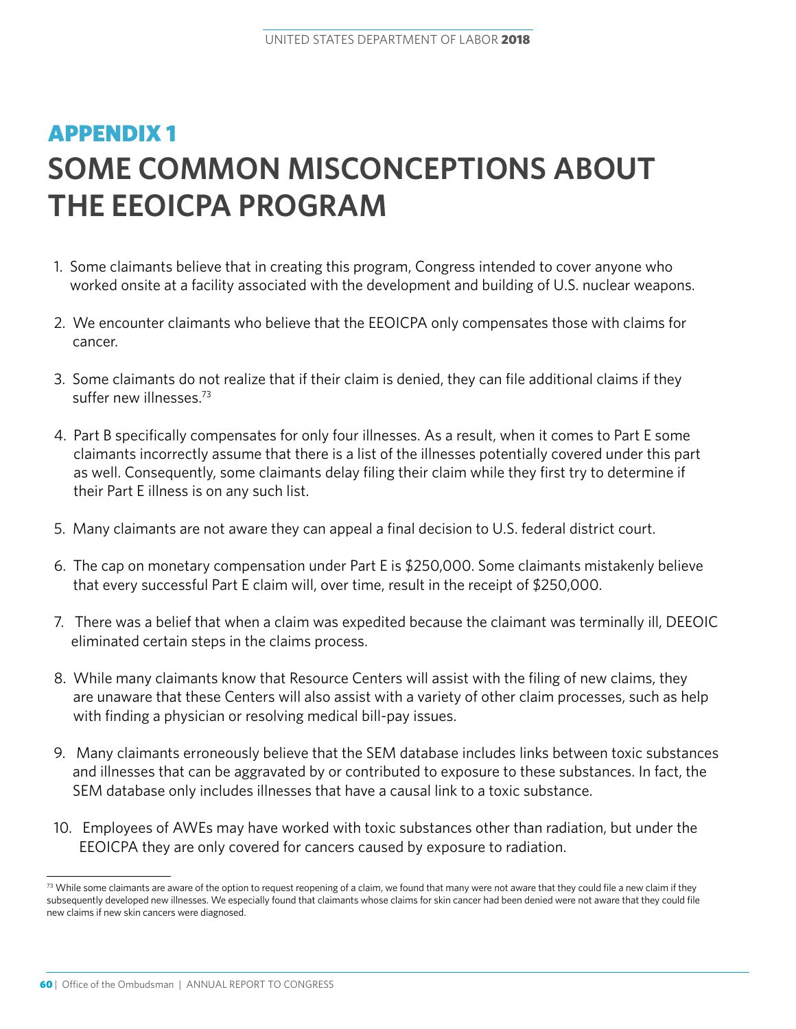## APPENDIX 1 **SOME COMMON MISCONCEPTIONS ABOUT THE EEOICPA PROGRAM**

- 1. Some claimants believe that in creating this program, Congress intended to cover anyone who worked onsite at a facility associated with the development and building of U.S. nuclear weapons.
- 2. We encounter claimants who believe that the EEOICPA only compensates those with claims for cancer.
- 3. Some claimants do not realize that if their claim is denied, they can file additional claims if they suffer new illnesses.<sup>73</sup>
- 4. Part B specifically compensates for only four illnesses. As a result, when it comes to Part E some claimants incorrectly assume that there is a list of the illnesses potentially covered under this part as well. Consequently, some claimants delay filing their claim while they first try to determine if their Part E illness is on any such list.
- 5. Many claimants are not aware they can appeal a final decision to U.S. federal district court.
- 6. The cap on monetary compensation under Part E is \$250,000. Some claimants mistakenly believe that every successful Part E claim will, over time, result in the receipt of \$250,000.
- 7. There was a belief that when a claim was expedited because the claimant was terminally ill, DEEOIC eliminated certain steps in the claims process.
- 8. While many claimants know that Resource Centers will assist with the filing of new claims, they are unaware that these Centers will also assist with a variety of other claim processes, such as help with finding a physician or resolving medical bill-pay issues.
- 9. Many claimants erroneously believe that the SEM database includes links between toxic substances and illnesses that can be aggravated by or contributed to exposure to these substances. In fact, the SEM database only includes illnesses that have a causal link to a toxic substance.
- 10. Employees of AWEs may have worked with toxic substances other than radiation, but under the EEOICPA they are only covered for cancers caused by exposure to radiation.

<sup>73</sup> While some claimants are aware of the option to request reopening of a claim, we found that many were not aware that they could file a new claim if they subsequently developed new illnesses. We especially found that claimants whose claims for skin cancer had been denied were not aware that they could file new claims if new skin cancers were diagnosed.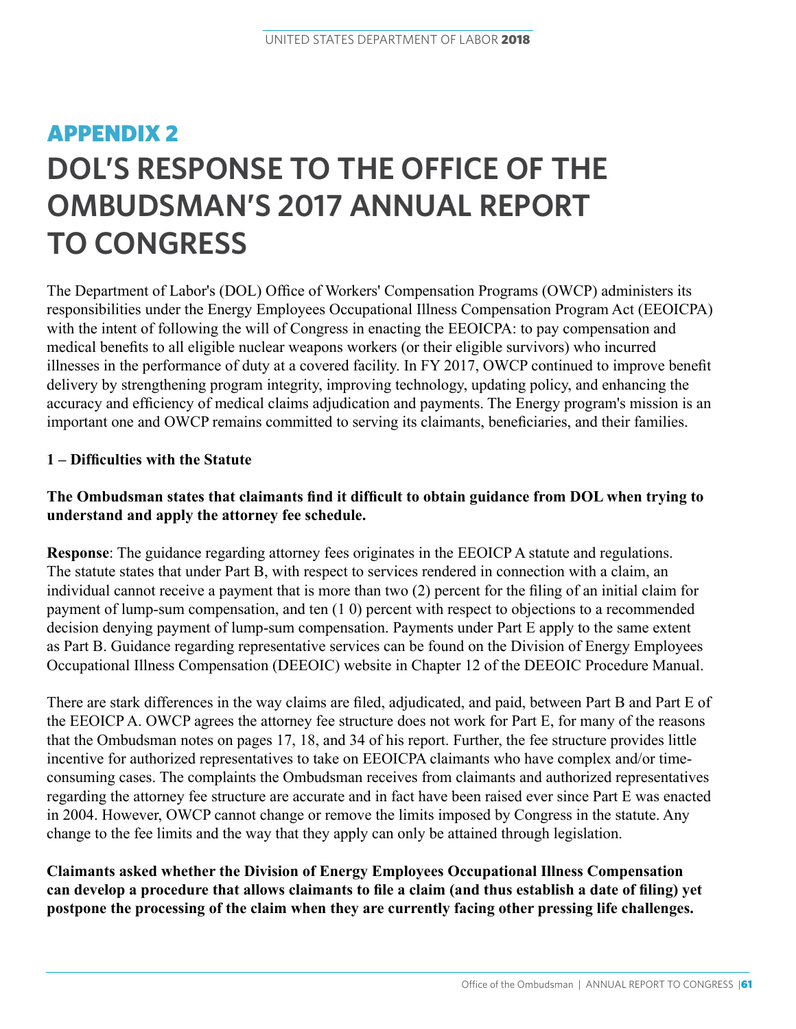## APPENDIX 2 **DOL'S RESPONSE TO THE OFFICE OF THE OMBUDSMAN'S 2017 ANNUAL REPORT TO CONGRESS**

The Department of Labor's (DOL) Office of Workers' Compensation Programs (OWCP) administers its responsibilities under the Energy Employees Occupational Illness Compensation Program Act (EEOICPA) with the intent of following the will of Congress in enacting the EEOICPA: to pay compensation and medical benefits to all eligible nuclear weapons workers (or their eligible survivors) who incurred illnesses in the performance of duty at a covered facility. In FY 2017, OWCP continued to improve benefit delivery by strengthening program integrity, improving technology, updating policy, and enhancing the accuracy and efficiency of medical claims adjudication and payments. The Energy program's mission is an important one and OWCP remains committed to serving its claimants, beneficiaries, and their families.

#### **1 – Difficulties with the Statute**

#### **The Ombudsman states that claimants find it difficult to obtain guidance from DOL when trying to understand and apply the attorney fee schedule.**

**Response**: The guidance regarding attorney fees originates in the EEOICP A statute and regulations. The statute states that under Part B, with respect to services rendered in connection with a claim, an individual cannot receive a payment that is more than two (2) percent for the filing of an initial claim for payment of lump-sum compensation, and ten (1 0) percent with respect to objections to a recommended decision denying payment of lump-sum compensation. Payments under Part E apply to the same extent as Part B. Guidance regarding representative services can be found on the Division of Energy Employees Occupational Illness Compensation (DEEOIC) website in Chapter 12 of the DEEOIC Procedure Manual.

There are stark differences in the way claims are filed, adjudicated, and paid, between Part B and Part E of the EEOICP A. OWCP agrees the attorney fee structure does not work for Part E, for many of the reasons that the Ombudsman notes on pages 17, 18, and 34 of his report. Further, the fee structure provides little incentive for authorized representatives to take on EEOICPA claimants who have complex and/or timeconsuming cases. The complaints the Ombudsman receives from claimants and authorized representatives regarding the attorney fee structure are accurate and in fact have been raised ever since Part E was enacted in 2004. However, OWCP cannot change or remove the limits imposed by Congress in the statute. Any change to the fee limits and the way that they apply can only be attained through legislation.

**Claimants asked whether the Division of Energy Employees Occupational Illness Compensation can develop a procedure that allows claimants to file a claim (and thus establish a date of filing) yet postpone the processing of the claim when they are currently facing other pressing life challenges.**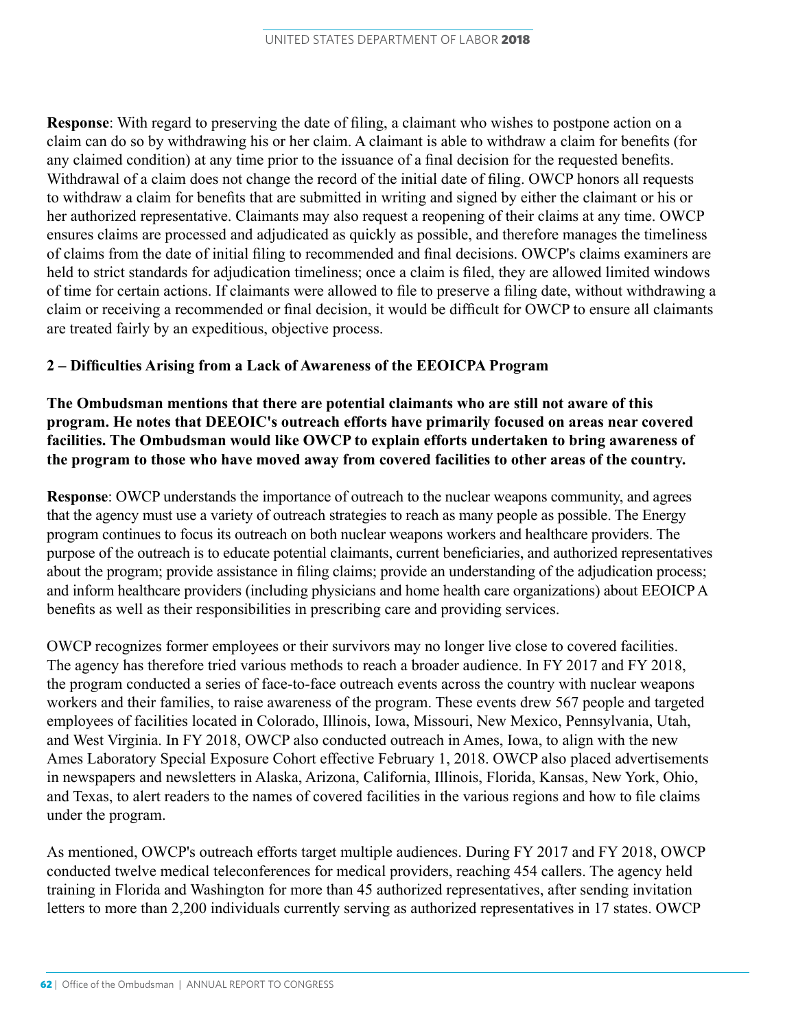**Response**: With regard to preserving the date of filing, a claimant who wishes to postpone action on a claim can do so by withdrawing his or her claim. A claimant is able to withdraw a claim for benefits (for any claimed condition) at any time prior to the issuance of a final decision for the requested benefits. Withdrawal of a claim does not change the record of the initial date of filing. OWCP honors all requests to withdraw a claim for benefits that are submitted in writing and signed by either the claimant or his or her authorized representative. Claimants may also request a reopening of their claims at any time. OWCP ensures claims are processed and adjudicated as quickly as possible, and therefore manages the timeliness of claims from the date of initial filing to recommended and final decisions. OWCP's claims examiners are held to strict standards for adjudication timeliness; once a claim is filed, they are allowed limited windows of time for certain actions. If claimants were allowed to file to preserve a filing date, without withdrawing a claim or receiving a recommended or final decision, it would be difficult for OWCP to ensure all claimants are treated fairly by an expeditious, objective process.

#### **2 – Difficulties Arising from a Lack of Awareness of the EEOICPA Program**

**The Ombudsman mentions that there are potential claimants who are still not aware of this program. He notes that DEEOIC's outreach efforts have primarily focused on areas near covered facilities. The Ombudsman would like OWCP to explain efforts undertaken to bring awareness of the program to those who have moved away from covered facilities to other areas of the country.** 

 and inform healthcare providers (including physicians and home health care organizations) about EEOICP A **Response**: OWCP understands the importance of outreach to the nuclear weapons community, and agrees that the agency must use a variety of outreach strategies to reach as many people as possible. The Energy program continues to focus its outreach on both nuclear weapons workers and healthcare providers. The purpose of the outreach is to educate potential claimants, current beneficiaries, and authorized representatives about the program; provide assistance in filing claims; provide an understanding of the adjudication process; benefits as well as their responsibilities in prescribing care and providing services.

OWCP recognizes former employees or their survivors may no longer live close to covered facilities. The agency has therefore tried various methods to reach a broader audience. In FY 2017 and FY 2018, the program conducted a series of face-to-face outreach events across the country with nuclear weapons workers and their families, to raise awareness of the program. These events drew 567 people and targeted employees of facilities located in Colorado, Illinois, Iowa, Missouri, New Mexico, Pennsylvania, Utah, and West Virginia. In FY 2018, OWCP also conducted outreach in Ames, Iowa, to align with the new Ames Laboratory Special Exposure Cohort effective February 1, 2018. OWCP also placed advertisements in newspapers and newsletters in Alaska, Arizona, California, Illinois, Florida, Kansas, New York, Ohio, and Texas, to alert readers to the names of covered facilities in the various regions and how to file claims under the program.

As mentioned, OWCP's outreach efforts target multiple audiences. During FY 2017 and FY 2018, OWCP conducted twelve medical teleconferences for medical providers, reaching 454 callers. The agency held training in Florida and Washington for more than 45 authorized representatives, after sending invitation letters to more than 2,200 individuals currently serving as authorized representatives in 17 states. OWCP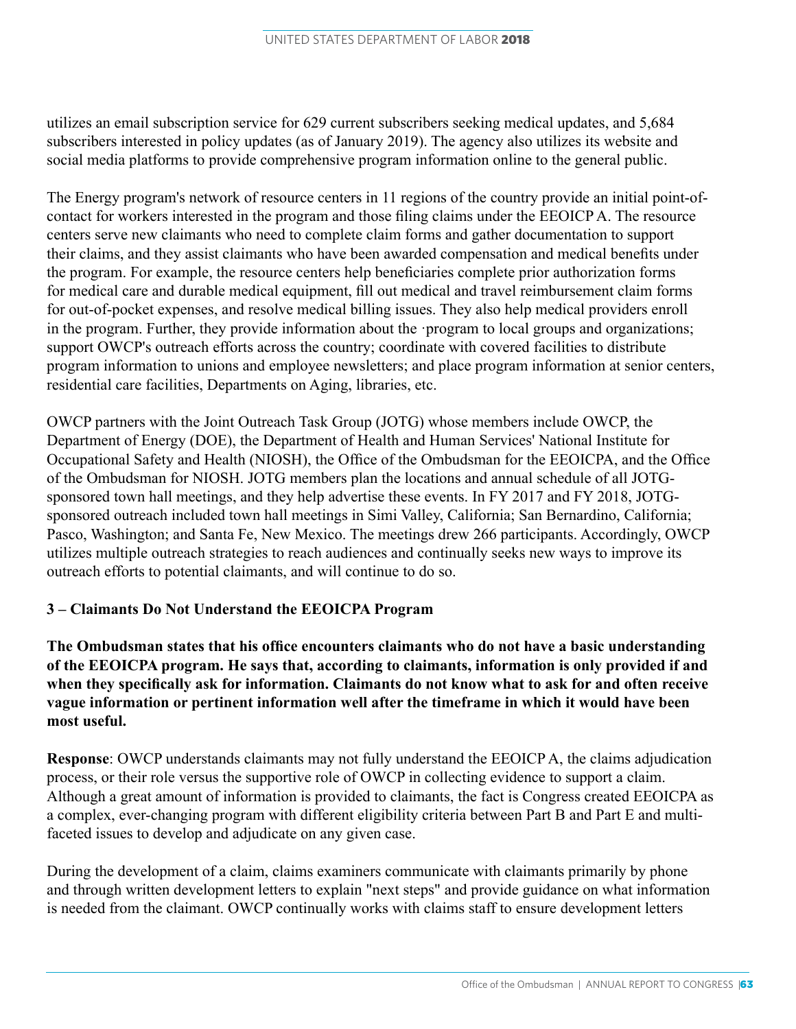utilizes an email subscription service for 629 current subscribers seeking medical updates, and 5,684 subscribers interested in policy updates (as of January 2019). The agency also utilizes its website and social media platforms to provide comprehensive program information online to the general public.

The Energy program's network of resource centers in 11 regions of the country provide an initial point-ofcontact for workers interested in the program and those filing claims under the EEOICP A. The resource centers serve new claimants who need to complete claim forms and gather documentation to support their claims, and they assist claimants who have been awarded compensation and medical benefits under the program. For example, the resource centers help beneficiaries complete prior authorization forms for medical care and durable medical equipment, fill out medical and travel reimbursement claim forms for out-of-pocket expenses, and resolve medical billing issues. They also help medical providers enroll in the program. Further, they provide information about the ·program to local groups and organizations; support OWCP's outreach efforts across the country; coordinate with covered facilities to distribute program information to unions and employee newsletters; and place program information at senior centers, residential care facilities, Departments on Aging, libraries, etc.

OWCP partners with the Joint Outreach Task Group (JOTG) whose members include OWCP, the Department of Energy (DOE), the Department of Health and Human Services' National Institute for Occupational Safety and Health (NIOSH), the Office of the Ombudsman for the EEOICPA, and the Office of the Ombudsman for NIOSH. JOTG members plan the locations and annual schedule of all JOTGsponsored town hall meetings, and they help advertise these events. In FY 2017 and FY 2018, JOTGsponsored outreach included town hall meetings in Simi Valley, California; San Bernardino, California; Pasco, Washington; and Santa Fe, New Mexico. The meetings drew 266 participants. Accordingly, OWCP utilizes multiple outreach strategies to reach audiences and continually seeks new ways to improve its outreach efforts to potential claimants, and will continue to do so.

### **3 – Claimants Do Not Understand the EEOICPA Program**

**The Ombudsman states that his office encounters claimants who do not have a basic understanding of the EEOICPA program. He says that, according to claimants, information is only provided if and when they specifically ask for information. Claimants do not know what to ask for and often receive vague information or pertinent information well after the timeframe in which it would have been most useful.** 

**Response**: OWCP understands claimants may not fully understand the EEOICP A, the claims adjudication process, or their role versus the supportive role of OWCP in collecting evidence to support a claim. Although a great amount of information is provided to claimants, the fact is Congress created EEOICPA as a complex, ever-changing program with different eligibility criteria between Part B and Part E and multifaceted issues to develop and adjudicate on any given case.

During the development of a claim, claims examiners communicate with claimants primarily by phone and through written development letters to explain "next steps" and provide guidance on what information is needed from the claimant. OWCP continually works with claims staff to ensure development letters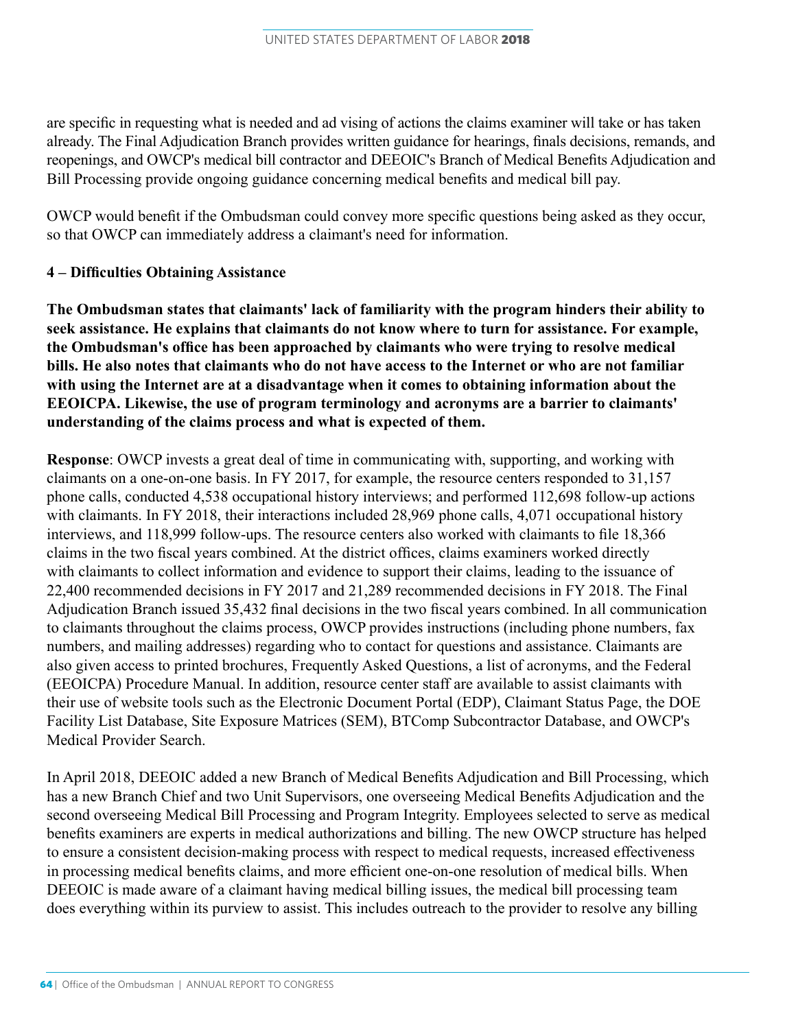are specific in requesting what is needed and ad vising of actions the claims examiner will take or has taken already. The Final Adjudication Branch provides written guidance for hearings, finals decisions, remands, and reopenings, and OWCP's medical bill contractor and DEEOIC's Branch of Medical Benefits Adjudication and Bill Processing provide ongoing guidance concerning medical benefits and medical bill pay.

OWCP would benefit if the Ombudsman could convey more specific questions being asked as they occur, so that OWCP can immediately address a claimant's need for information.

#### **4 – Difficulties Obtaining Assistance**

**The Ombudsman states that claimants' lack of familiarity with the program hinders their ability to seek assistance. He explains that claimants do not know where to turn for assistance. For example, the Ombudsman's office has been approached by claimants who were trying to resolve medical bills. He also notes that claimants who do not have access to the Internet or who are not familiar with using the Internet are at a disadvantage when it comes to obtaining information about the EEOICPA. Likewise, the use of program terminology and acronyms are a barrier to claimants' understanding of the claims process and what is expected of them.** 

**Response**: OWCP invests a great deal of time in communicating with, supporting, and working with claimants on a one-on-one basis. In FY 2017, for example, the resource centers responded to 31,157 phone calls, conducted 4,538 occupational history interviews; and performed 112,698 follow-up actions with claimants. In FY 2018, their interactions included 28,969 phone calls, 4,071 occupational history interviews, and 118,999 follow-ups. The resource centers also worked with claimants to file 18,366 claims in the two fiscal years combined. At the district offices, claims examiners worked directly with claimants to collect information and evidence to support their claims, leading to the issuance of 22,400 recommended decisions in FY 2017 and 21,289 recommended decisions in FY 2018. The Final Adjudication Branch issued 35,432 final decisions in the two fiscal years combined. In all communication to claimants throughout the claims process, OWCP provides instructions (including phone numbers, fax numbers, and mailing addresses) regarding who to contact for questions and assistance. Claimants are also given access to printed brochures, Frequently Asked Questions, a list of acronyms, and the Federal (EEOICPA) Procedure Manual. In addition, resource center staff are available to assist claimants with their use of website tools such as the Electronic Document Portal (EDP), Claimant Status Page, the DOE Facility List Database, Site Exposure Matrices (SEM), BTComp Subcontractor Database, and OWCP's Medical Provider Search.

In April 2018, DEEOIC added a new Branch of Medical Benefits Adjudication and Bill Processing, which has a new Branch Chief and two Unit Supervisors, one overseeing Medical Benefits Adjudication and the second overseeing Medical Bill Processing and Program Integrity. Employees selected to serve as medical benefits examiners are experts in medical authorizations and billing. The new OWCP structure has helped to ensure a consistent decision-making process with respect to medical requests, increased effectiveness in processing medical benefits claims, and more efficient one-on-one resolution of medical bills. When DEEOIC is made aware of a claimant having medical billing issues, the medical bill processing team does everything within its purview to assist. This includes outreach to the provider to resolve any billing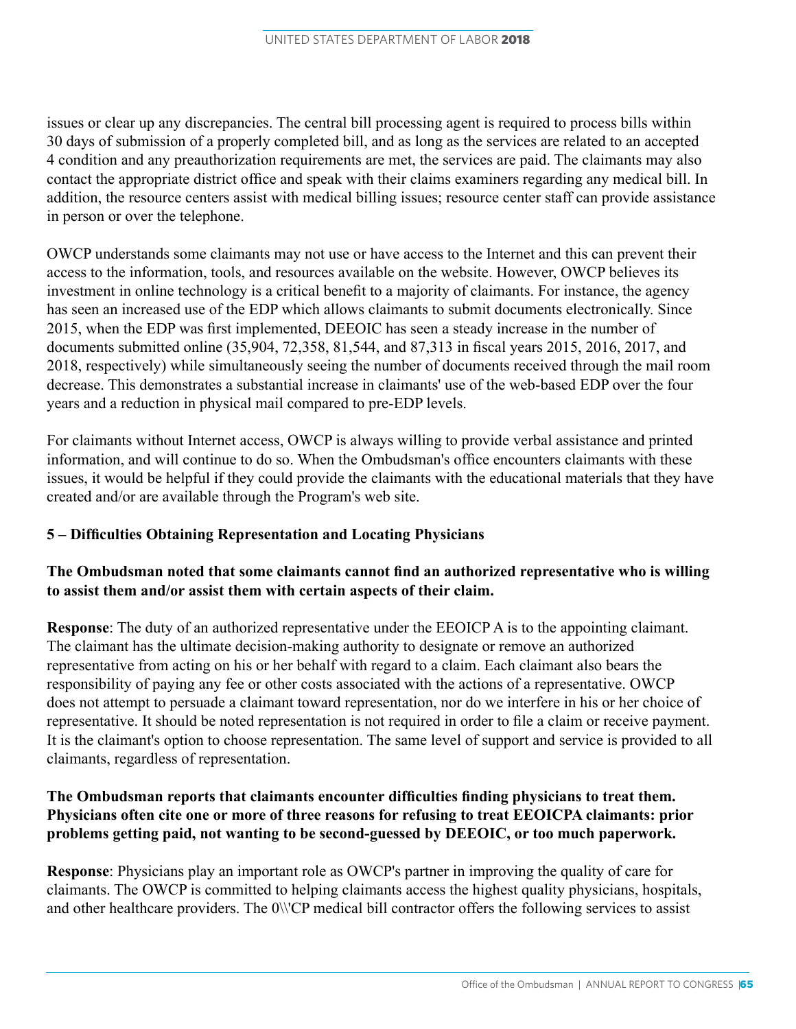issues or clear up any discrepancies. The central bill processing agent is required to process bills within 30 days of submission of a properly completed bill, and as long as the services are related to an accepted 4 condition and any preauthorization requirements are met, the services are paid. The claimants may also contact the appropriate district office and speak with their claims examiners regarding any medical bill. In addition, the resource centers assist with medical billing issues; resource center staff can provide assistance in person or over the telephone.

OWCP understands some claimants may not use or have access to the Internet and this can prevent their access to the information, tools, and resources available on the website. However, OWCP believes its investment in online technology is a critical benefit to a majority of claimants. For instance, the agency has seen an increased use of the EDP which allows claimants to submit documents electronically. Since 2015, when the EDP was first implemented, DEEOIC has seen a steady increase in the number of documents submitted online (35,904, 72,358, 81,544, and 87,313 in fiscal years 2015, 2016, 2017, and 2018, respectively) while simultaneously seeing the number of documents received through the mail room decrease. This demonstrates a substantial increase in claimants' use of the web-based EDP over the four years and a reduction in physical mail compared to pre-EDP levels.

For claimants without Internet access, OWCP is always willing to provide verbal assistance and printed information, and will continue to do so. When the Ombudsman's office encounters claimants with these issues, it would be helpful if they could provide the claimants with the educational materials that they have created and/or are available through the Program's web site.

#### **5 – Difficulties Obtaining Representation and Locating Physicians**

# **The Ombudsman noted that some claimants cannot find an authorized representative who is willing to assist them and/or assist them with certain aspects of their claim.**

**Response**: The duty of an authorized representative under the EEOICP A is to the appointing claimant. The claimant has the ultimate decision-making authority to designate or remove an authorized representative from acting on his or her behalf with regard to a claim. Each claimant also bears the responsibility of paying any fee or other costs associated with the actions of a representative. OWCP does not attempt to persuade a claimant toward representation, nor do we interfere in his or her choice of representative. It should be noted representation is not required in order to file a claim or receive payment. It is the claimant's option to choose representation. The same level of support and service is provided to all claimants, regardless of representation.

# **The Ombudsman reports that claimants encounter difficulties finding physicians to treat them. Physicians often cite one or more of three reasons for refusing to treat EEOICPA claimants: prior problems getting paid, not wanting to be second-guessed by DEEOIC, or too much paperwork.**

**Response**: Physicians play an important role as OWCP's partner in improving the quality of care for claimants. The OWCP is committed to helping claimants access the highest quality physicians, hospitals, and other healthcare providers. The 0\\'CP medical bill contractor offers the following services to assist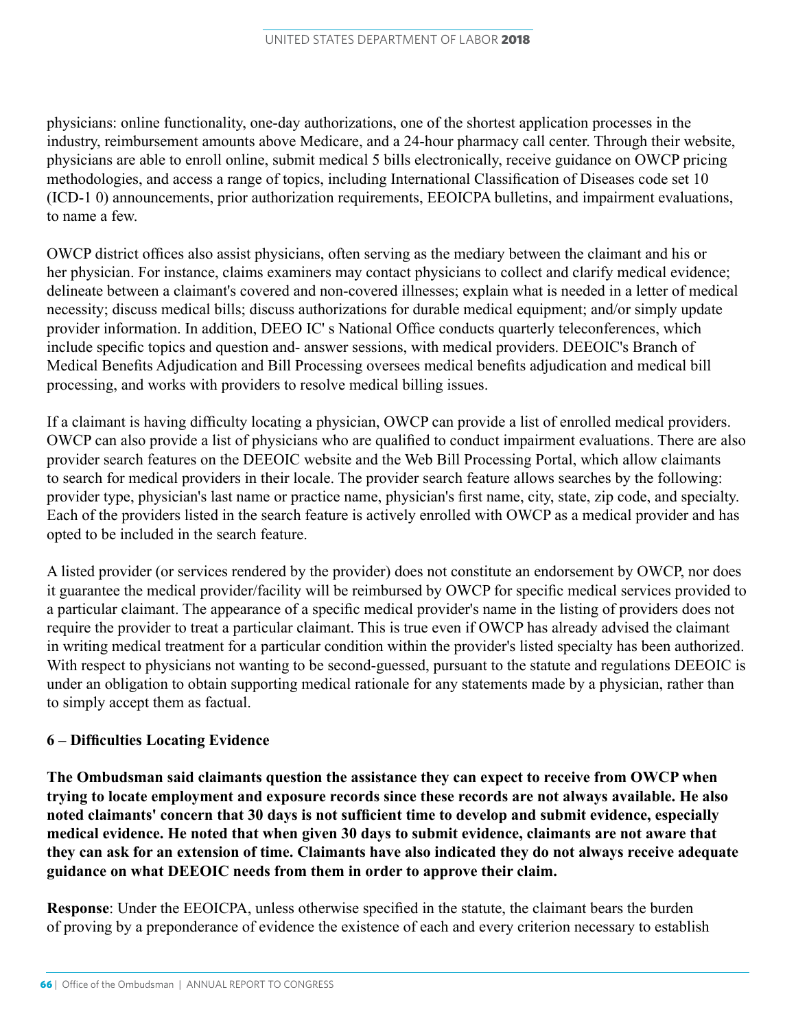physicians: online functionality, one-day authorizations, one of the shortest application processes in the industry, reimbursement amounts above Medicare, and a 24-hour pharmacy call center. Through their website, physicians are able to enroll online, submit medical 5 bills electronically, receive guidance on OWCP pricing methodologies, and access a range of topics, including International Classification of Diseases code set 10 (ICD-1 0) announcements, prior authorization requirements, EEOICPA bulletins, and impairment evaluations, to name a few.

OWCP district offices also assist physicians, often serving as the mediary between the claimant and his or her physician. For instance, claims examiners may contact physicians to collect and clarify medical evidence; delineate between a claimant's covered and non-covered illnesses; explain what is needed in a letter of medical necessity; discuss medical bills; discuss authorizations for durable medical equipment; and/or simply update provider information. In addition, DEEO IC' s National Office conducts quarterly teleconferences, which include specific topics and question and- answer sessions, with medical providers. DEEOIC's Branch of Medical Benefits Adjudication and Bill Processing oversees medical benefits adjudication and medical bill processing, and works with providers to resolve medical billing issues.

If a claimant is having difficulty locating a physician, OWCP can provide a list of enrolled medical providers. OWCP can also provide a list of physicians who are qualified to conduct impairment evaluations. There are also provider search features on the DEEOIC website and the Web Bill Processing Portal, which allow claimants to search for medical providers in their locale. The provider search feature allows searches by the following: provider type, physician's last name or practice name, physician's first name, city, state, zip code, and specialty. Each of the providers listed in the search feature is actively enrolled with OWCP as a medical provider and has opted to be included in the search feature.

A listed provider (or services rendered by the provider) does not constitute an endorsement by OWCP, nor does it guarantee the medical provider/facility will be reimbursed by OWCP for specific medical services provided to a particular claimant. The appearance of a specific medical provider's name in the listing of providers does not require the provider to treat a particular claimant. This is true even if OWCP has already advised the claimant in writing medical treatment for a particular condition within the provider's listed specialty has been authorized. With respect to physicians not wanting to be second-guessed, pursuant to the statute and regulations DEEOIC is under an obligation to obtain supporting medical rationale for any statements made by a physician, rather than to simply accept them as factual.

# **6 – Difficulties Locating Evidence**

**The Ombudsman said claimants question the assistance they can expect to receive from OWCP when trying to locate employment and exposure records since these records are not always available. He also noted claimants' concern that 30 days is not sufficient time to develop and submit evidence, especially medical evidence. He noted that when given 30 days to submit evidence, claimants are not aware that they can ask for an extension of time. Claimants have also indicated they do not always receive adequate guidance on what DEEOIC needs from them in order to approve their claim.** 

**Response**: Under the EEOICPA, unless otherwise specified in the statute, the claimant bears the burden of proving by a preponderance of evidence the existence of each and every criterion necessary to establish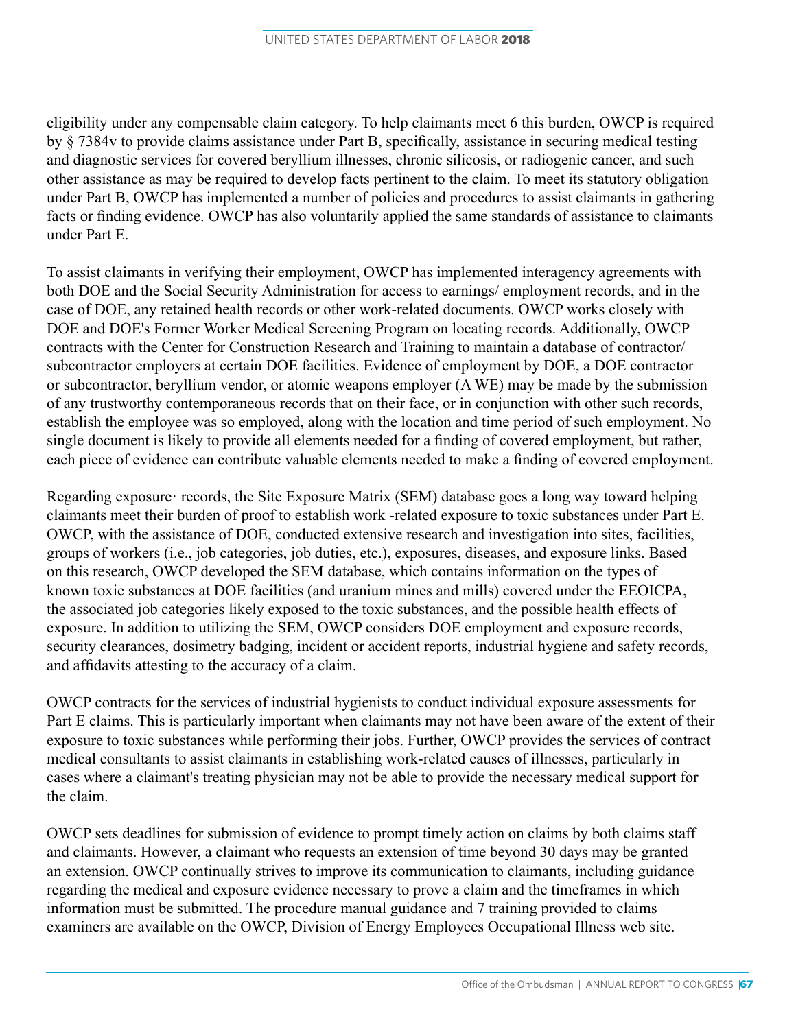eligibility under any compensable claim category. To help claimants meet 6 this burden, OWCP is required by § 7384v to provide claims assistance under Part B, specifically, assistance in securing medical testing and diagnostic services for covered beryllium illnesses, chronic silicosis, or radiogenic cancer, and such other assistance as may be required to develop facts pertinent to the claim. To meet its statutory obligation under Part B, OWCP has implemented a number of policies and procedures to assist claimants in gathering facts or finding evidence. OWCP has also voluntarily applied the same standards of assistance to claimants under Part E.

To assist claimants in verifying their employment, OWCP has implemented interagency agreements with both DOE and the Social Security Administration for access to earnings/ employment records, and in the case of DOE, any retained health records or other work-related documents. OWCP works closely with DOE and DOE's Former Worker Medical Screening Program on locating records. Additionally, OWCP contracts with the Center for Construction Research and Training to maintain a database of contractor/ subcontractor employers at certain DOE facilities. Evidence of employment by DOE, a DOE contractor or subcontractor, beryllium vendor, or atomic weapons employer (A WE) may be made by the submission of any trustworthy contemporaneous records that on their face, or in conjunction with other such records, establish the employee was so employed, along with the location and time period of such employment. No single document is likely to provide all elements needed for a finding of covered employment, but rather, each piece of evidence can contribute valuable elements needed to make a finding of covered employment.

Regarding exposure· records, the Site Exposure Matrix (SEM) database goes a long way toward helping claimants meet their burden of proof to establish work -related exposure to toxic substances under Part E. OWCP, with the assistance of DOE, conducted extensive research and investigation into sites, facilities, groups of workers (i.e., job categories, job duties, etc.), exposures, diseases, and exposure links. Based on this research, OWCP developed the SEM database, which contains information on the types of known toxic substances at DOE facilities (and uranium mines and mills) covered under the EEOICPA, the associated job categories likely exposed to the toxic substances, and the possible health effects of exposure. In addition to utilizing the SEM, OWCP considers DOE employment and exposure records, security clearances, dosimetry badging, incident or accident reports, industrial hygiene and safety records, and affidavits attesting to the accuracy of a claim.

OWCP contracts for the services of industrial hygienists to conduct individual exposure assessments for Part E claims. This is particularly important when claimants may not have been aware of the extent of their exposure to toxic substances while performing their jobs. Further, OWCP provides the services of contract medical consultants to assist claimants in establishing work-related causes of illnesses, particularly in cases where a claimant's treating physician may not be able to provide the necessary medical support for the claim.

OWCP sets deadlines for submission of evidence to prompt timely action on claims by both claims staff and claimants. However, a claimant who requests an extension of time beyond 30 days may be granted an extension. OWCP continually strives to improve its communication to claimants, including guidance regarding the medical and exposure evidence necessary to prove a claim and the timeframes in which information must be submitted. The procedure manual guidance and 7 training provided to claims examiners are available on the OWCP, Division of Energy Employees Occupational Illness web site.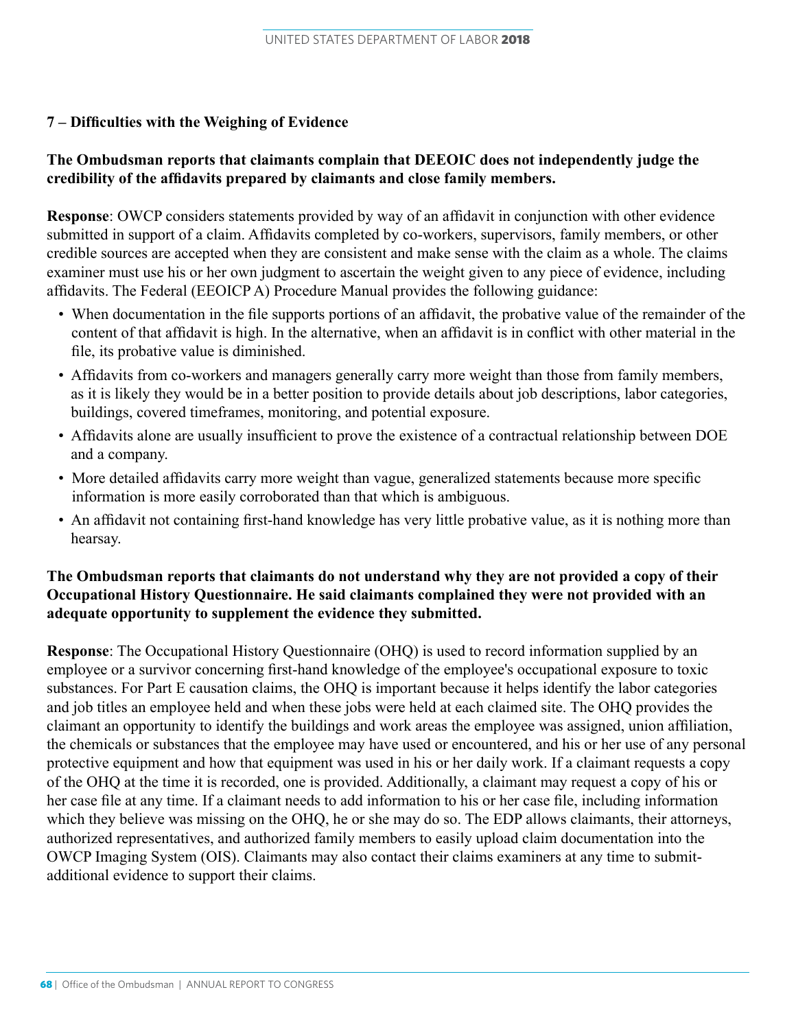### **7 – Difficulties with the Weighing of Evidence**

# **The Ombudsman reports that claimants complain that DEEOIC does not independently judge the credibility of the affidavits prepared by claimants and close family members.**

**Response**: OWCP considers statements provided by way of an affidavit in conjunction with other evidence submitted in support of a claim. Affidavits completed by co-workers, supervisors, family members, or other credible sources are accepted when they are consistent and make sense with the claim as a whole. The claims examiner must use his or her own judgment to ascertain the weight given to any piece of evidence, including affidavits. The Federal (EEOICP A) Procedure Manual provides the following guidance:

- When documentation in the file supports portions of an affidavit, the probative value of the remainder of the content of that affidavit is high. In the alternative, when an affidavit is in conflict with other material in the file, its probative value is diminished.
- Affidavits from co-workers and managers generally carry more weight than those from family members, as it is likely they would be in a better position to provide details about job descriptions, labor categories, buildings, covered timeframes, monitoring, and potential exposure.
- Affidavits alone are usually insufficient to prove the existence of a contractual relationship between DOE and a company.
- More detailed affidavits carry more weight than vague, generalized statements because more specific information is more easily corroborated than that which is ambiguous.
- An affidavit not containing first-hand knowledge has very little probative value, as it is nothing more than hearsay.

# **The Ombudsman reports that claimants do not understand why they are not provided a copy of their Occupational History Questionnaire. He said claimants complained they were not provided with an adequate opportunity to supplement the evidence they submitted.**

**Response**: The Occupational History Questionnaire (OHQ) is used to record information supplied by an employee or a survivor concerning first-hand knowledge of the employee's occupational exposure to toxic substances. For Part E causation claims, the OHQ is important because it helps identify the labor categories and job titles an employee held and when these jobs were held at each claimed site. The OHQ provides the claimant an opportunity to identify the buildings and work areas the employee was assigned, union affiliation, the chemicals or substances that the employee may have used or encountered, and his or her use of any personal protective equipment and how that equipment was used in his or her daily work. If a claimant requests a copy of the OHQ at the time it is recorded, one is provided. Additionally, a claimant may request a copy of his or her case file at any time. If a claimant needs to add information to his or her case file, including information which they believe was missing on the OHQ, he or she may do so. The EDP allows claimants, their attorneys, authorized representatives, and authorized family members to easily upload claim documentation into the OWCP Imaging System (OIS). Claimants may also contact their claims examiners at any time to submitadditional evidence to support their claims.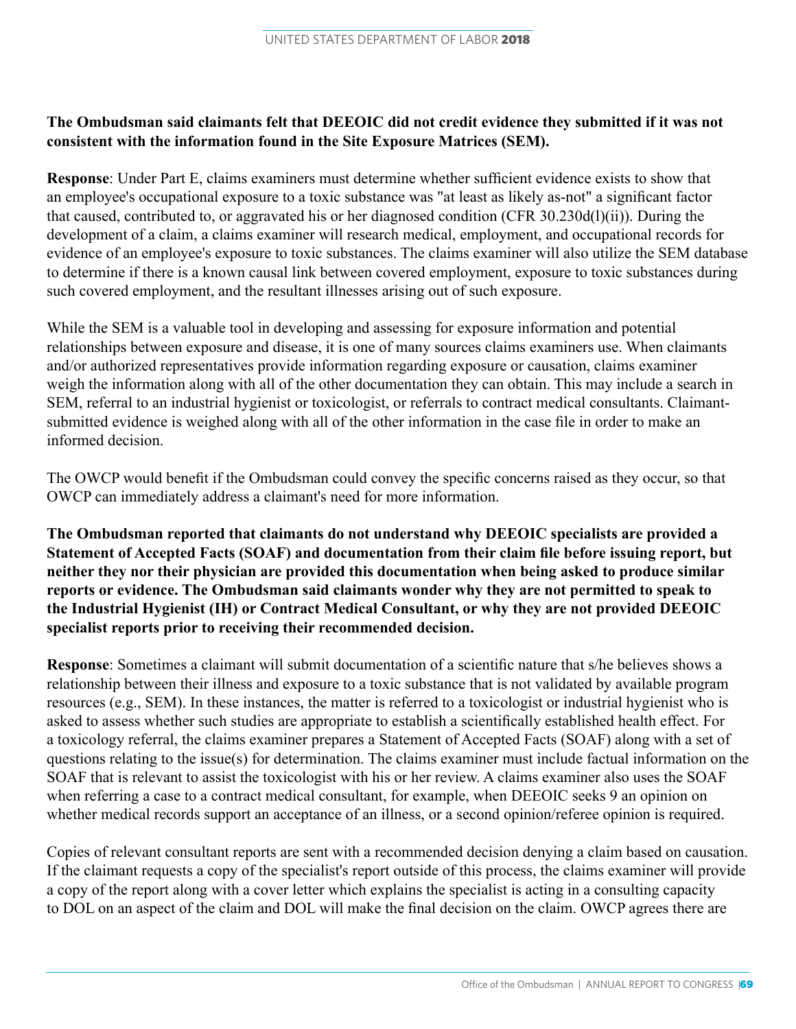#### **The Ombudsman said claimants felt that DEEOIC did not credit evidence they submitted if it was not consistent with the information found in the Site Exposure Matrices (SEM).**

**Response**: Under Part E, claims examiners must determine whether sufficient evidence exists to show that an employee's occupational exposure to a toxic substance was "at least as likely as-not" a significant factor that caused, contributed to, or aggravated his or her diagnosed condition (CFR 30.230d(l)(ii)). During the development of a claim, a claims examiner will research medical, employment, and occupational records for evidence of an employee's exposure to toxic substances. The claims examiner will also utilize the SEM database to determine if there is a known causal link between covered employment, exposure to toxic substances during such covered employment, and the resultant illnesses arising out of such exposure.

While the SEM is a valuable tool in developing and assessing for exposure information and potential relationships between exposure and disease, it is one of many sources claims examiners use. When claimants and/or authorized representatives provide information regarding exposure or causation, claims examiner weigh the information along with all of the other documentation they can obtain. This may include a search in SEM, referral to an industrial hygienist or toxicologist, or referrals to contract medical consultants. Claimantsubmitted evidence is weighed along with all of the other information in the case file in order to make an informed decision.

The OWCP would benefit if the Ombudsman could convey the specific concerns raised as they occur, so that OWCP can immediately address a claimant's need for more information.

**The Ombudsman reported that claimants do not understand why DEEOIC specialists are provided a Statement of Accepted Facts (SOAF) and documentation from their claim file before issuing report, but neither they nor their physician are provided this documentation when being asked to produce similar reports or evidence. The Ombudsman said claimants wonder why they are not permitted to speak to the Industrial Hygienist (IH) or Contract Medical Consultant, or why they are not provided DEEOIC specialist reports prior to receiving their recommended decision.** 

**Response**: Sometimes a claimant will submit documentation of a scientific nature that s/he believes shows a relationship between their illness and exposure to a toxic substance that is not validated by available program resources (e.g., SEM). In these instances, the matter is referred to a toxicologist or industrial hygienist who is asked to assess whether such studies are appropriate to establish a scientifically established health effect. For a toxicology referral, the claims examiner prepares a Statement of Accepted Facts (SOAF) along with a set of questions relating to the issue(s) for determination. The claims examiner must include factual information on the SOAF that is relevant to assist the toxicologist with his or her review. A claims examiner also uses the SOAF when referring a case to a contract medical consultant, for example, when DEEOIC seeks 9 an opinion on whether medical records support an acceptance of an illness, or a second opinion/referee opinion is required.

Copies of relevant consultant reports are sent with a recommended decision denying a claim based on causation. If the claimant requests a copy of the specialist's report outside of this process, the claims examiner will provide a copy of the report along with a cover letter which explains the specialist is acting in a consulting capacity to DOL on an aspect of the claim and DOL will make the final decision on the claim. OWCP agrees there are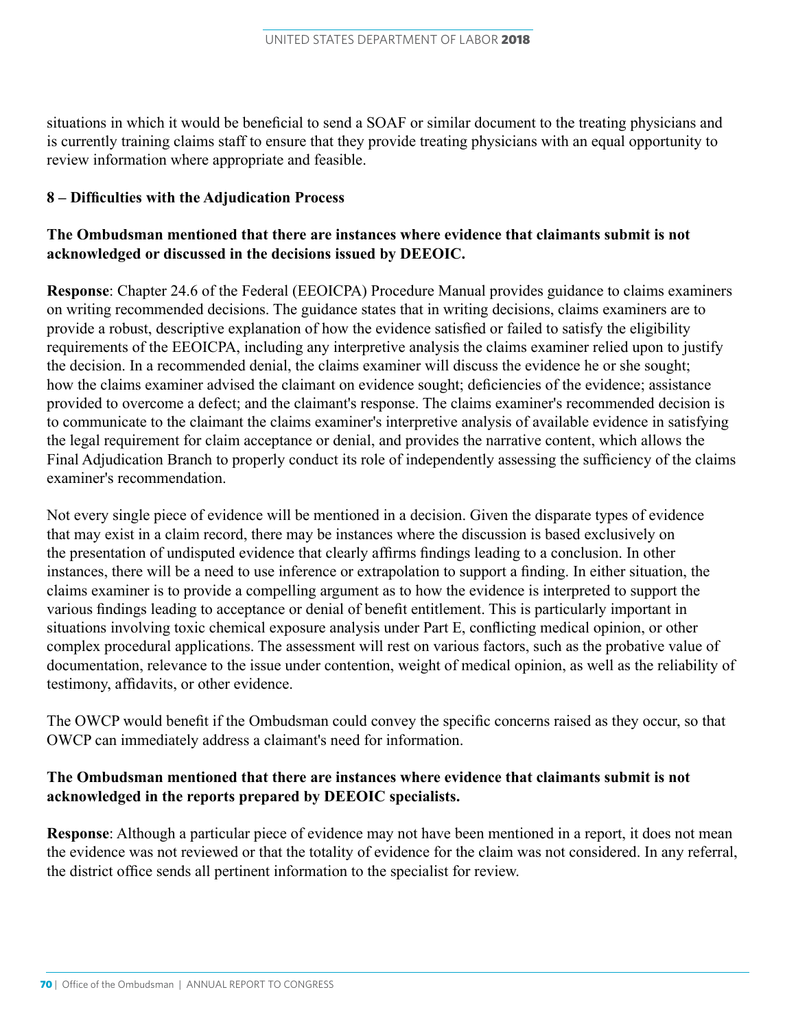situations in which it would be beneficial to send a SOAF or similar document to the treating physicians and is currently training claims staff to ensure that they provide treating physicians with an equal opportunity to review information where appropriate and feasible.

## **8 – Difficulties with the Adjudication Process**

## **The Ombudsman mentioned that there are instances where evidence that claimants submit is not acknowledged or discussed in the decisions issued by DEEOIC.**

**Response**: Chapter 24.6 of the Federal (EEOICPA) Procedure Manual provides guidance to claims examiners on writing recommended decisions. The guidance states that in writing decisions, claims examiners are to provide a robust, descriptive explanation of how the evidence satisfied or failed to satisfy the eligibility requirements of the EEOICPA, including any interpretive analysis the claims examiner relied upon to justify the decision. In a recommended denial, the claims examiner will discuss the evidence he or she sought; how the claims examiner advised the claimant on evidence sought; deficiencies of the evidence; assistance provided to overcome a defect; and the claimant's response. The claims examiner's recommended decision is to communicate to the claimant the claims examiner's interpretive analysis of available evidence in satisfying the legal requirement for claim acceptance or denial, and provides the narrative content, which allows the Final Adjudication Branch to properly conduct its role of independently assessing the sufficiency of the claims examiner's recommendation.

Not every single piece of evidence will be mentioned in a decision. Given the disparate types of evidence that may exist in a claim record, there may be instances where the discussion is based exclusively on the presentation of undisputed evidence that clearly affirms findings leading to a conclusion. In other instances, there will be a need to use inference or extrapolation to support a finding. In either situation, the claims examiner is to provide a compelling argument as to how the evidence is interpreted to support the various findings leading to acceptance or denial of benefit entitlement. This is particularly important in situations involving toxic chemical exposure analysis under Part E, conflicting medical opinion, or other complex procedural applications. The assessment will rest on various factors, such as the probative value of documentation, relevance to the issue under contention, weight of medical opinion, as well as the reliability of testimony, affidavits, or other evidence.

The OWCP would benefit if the Ombudsman could convey the specific concerns raised as they occur, so that OWCP can immediately address a claimant's need for information.

# **The Ombudsman mentioned that there are instances where evidence that claimants submit is not acknowledged in the reports prepared by DEEOIC specialists.**

**Response**: Although a particular piece of evidence may not have been mentioned in a report, it does not mean the evidence was not reviewed or that the totality of evidence for the claim was not considered. In any referral, the district office sends all pertinent information to the specialist for review.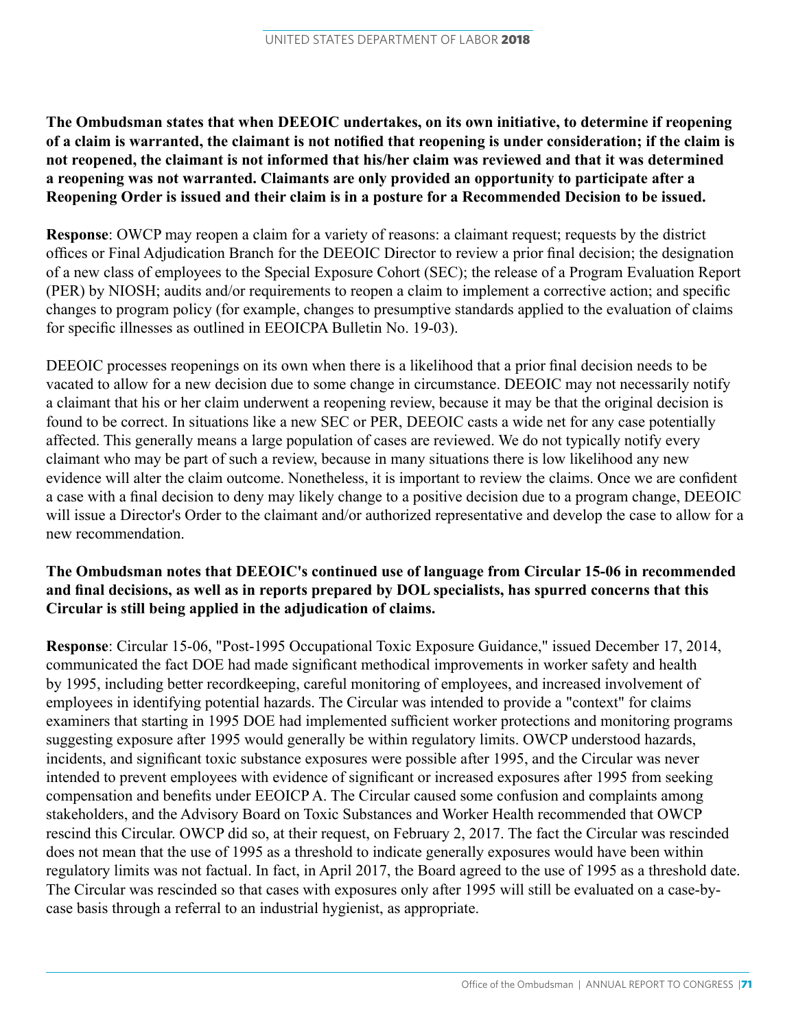**The Ombudsman states that when DEEOIC undertakes, on its own initiative, to determine if reopening of a claim is warranted, the claimant is not notified that reopening is under consideration; if the claim is not reopened, the claimant is not informed that his/her claim was reviewed and that it was determined a reopening was not warranted. Claimants are only provided an opportunity to participate after a Reopening Order is issued and their claim is in a posture for a Recommended Decision to be issued.** 

**Response**: OWCP may reopen a claim for a variety of reasons: a claimant request; requests by the district offices or Final Adjudication Branch for the DEEOIC Director to review a prior final decision; the designation of a new class of employees to the Special Exposure Cohort (SEC); the release of a Program Evaluation Report (PER) by NIOSH; audits and/or requirements to reopen a claim to implement a corrective action; and specific changes to program policy (for example, changes to presumptive standards applied to the evaluation of claims for specific illnesses as outlined in EEOICPA Bulletin No. 19-03).

DEEOIC processes reopenings on its own when there is a likelihood that a prior final decision needs to be vacated to allow for a new decision due to some change in circumstance. DEEOIC may not necessarily notify a claimant that his or her claim underwent a reopening review, because it may be that the original decision is found to be correct. In situations like a new SEC or PER, DEEOIC casts a wide net for any case potentially affected. This generally means a large population of cases are reviewed. We do not typically notify every claimant who may be part of such a review, because in many situations there is low likelihood any new evidence will alter the claim outcome. Nonetheless, it is important to review the claims. Once we are confident a case with a final decision to deny may likely change to a positive decision due to a program change, DEEOIC will issue a Director's Order to the claimant and/or authorized representative and develop the case to allow for a new recommendation.

#### **The Ombudsman notes that DEEOIC's continued use of language from Circular 15-06 in recommended and final decisions, as well as in reports prepared by DOL specialists, has spurred concerns that this Circular is still being applied in the adjudication of claims.**

**Response**: Circular 15-06, "Post-1995 Occupational Toxic Exposure Guidance," issued December 17, 2014, communicated the fact DOE had made significant methodical improvements in worker safety and health by 1995, including better recordkeeping, careful monitoring of employees, and increased involvement of employees in identifying potential hazards. The Circular was intended to provide a "context" for claims examiners that starting in 1995 DOE had implemented sufficient worker protections and monitoring programs suggesting exposure after 1995 would generally be within regulatory limits. OWCP understood hazards, incidents, and significant toxic substance exposures were possible after 1995, and the Circular was never intended to prevent employees with evidence of significant or increased exposures after 1995 from seeking compensation and benefits under EEOICP A. The Circular caused some confusion and complaints among stakeholders, and the Advisory Board on Toxic Substances and Worker Health recommended that OWCP rescind this Circular. OWCP did so, at their request, on February 2, 2017. The fact the Circular was rescinded does not mean that the use of 1995 as a threshold to indicate generally exposures would have been within regulatory limits was not factual. In fact, in April 2017, the Board agreed to the use of 1995 as a threshold date. The Circular was rescinded so that cases with exposures only after 1995 will still be evaluated on a case-bycase basis through a referral to an industrial hygienist, as appropriate.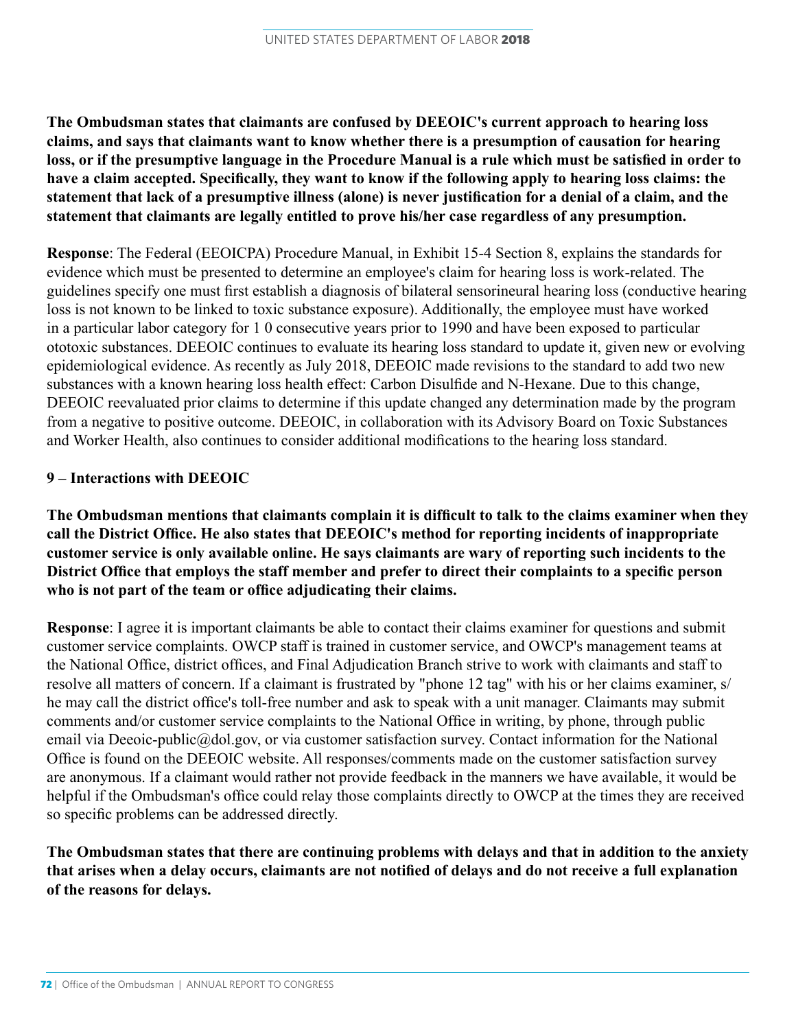**The Ombudsman states that claimants are confused by DEEOIC's current approach to hearing loss claims, and says that claimants want to know whether there is a presumption of causation for hearing loss, or if the presumptive language in the Procedure Manual is a rule which must be satisfied in order to have a claim accepted. Specifically, they want to know if the following apply to hearing loss claims: the statement that lack of a presumptive illness (alone) is never justification for a denial of a claim, and the statement that claimants are legally entitled to prove his/her case regardless of any presumption.** 

**Response**: The Federal (EEOICPA) Procedure Manual, in Exhibit 15-4 Section 8, explains the standards for evidence which must be presented to determine an employee's claim for hearing loss is work-related. The guidelines specify one must first establish a diagnosis of bilateral sensorineural hearing loss (conductive hearing loss is not known to be linked to toxic substance exposure). Additionally, the employee must have worked in a particular labor category for 1 0 consecutive years prior to 1990 and have been exposed to particular ototoxic substances. DEEOIC continues to evaluate its hearing loss standard to update it, given new or evolving epidemiological evidence. As recently as July 2018, DEEOIC made revisions to the standard to add two new substances with a known hearing loss health effect: Carbon Disulfide and N-Hexane. Due to this change, DEEOIC reevaluated prior claims to determine if this update changed any determination made by the program from a negative to positive outcome. DEEOIC, in collaboration with its Advisory Board on Toxic Substances and Worker Health, also continues to consider additional modifications to the hearing loss standard.

# **9 – Interactions with DEEOIC**

**The Ombudsman mentions that claimants complain it is difficult to talk to the claims examiner when they call the District Office. He also states that DEEOIC's method for reporting incidents of inappropriate customer service is only available online. He says claimants are wary of reporting such incidents to the District Office that employs the staff member and prefer to direct their complaints to a specific person who is not part of the team or office adjudicating their claims.** 

**Response**: I agree it is important claimants be able to contact their claims examiner for questions and submit customer service complaints. OWCP staff is trained in customer service, and OWCP's management teams at the National Office, district offices, and Final Adjudication Branch strive to work with claimants and staff to resolve all matters of concern. If a claimant is frustrated by "phone 12 tag" with his or her claims examiner, s/ he may call the district office's toll-free number and ask to speak with a unit manager. Claimants may submit comments and/or customer service complaints to the National Office in writing, by phone, through public email via Deeoic-public@dol.gov, or via customer satisfaction survey. Contact information for the National Office is found on the DEEOIC website. All responses/comments made on the customer satisfaction survey are anonymous. If a claimant would rather not provide feedback in the manners we have available, it would be helpful if the Ombudsman's office could relay those complaints directly to OWCP at the times they are received so specific problems can be addressed directly.

**The Ombudsman states that there are continuing problems with delays and that in addition to the anxiety that arises when a delay occurs, claimants are not notified of delays and do not receive a full explanation of the reasons for delays.**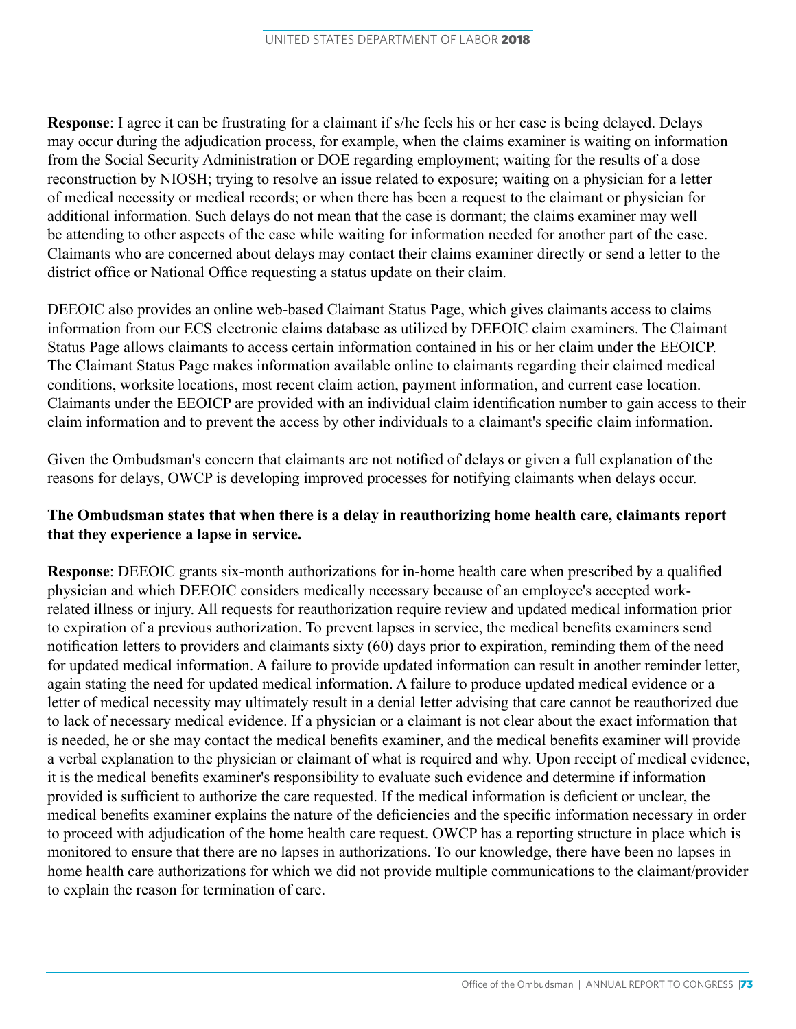**Response**: I agree it can be frustrating for a claimant if s/he feels his or her case is being delayed. Delays may occur during the adjudication process, for example, when the claims examiner is waiting on information from the Social Security Administration or DOE regarding employment; waiting for the results of a dose reconstruction by NIOSH; trying to resolve an issue related to exposure; waiting on a physician for a letter of medical necessity or medical records; or when there has been a request to the claimant or physician for additional information. Such delays do not mean that the case is dormant; the claims examiner may well be attending to other aspects of the case while waiting for information needed for another part of the case. Claimants who are concerned about delays may contact their claims examiner directly or send a letter to the district office or National Office requesting a status update on their claim.

DEEOIC also provides an online web-based Claimant Status Page, which gives claimants access to claims information from our ECS electronic claims database as utilized by DEEOIC claim examiners. The Claimant Status Page allows claimants to access certain information contained in his or her claim under the EEOICP. The Claimant Status Page makes information available online to claimants regarding their claimed medical conditions, worksite locations, most recent claim action, payment information, and current case location. Claimants under the EEOICP are provided with an individual claim identification number to gain access to their claim information and to prevent the access by other individuals to a claimant's specific claim information.

Given the Ombudsman's concern that claimants are not notified of delays or given a full explanation of the reasons for delays, OWCP is developing improved processes for notifying claimants when delays occur.

### **The Ombudsman states that when there is a delay in reauthorizing home health care, claimants report that they experience a lapse in service.**

**Response**: DEEOIC grants six-month authorizations for in-home health care when prescribed by a qualified physician and which DEEOIC considers medically necessary because of an employee's accepted workrelated illness or injury. All requests for reauthorization require review and updated medical information prior to expiration of a previous authorization. To prevent lapses in service, the medical benefits examiners send notification letters to providers and claimants sixty (60) days prior to expiration, reminding them of the need for updated medical information. A failure to provide updated information can result in another reminder letter, again stating the need for updated medical information. A failure to produce updated medical evidence or a letter of medical necessity may ultimately result in a denial letter advising that care cannot be reauthorized due to lack of necessary medical evidence. If a physician or a claimant is not clear about the exact information that is needed, he or she may contact the medical benefits examiner, and the medical benefits examiner will provide a verbal explanation to the physician or claimant of what is required and why. Upon receipt of medical evidence, it is the medical benefits examiner's responsibility to evaluate such evidence and determine if information provided is sufficient to authorize the care requested. If the medical information is deficient or unclear, the medical benefits examiner explains the nature of the deficiencies and the specific information necessary in order to proceed with adjudication of the home health care request. OWCP has a reporting structure in place which is monitored to ensure that there are no lapses in authorizations. To our knowledge, there have been no lapses in home health care authorizations for which we did not provide multiple communications to the claimant/provider to explain the reason for termination of care.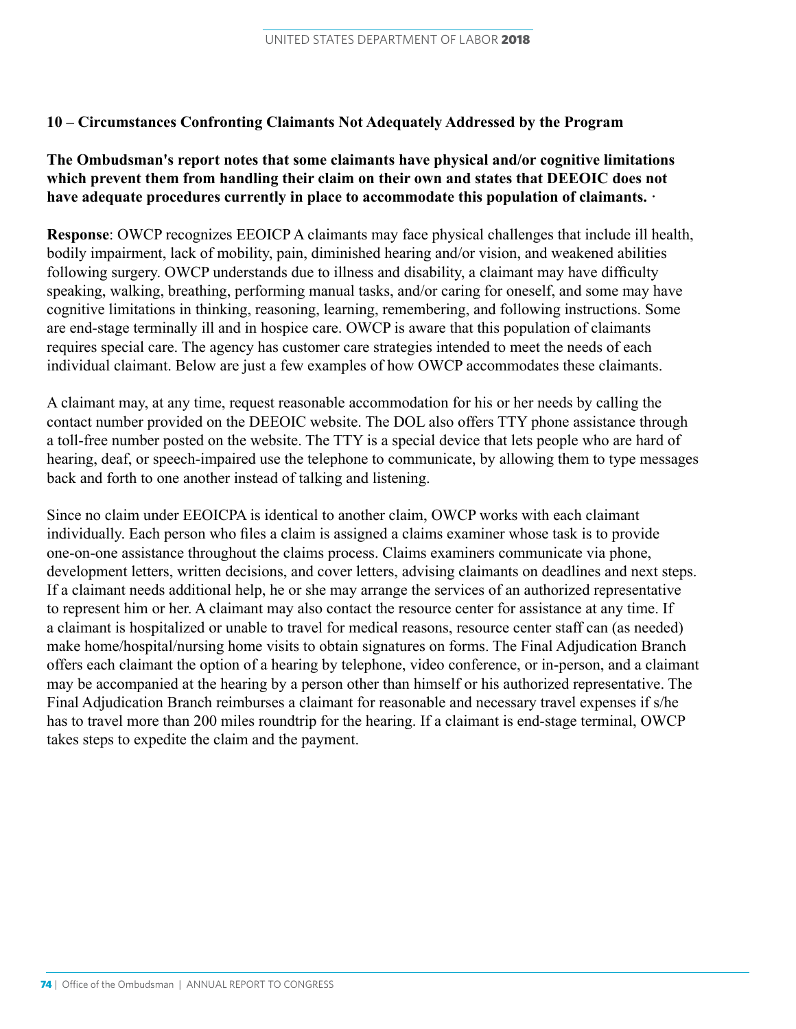#### **10 – Circumstances Confronting Claimants Not Adequately Addressed by the Program**

## **The Ombudsman's report notes that some claimants have physical and/or cognitive limitations which prevent them from handling their claim on their own and states that DEEOIC does not have adequate procedures currently in place to accommodate this population of claimants. ·**

**Response**: OWCP recognizes EEOICP A claimants may face physical challenges that include ill health, bodily impairment, lack of mobility, pain, diminished hearing and/or vision, and weakened abilities following surgery. OWCP understands due to illness and disability, a claimant may have difficulty speaking, walking, breathing, performing manual tasks, and/or caring for oneself, and some may have cognitive limitations in thinking, reasoning, learning, remembering, and following instructions. Some are end-stage terminally ill and in hospice care. OWCP is aware that this population of claimants requires special care. The agency has customer care strategies intended to meet the needs of each individual claimant. Below are just a few examples of how OWCP accommodates these claimants.

A claimant may, at any time, request reasonable accommodation for his or her needs by calling the contact number provided on the DEEOIC website. The DOL also offers TTY phone assistance through a toll-free number posted on the website. The TTY is a special device that lets people who are hard of hearing, deaf, or speech-impaired use the telephone to communicate, by allowing them to type messages back and forth to one another instead of talking and listening.

Since no claim under EEOICPA is identical to another claim, OWCP works with each claimant individually. Each person who files a claim is assigned a claims examiner whose task is to provide one-on-one assistance throughout the claims process. Claims examiners communicate via phone, development letters, written decisions, and cover letters, advising claimants on deadlines and next steps. If a claimant needs additional help, he or she may arrange the services of an authorized representative to represent him or her. A claimant may also contact the resource center for assistance at any time. If a claimant is hospitalized or unable to travel for medical reasons, resource center staff can (as needed) make home/hospital/nursing home visits to obtain signatures on forms. The Final Adjudication Branch offers each claimant the option of a hearing by telephone, video conference, or in-person, and a claimant may be accompanied at the hearing by a person other than himself or his authorized representative. The Final Adjudication Branch reimburses a claimant for reasonable and necessary travel expenses if s/he has to travel more than 200 miles roundtrip for the hearing. If a claimant is end-stage terminal, OWCP takes steps to expedite the claim and the payment.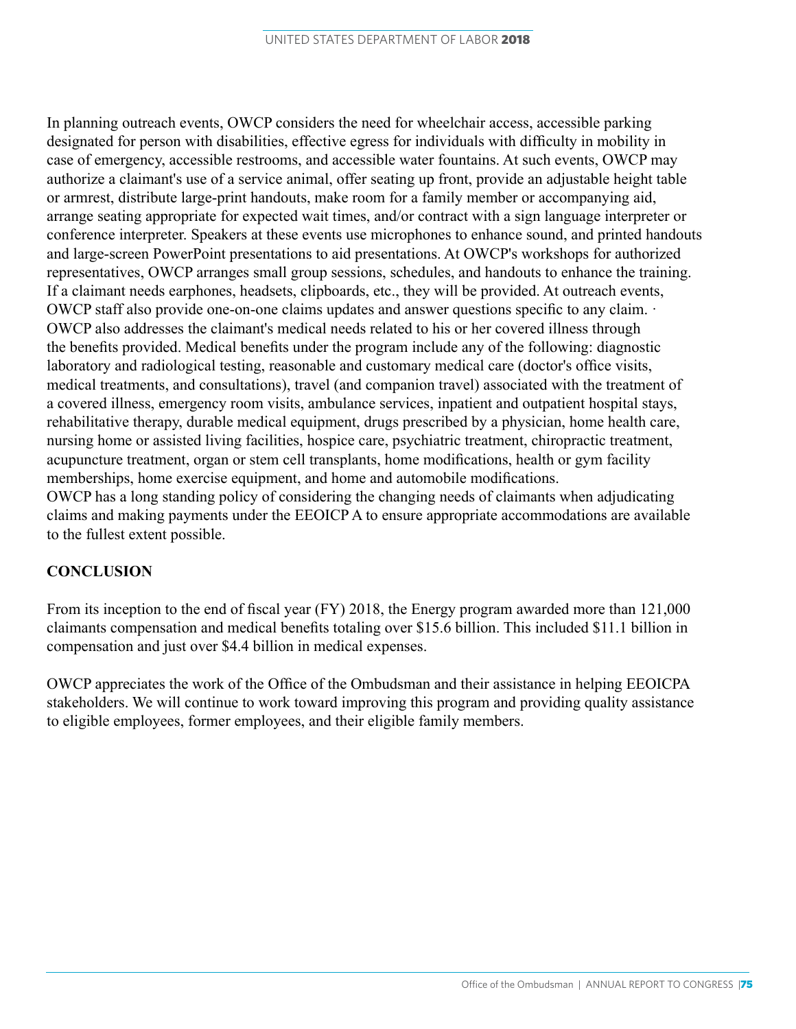In planning outreach events, OWCP considers the need for wheelchair access, accessible parking designated for person with disabilities, effective egress for individuals with difficulty in mobility in case of emergency, accessible restrooms, and accessible water fountains. At such events, OWCP may authorize a claimant's use of a service animal, offer seating up front, provide an adjustable height table or armrest, distribute large-print handouts, make room for a family member or accompanying aid, arrange seating appropriate for expected wait times, and/or contract with a sign language interpreter or conference interpreter. Speakers at these events use microphones to enhance sound, and printed handouts and large-screen PowerPoint presentations to aid presentations. At OWCP's workshops for authorized representatives, OWCP arranges small group sessions, schedules, and handouts to enhance the training. If a claimant needs earphones, headsets, clipboards, etc., they will be provided. At outreach events, OWCP staff also provide one-on-one claims updates and answer questions specific to any claim. · OWCP also addresses the claimant's medical needs related to his or her covered illness through the benefits provided. Medical benefits under the program include any of the following: diagnostic laboratory and radiological testing, reasonable and customary medical care (doctor's office visits, medical treatments, and consultations), travel (and companion travel) associated with the treatment of a covered illness, emergency room visits, ambulance services, inpatient and outpatient hospital stays, rehabilitative therapy, durable medical equipment, drugs prescribed by a physician, home health care, nursing home or assisted living facilities, hospice care, psychiatric treatment, chiropractic treatment, acupuncture treatment, organ or stem cell transplants, home modifications, health or gym facility memberships, home exercise equipment, and home and automobile modifications. OWCP has a long standing policy of considering the changing needs of claimants when adjudicating claims and making payments under the EEOICP A to ensure appropriate accommodations are available to the fullest extent possible.

# **CONCLUSION**

From its inception to the end of fiscal year (FY) 2018, the Energy program awarded more than 121,000 claimants compensation and medical benefits totaling over \$15.6 billion. This included \$11.1 billion in compensation and just over \$4.4 billion in medical expenses.

OWCP appreciates the work of the Office of the Ombudsman and their assistance in helping EEOICPA stakeholders. We will continue to work toward improving this program and providing quality assistance to eligible employees, former employees, and their eligible family members.